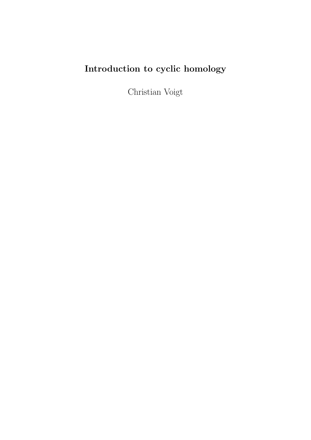# Introduction to cyclic homology

Christian Voigt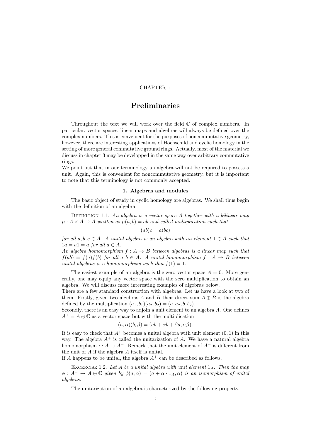# CHAPTER 1

# Preliminaries

Throughout the text we will work over the field  $\mathbb C$  of complex numbers. In particular, vector spaces, linear maps and algebras will always be defined over the complex numbers. This is convenient for the purposes of noncommutative geometry, however, there are interesting applications of Hochschild and cyclic homology in the setting of more general commutative ground rings. Actually, most of the material we discuss in chapter 3 may be developped in the same way over arbitrary commutative rings.

We point out that in our terminology an algebra will not be required to possess a unit. Again, this is convenient for noncommutative geometry, but it is important to note that this terminology is not commonly accepted.

# 1. Algebras and modules

The basic object of study in cyclic homology are algebras. We shall thus begin with the definition of an algebra.

DEFINITION 1.1. An algebra is a vector space A together with a bilinear map  $\mu: A \times A \rightarrow A$  written as  $\mu(a, b) = ab$  and called multiplication such that

$$
(ab)c = a(bc)
$$

for all  $a, b, c \in A$ . A unital algebra is an algebra with an element  $1 \in A$  such that  $1a = a1 = a$  for all  $a \in A$ .

An algebra homomorphism  $f : A \rightarrow B$  between algebras is a linear map such that  $f(ab) = f(a)f(b)$  for all  $a, b \in A$ . A unital homomorphism  $f : A \rightarrow B$  between unital algebras is a homomorphism such that  $f(1) = 1$ .

The easiest example of an algebra is the zero vector space  $A = 0$ . More generally, one may equip any vector space with the zero multiplication to obtain an algebra. We will discuss more interesting examples of algebras below.

There are a few standard construction with algebras. Let us have a look at two of them. Firstly, given two algebras A and B their direct sum  $A \oplus B$  is the algebra defined by the multiplication  $(a_1, b_1)(a_2, b_2) = (a_1 a_2, b_1 b_2)$ .

Secondly, there is an easy way to adjoin a unit element to an algebra A. One defines  $A^+ = A \oplus \mathbb{C}$  as a vector space but with the multiplication

$$
(a, \alpha)(b, \beta) = (ab + \alpha b + \beta a, \alpha \beta).
$$

It is easy to check that  $A^+$  becomes a unital algebra with unit element  $(0, 1)$  in this way. The algebra  $A^+$  is called the unitarization of A. We have a natural algebra homomorphism  $\iota: A \to A^+$ . Remark that the unit element of  $A^+$  is different from the unit of A if the algebra A itself is unital.

If A happens to be unital, the algebra  $A^+$  can be described as follows.

EXCERCISE 1.2. Let A be a unital algebra with unit element  $1_A$ . Then the map  $\phi: A^+ \to A \oplus \mathbb{C}$  given by  $\phi(a, \alpha) = (a + \alpha \cdot 1_A, \alpha)$  is an isomorphism of unital algebras.

The unitarization of an algebra is characterized by the following property.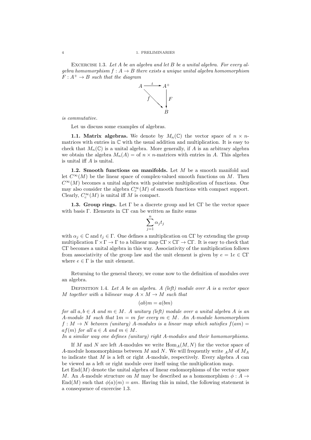EXCERCISE 1.3. Let  $A$  be an algebra and let  $B$  be a unital algebra. For every algebra homomorphism  $f : A \rightarrow B$  there exists a unique unital algebra homomorphism  $F: A^+ \rightarrow B$  such that the diagram



is commutative.

Let us discuss some examples of algebras.

**1.1. Matrix algebras.** We denote by  $M_n(\mathbb{C})$  the vector space of  $n \times n$ matrices with entries in C with the usual addition and multiplication. It is easy to check that  $M_n(\mathbb{C})$  is a unital algebra. More generally, if A is an arbitrary algebra we obtain the algebra  $M_n(A) =$  of  $n \times n$ -matrices with entries in A. This algebra is unital iff A is unital.

1.2. Smooth functions on manifolds. Let  $M$  be a smooth manifold and let  $C^{\infty}(M)$  be the linear space of complex-valued smooth functions on M. Then  $C^{\infty}(M)$  becomes a unital algebra with pointwise multiplication of functions. One may also consider the algebra  $C_c^{\infty}(M)$  of smooth functions with compact support. Clearly,  $C_c^{\infty}(M)$  is unital iff M is compact.

**1.3. Group rings.** Let  $\Gamma$  be a discrete group and let  $\mathbb{C}\Gamma$  be the vector space with basis Γ. Elements in CΓ can be written as finite sums

$$
\sum_{j=1}^{n} \alpha_j t_j
$$

with  $\alpha_j \in \mathbb{C}$  and  $t_j \in \Gamma$ . One defines a multiplication on  $\mathbb{C}\Gamma$  by extending the group multiplication  $\Gamma \times \Gamma \to \Gamma$  to a bilinear map  $\mathbb{C}\Gamma \times \mathbb{C}\Gamma \to \mathbb{C}\Gamma$ . It is easy to check that CΓ becomes a unital algebra in this way. Associativity of the multiplication follows from associativity of the group law and the unit element is given by  $e = 1e \in \mathbb{C}\Gamma$ where  $e \in \Gamma$  is the unit element.

Returning to the general theory, we come now to the definition of modules over an algebra.

DEFINITION 1.4. Let  $A$  be an algebra.  $A$  (left) module over  $A$  is a vector space M together with a bilinear map  $A \times M \rightarrow M$  such that

$$
(ab)m = a(bm)
$$

for all  $a, b \in A$  and  $m \in M$ . A unitary (left) module over a unital algebra A is an A-module M such that  $1m = m$  for every  $m \in M$ . An A-module homomorphism  $f: M \to N$  between (unitary) A-modules is a linear map which satisfies  $f(am)$  $af(m)$  for all  $a \in A$  and  $m \in M$ .

In a similar way one defines (unitary) right A-modules and their homomorphisms.

If M and N are left A-modules we write  $\text{Hom}_{A}(M, N)$  for the vector space of A-module homomorphisms between M and N. We will frequently write  $_A M$  of  $M_A$ to indicate that M is a left or right A-module, respectively. Every algebra A can be viewed as a left or right module over itself using the multiplication map.

Let  $\text{End}(M)$  denote the unital algebra of linear endomorphisms of the vector space M. An A-module structure on M may be described as a homomorphism  $\phi: A \rightarrow$ End(M) such that  $\phi(a)(m) = am$ . Having this in mind, the following statement is a consequence of excercise 1.3.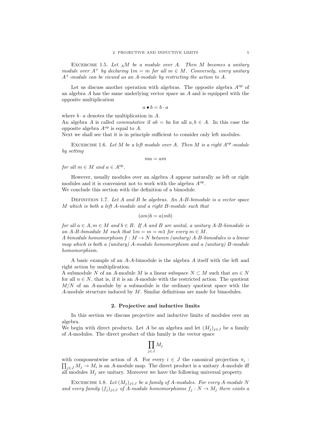EXCERCISE 1.5. Let  $_A M$  be a module over A. Then M becomes a unitary module over  $A^+$  by declaring  $1m = m$  for all  $m \in M$ . Conversely, every unitary  $A^+$ -module can be viewed as an A-module by restricting the action to A.

Let us discuss another operation with algebras. The opposite algebra  $A^{op}$  of an algebra A has the same underlying vector space as A and is equipped with the opposite multiplication

$$
a \bullet b = b \cdot a
$$

where  $b \cdot a$  denotes the multiplication in A.

An algebra A is called *commutative* if  $ab = ba$  for all  $a, b \in A$ . In this case the opposite algebra  $A^{op}$  is equal to A.

Next we shall see that it is in principle sufficient to consider only left modules.

EXCERCISE 1.6. Let M be a left module over A. Then M is a right  $A^{op}$ -module by setting

 $ma = am$ 

for all  $m \in M$  and  $a \in A^{op}$ .

However, usually modules over an algebra A appear naturally as left or right modules and it is convenient not to work with the algebra  $A^{op}$ . We conclude this section with the definition of a bimodule.

DEFINITION 1.7. Let  $A$  and  $B$  be algebras. An  $A$ - $B$ -bimodule is a vector space M which is both a left A-module and a right B-module such that

$$
(am)b = a(mb)
$$

for all  $a \in A, m \in M$  and  $b \in B$ . If A and B are unital, a unitary A-B-bimodule is an A-B-bimodule M such that  $1m = m = m1$  for every  $m \in M$ .

A bimodule homomorphism  $f : M \to N$  between (unitary) A-B-bimodules is a linear map which is both a (unitary) A-module homomorphism and a (unitary) B-module homomorphism.

A basic example of an A-A-bimodule is the algebra A itself with the left and right action by multiplication.

A submodule N of an A-module M is a linear subspace  $N \subset M$  such that  $an \in N$ for all  $n \in N$ , that is, if it is an A-module with the restricted action. The quotient  $M/N$  of an A-module by a submodule is the ordinary quotient space with the A-module structure induced by M. Similar definitions are made for bimodules.

#### 2. Projective and inductive limits

In this section we discuss projective and inductive limits of modules over an algebra.

We begin with direct products. Let A be an algebra and let  $(M_i)_{i\in J}$  be a family of A-modules. The direct product of this family is the vector space

$$
\prod_{j\in J} M_j
$$

with componentwise action of A. For every  $i \in J$  the canonical projection  $\pi_i : \prod_{i \in I} M_i \to M_i$  is an A-module map. The direct product is a unitary A-module iff  $j \in J$   $M_j \to M_i$  is an A-module map. The direct product is a unitary A-module iff all modules  $M_i$  are unitary. Moreover we have the following universal property.

EXCERCISE 1.8. Let  $(M_i)_{i \in J}$  be a family of A-modules. For every A-module N and every family  $(f_j)_{j\in J}$  of A-module homomorphisms  $f_j: N \to M_j$  there exists a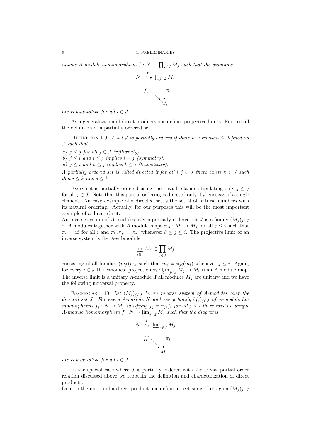unique A-module homomorphism  $f: N \to \prod_{j \in J} M_j$  such that the diagrams



are commutative for all  $i \in J$ .

that  $i \leq k$  and  $j \leq k$ .

example of a directed set.

As a generalization of direct products one defines projective limits. First recall the definition of a partially ordered set.

DEFINITION 1.9. A set J is partially ordered if there is a relation  $\leq$  defined on J such that

a)  $j \leq j$  for all  $j \in J$  (reflexivity). b)  $j \leq i$  and  $i \leq j$  implies  $i = j$  (symmetry). c)  $j \leq i$  and  $k \leq j$  implies  $k \leq i$  (transitivity). A partially ordered set is called directed if for all  $i, j \in J$  there exists  $k \in J$  such

Every set is partially ordered using the trivial relation stipulating only  $j \leq j$ for all  $j \in J$ . Note that this partial ordering is directed only if J consists of a single element. An easy example of a directed set is the set N of natural numbers with its natural ordering. Actually, for our purposes this will be the most important

An inverse system of A-modules over a partially ordered set J is a family  $(M_j)_{j\in J}$ of A-modules together with A-module maps  $\pi_{ji} : M_i \to M_j$  for all  $j \leq i$  such that  $\pi_{ii} = \text{id}$  for all i and  $\pi_{kj}\pi_{ji} = \pi_{ki}$  whenever  $k \leq j \leq i$ . The projective limit of an inverse system is the A-submodule

$$
\varprojlim_{j \in J} M_j \subset \prod_{j \in J} M_j
$$

consisting of all families  $(m_j)_{j\in J}$  such that  $m_j = \pi_{ji}(m_i)$  whenever  $j \leq i$ . Again, for every  $i \in J$  the canonical projection  $\pi_i : \varprojlim_{j \in J} M_j \to M_i$  is an A-module map. The inverse limit is a unitary A-module if all modules  $M_j$  are unitary and we have the following universal property.

EXCERCISE 1.10. Let  $(M_j)_{j\in J}$  be an inverse system of A-modules over the directed set J. For every A-module N and every family  $(f_i)_{i\in J}$  of A-module homomorphisms  $f_j : N \to M_j$  satisfying  $f_j = \pi_{ji} f_i$  for all  $j \leq i$  there exists a unique A-module homomorphism  $f: N \to \varprojlim_{j \in J} M_j$  such that the diagrams



are commutative for all  $i \in J$ .

In the special case where  $J$  is partially ordered with the trivial partial order relation discussed above we reobtain the definition and characterization of direct products.

Dual to the notion of a direct product one defines direct sums. Let again  $(M_j)_{j\in J}$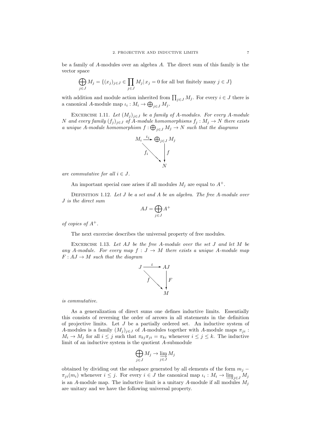be a family of A-modules over an algebra A. The direct sum of this family is the vector space

$$
\bigoplus_{j\in J}M_j=\{(x_j)_{j\in J}\in \prod_{j\in J}M_j|\, x_j=0\text{ for all but finitely many }j\in J\}
$$

with addition and module action inherited from  $\prod_{j\in J} M_j$ . For every  $i \in J$  there is a canonical A-module map  $\iota_i: M_i \to \bigoplus_{j \in J} M_j$ .

EXCERCISE 1.11. Let  $(M_j)_{j\in J}$  be a family of A-modules. For every A-module N and every family  $(f_j)_{j\in J}$  of A-module homomorphisms  $f_j : M_j \to N$  there exists a unique A-module homomorphism  $f: \bigoplus_{j \in J} M_j \to N$  such that the diagrams



are commutative for all  $i \in J$ .

An important special case arises if all modules  $M_i$  are equal to  $A^+$ .

DEFINITION 1.12. Let  $J$  be a set and  $A$  be an algebra. The free  $A$ -module over J is the direct sum

$$
AJ = \bigoplus_{j \in J} A^+
$$

of copies of  $A^+$ .

The next excercise describes the universal property of free modules.

EXCERCISE 1.13. Let  $AJ$  be the free  $A$ -module over the set  $J$  and let  $M$  be any A-module. For every map  $f: J \to M$  there exists a unique A-module map  $F: AJ \to M$  such that the diagram



is commutative.

As a generalization of direct sums one defines inductive limits. Essentially this consists of reversing the order of arrows in all statements in the definition of projective limits. Let  $J$  be a partially ordered set. An inductive system of A-modules is a family  $(M_j)_{j\in J}$  of A-modules together with A-module maps  $\pi_{ji}$ :  $M_i \to M_j$  for all  $i \leq j$  such that  $\pi_{kj}\pi_{ji} = \pi_{ki}$  whenever  $i \leq j \leq k$ . The inductive limit of an inductive system is the quotient A-submodule

$$
\bigoplus_{j\in J} M_j \to \varinjlim_{j\in J} M_j
$$

obtained by dividing out the subspace generated by all elements of the form  $m_j$  −  $\pi_{ji}(m_i)$  whenever  $i \leq j$ . For every  $i \in J$  the canonical map  $\iota_i : M_i \to \varinjlim_{j \in J} M_j$ is an A-module map. The inductive limit is a unitary A-module if all modules  $M_i$ are unitary and we have the following universal property.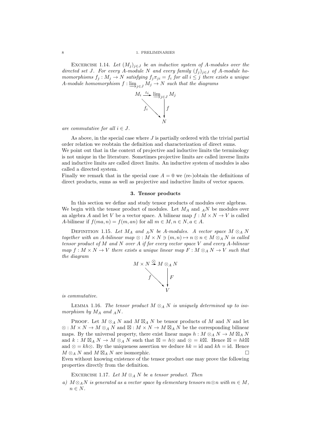EXCERCISE 1.14. Let  $(M_j)_{j\in J}$  be an inductive system of A-modules over the directed set J. For every A-module N and every family  $(f_i)_{i\in J}$  of A-module homomorphisms  $f_i : M_i \to N$  satisfying  $f_i \pi_{ii} = f_i$  for all  $i \leq j$  there exists a unique A-module homomorphism  $f: \varinjlim_{j \in J} M_j \to N$  such that the diagrams



are commutative for all  $i \in J$ .

As above, in the special case where  $J$  is partially ordered with the trivial partial order relation we reobtain the definition and characterization of direct sums. We point out that in the context of projective and inductive limits the terminology is not unique in the literature. Sometimes projective limits are called inverse limits and inductive limits are called direct limits. An inductive system of modules is also called a directed system.

Finally we remark that in the special case  $A = 0$  we (re-)obtain the definitions of direct products, sums as well as projective and inductive limits of vector spaces.

#### 3. Tensor products

In this section we define and study tensor products of modules over algebras. We begin with the tensor product of modules. Let  $M_A$  and  $_A$ N be modules over an algebra A and let V be a vector space. A bilinear map  $f : M \times N \to V$  is called A-bilinear if  $f(ma, n) = f(m, an)$  for all  $m \in M, n \in N, a \in A$ .

DEFINITION 1.15. Let  $M_A$  and  $_A N$  be A-modules. A vector space  $M \otimes_A N$ together with an A-bilinear map  $\otimes : M \times N \ni (m, n) \mapsto n \otimes n \in M \otimes_A N$  is called tensor product of M and N over A if for every vector space V and every A-bilinear map  $f: M \times N \to V$  there exists a unique linear map  $F: M \otimes_A N \to V$  such that the diagram



is commutative.

LEMMA 1.16. The tensor product  $M \otimes_A N$  is uniquely determined up to isomorphism by  $M_A$  and  $_AN$ .

PROOF. Let  $M \otimes_A N$  and  $M \boxtimes_A N$  be tensor products of M and N and let  $\otimes : M \times N \to M \otimes_A N$  and  $\boxtimes : M \times N \to M \boxtimes_A N$  be the corresponding bilinear maps. By the universal property, there exist linear maps  $h : M \otimes_A N \to M \boxtimes_A N$ and  $k: M \boxtimes_A N \to M \otimes_A N$  such that  $\boxtimes = h \otimes$  and  $\otimes = k \boxtimes$ . Hence  $\boxtimes = hk \boxtimes$ and  $\otimes = kh\otimes$ . By the uniqueness assertion we deduce  $hk = id$  and  $kh = id$ . Hence  $M \otimes_A N$  and  $M \boxtimes_A N$  are isomorphic.

Even without knowing existence of the tensor product one may prove the following properties directly from the definition.

EXCERCISE 1.17. Let  $M \otimes_A N$  be a tensor product. Then

a)  $M \otimes_A N$  is generated as a vector space by elementary tensors  $m \otimes n$  with  $m \in M$ ,  $n \in N$ .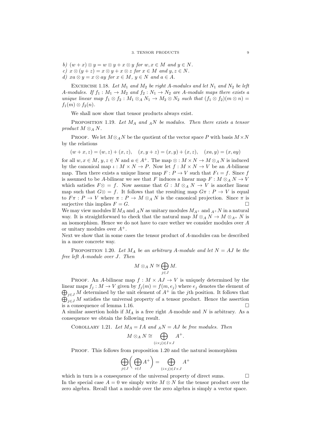- b)  $(w+x) \otimes y = w \otimes y + x \otimes y$  for  $w, x \in M$  and  $y \in N$ .
- c)  $x \otimes (y + z) = x \otimes y + x \otimes z$  for  $x \in M$  and  $y, z \in N$ .
- d)  $xa \otimes y = x \otimes ay$  for  $x \in M$ ,  $y \in N$  and  $a \in A$ .

EXCERCISE 1.18. Let  $M_1$  and  $M_2$  be right A-modules and let  $N_1$  and  $N_2$  be left A-modules. If  $f_1 : M_1 \to M_2$  and  $f_2 : N_1 \to N_2$  are A-module maps there exists a unique linear map  $f_1 \otimes f_2 : M_1 \otimes_A N_1 \to M_2 \otimes N_2$  such that  $(f_1 \otimes f_2)(m \otimes n) =$  $f_1(m) \otimes f_2(n)$ .

We shall now show that tensor products always exist.

PROPOSITION 1.19. Let  $M_A$  and  $_A N$  be modules. Then there exists a tensor product  $M \otimes_A N$ .

PROOF. We let  $M \otimes_A N$  be the quotient of the vector space P with basis  $M \times N$ by the relations

 $(w+x, z) = (w, z) + (x, z), (x, y + z) = (x, y) + (x, z), (xa, y) = (x, ay)$ 

for all  $w, x \in M$ ,  $y, z \in N$  and  $a \in A^+$ . The map  $\otimes : M \times N \to M \otimes_A N$  is induced by the canonical map  $\iota: M \times N \to P$ . Now let  $f: M \times N \to V$  be an A-bilinear map. Then there exists a unique linear map  $F: P \to V$  such that  $F \iota = f$ . Since f is assumed to be A-bilinear we see that F induces a linear map  $F : M \otimes_A N \to V$ which satisfies  $F \otimes = f$ . Now assume that  $G : M \otimes_A N \to V$  is another linear map such that  $G\otimes = f$ . It follows that the resulting map  $G\pi : P \to V$  is equal to  $F \pi : P \to V$  where  $\pi : P \to M \otimes_A N$  is the canonical projection. Since  $\pi$  is surjective this implies  $F = G$ .

We may view modules If  $M_A$  and  $_A N$  as unitary modules  $M_{A^+}$  and  $_{A^+} N$  in a natural way. It is straightforward to check that the natural map  $M \otimes_A N \to M \otimes_{A^+} N$  is an isomorphism. Hence we do not have to care wether we consider modules over A or unitary modules over  $A^+$ .

Next we show that in some cases the tensor product of A-modules can be described in a more concrete way.

PROPOSITION 1.20. Let  $M_A$  be an arbitrary A-module and let  $N = AJ$  be the free left A-module over J. Then

$$
M\otimes_A N\cong \bigoplus_{j\in J}M.
$$

PROOF. An A-bilinear map  $f : M \times AJ \rightarrow V$  is uniquely determined by the  $\bigoplus_{j\in J} M$  determined by the unit element of  $A^+$  in the j<sup>th</sup> position. It follows that linear maps  $f_j : M \to V$  given by  $f_j(m) = f(m, e_j)$  where  $e_j$  denotes the element of  $\bigoplus_{j\in J} M$  satisfies the universal property of a tensor product. Hence the assertion is a consequence of lemma 1.16.

A similar assertion holds if  $M_A$  is a free right A-module and N is arbitrary. As a consequence we obtain the following result.

COROLLARY 1.21. Let 
$$
M_A = IA
$$
 and  ${}_AN = AJ$  be free modules. Then

$$
M \otimes_A N \cong \bigoplus_{(i \times j) \in I \times J} A^+.
$$

PROOF. This follows from proposition 1.20 and the natural isomorphism

$$
\bigoplus_{j\in J}\bigg(\bigoplus_{i\in I}A^+\bigg)=\bigoplus_{(i\times j)\in I\times J}A^+
$$

which in turn is a consequence of the universal property of direct sums.  $\Box$ In the special case  $A = 0$  we simply write  $M \otimes N$  for the tensor product over the zero algebra. Recall that a module over the zero algebra is simply a vector space.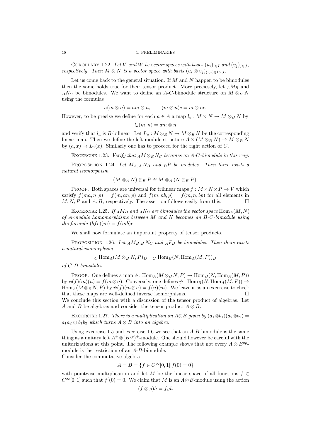#### 10 1. PRELIMINARIES

COROLLARY 1.22. Let V and W be vector spaces with bases  $(u_i)_{i\in I}$  and  $(v_i)_{i\in J}$ , respectively. Then  $M \otimes N$  is a vector space with basis  $(u_i \otimes v_j)_{(i,j) \in I \times J}$ .

Let us come back to the general situation. If  $M$  and  $N$  happen to be bimodules then the same holds true for their tensor product. More precicsely, let  $_A M_B$  and  $B\overline{B}N_C$  be bimodules. We want to define an A-C-bimodule structure on  $M\otimes_B N$ using the formulas

$$
a(m \otimes n) = am \otimes n, \qquad (m \otimes n)c = m \otimes nc.
$$

However, to be precise we define for each  $a \in A$  a map  $l_a : M \times N \to M \otimes_B N$  by

$$
l_a(m,n)=am\otimes n
$$

and verify that  $l_a$  is B-bilinear. Let  $L_a: M \otimes_B N \to M \otimes_B N$  be the corresponding linear map. Then we define the left module structure  $A \times (M \otimes_B N) \to M \otimes_B N$ by  $(a, x) \mapsto L_a(x)$ . Similarly one has to proceed for the right action of C.

EXCERCISE 1.23. Verify that  $_A M \otimes_B N_C$  becomes an A-C-bimodule in this way.

PROPOSITION 1.24. Let  $M_{A,A} N_B$  and  $_B P$  be modules. Then there exists a natural isomorphism

$$
(M\otimes_A N)\otimes_BP\cong M\otimes_A (N\otimes_BP).
$$

PROOF. Both spaces are universal for trilinear maps  $f : M \times N \times P \to V$  which satisfy  $f(ma, n, p) = f(m, an, p)$  and  $f(m, nb, p) = f(m, n, bp)$  for all elements in  $M, N, P$  and  $A, B$ , respectively. The assertion follows easily from this.

EXCERCISE 1.25. If  $_A M_B$  and  $_A N_C$  are bimodules the vector space  $\text{Hom}_A(M, N)$ of  $A$ -module homomorphisms between  $M$  and  $N$  becomes an  $B$ -C-bimodule using the formula  $(bfc)(m) = f(mb)c$ .

We shall now formulate an important property of tensor products.

PROPOSITION 1.26. Let  $_A M_{B,B} N_C$  and  $_A P_D$  be bimodules. Then there exists a natural isomorphism

 $C$  Hom<sub>A</sub> $(M \otimes_B N, P)_D = C$  Hom<sub>B</sub> $(N, \text{Hom}_A (M, P))_D$ 

of C-D-bimodules.

PROOF. One defines a map  $\phi: \text{Hom}_A(M \otimes_B N, P) \to \text{Hom}_B(N, \text{Hom}_A(M, P))$ by  $\phi(f)(m)(n) = f(m \otimes n)$ . Conversely, one defines  $\psi : \text{Hom}_B(N, \text{Hom}_A(M, P)) \rightarrow$  $\text{Hom}_A(M \otimes_B N, P)$  by  $\psi(f)(m \otimes n) = f(n)(m)$ . We leave it as an excercise to check that these maps are well-defined inverse isomorphisms. We conclude this section with a discussion of the tensor product of algebras. Let A and B be algebras and consider the tensor product  $A \otimes B$ .

EXCERCISE 1.27. There is a multiplication on  $A \otimes B$  given by  $(a_1 \otimes b_1)(a_2 \otimes b_2) =$  $a_1a_2 \otimes b_1b_2$  which turns  $A \otimes B$  into an algebra.

Using excercise 1.5 and excercise 1.6 we see that an  $A-B$ -bimodule is the same thing as a unitary left  $A^+\otimes(B^{op})^+$ -module. One should however be careful with the unitarizations at this point. The following example shows that not every  $A \otimes B^{op}$ . module is the restriction of an A-B-bimodule. Consider the commutative algebra

$$
A = B = \{ f \in C^{\infty}[0,1] | f(0) = 0 \}
$$

with pointwise multiplication and let M be the linear space of all functions  $f \in$  $C^{\infty}[0,1]$  such that  $f'(0) = 0$ . We claim that M is an  $A \otimes B$ -module using the action

$$
(f \otimes g)h = fgh
$$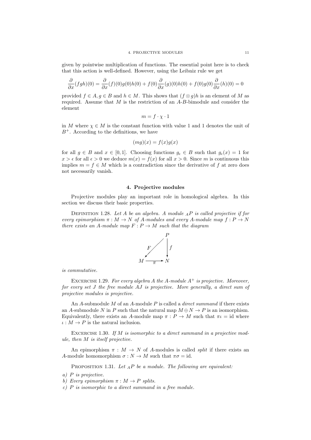given by pointwise multiplication of functions. The essential point here is to check that this action is well-defined. However, using the Leibniz rule we get

$$
\frac{\partial}{\partial x}(fgh)(0) = \frac{\partial}{\partial x}(f)(0)g(0)h(0) + f(0)\frac{\partial}{\partial x}(g)(0)h(0) + f(0)g(0)\frac{\partial}{\partial x}(h)(0) = 0
$$

provided  $f \in A, g \in B$  and  $h \in M$ . This shows that  $(f \otimes g)h$  is an element of M as required. Assume that  $M$  is the restriction of an  $A-B$ -bimodule and consider the element

$$
m = f \cdot \chi \cdot 1
$$

in M where  $\chi \in M$  is the constant function with value 1 and 1 denotes the unit of  $B^+$ . According to the definitions, we have

$$
(mg)(x) = f(x)g(x)
$$

for all  $g \in B$  and  $x \in [0,1]$ . Choosing functions  $g_{\epsilon} \in B$  such that  $g_{\epsilon}(x) = 1$  for  $x > \epsilon$  for all  $\epsilon > 0$  we deduce  $m(x) = f(x)$  for all  $x > 0$ . Since m is continuous this implies  $m = f \in M$  which is a contradiction since the derivative of f at zero does not necessarily vanish.

#### 4. Projective modules

Projective modules play an important role in homological algebra. In this section we discuss their basic properties.

DEFINITION 1.28. Let A be an algebra. A module  $_A P$  is called projective if for every epimorphism  $\pi : M \to N$  of A-modules and every A-module map  $f : P \to N$ there exists an A-module map  $F: P \to M$  such that the diagram



is commutative.

EXCERCISE 1.29. For every algebra A the A-module  $A^+$  is projective. Moreover, for every set J the free module AJ is projective. More generally, a direct sum of projective modules is projective.

An  $A$ -submodule  $M$  of an  $A$ -module  $P$  is called a *direct summand* if there exists an A-submodule N in P such that the natural map  $M \oplus N \to P$  is an isomorphism. Equivalently, there exists an A-module map  $\pi : P \to M$  such that  $\pi \iota = id$  where  $\iota: M \to P$  is the natural inclusion.

EXCERCISE 1.30. If  $M$  is isomorphic to a direct summand in a projective module, then M is itself projective.

An epimorphism  $\pi : M \to N$  of A-modules is called *split* if there exists an A-module homomorphism  $\sigma : N \to M$  such that  $\pi \sigma = id$ .

PROPOSITION 1.31. Let  $_A P$  be a module. The following are equivalent:

- a) P is projective.
- b) Every epimorphism  $\pi : M \to P$  splits.
- c)  $P$  is isomorphic to a direct summand in a free module.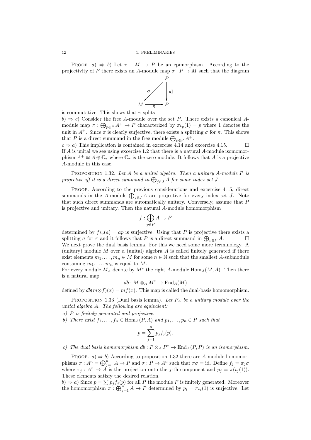PROOF.  $a) \Rightarrow b$ ) Let  $\pi : M \rightarrow P$  be an epimorphism. According to the projectivity of P there exists an A-module map  $\sigma: P \to M$  such that the diagram



is commutative. This shows that  $\pi$  splits

 $b) \Rightarrow c$ ) Consider the free A-module over the set P. There exists a canonical Amodule map  $\pi: \bigoplus_{p \in P} A^+ \to P$  characterized by  $\pi \iota_p(1) = p$  where 1 denotes the unit in  $A^+$ . Since  $\pi$  is clearly surjective, there exists a splitting  $\sigma$  for  $\pi$ . This shows that P is a direct summand in the free module  $\bigoplus_{p\in P} A^+$ .

 $c \Rightarrow a$ ) This implication is contained in excercise 4.14 and excercise 4.15. If A is unital we see using excercise 1.2 that there is a natural A-module isomomorphism  $A^+ \cong A \oplus \mathbb{C}_{\tau}$  where  $\mathbb{C}_{\tau}$  is the zero module. It follows that A is a projective A-module in this case.

PROPOSITION 1.32. Let  $A$  be a unital algebra. Then a unitary  $A$ -module  $P$  is projective iff it is a direct summand in  $\bigoplus_{j\in J} A$  for some index set  $J$ .

PROOF. According to the previous considerations and excercise 4.15, direct summands in the A-module  $\bigoplus_{j\in J} A$  are projective for every index set J. Note that such direct summands are automatically unitary. Conversely, assume that P is projective and unitary. Then the natural A-module homomorphism

$$
f:\bigoplus_{p\in P}A\to P
$$

determined by  $f_{\iota_p}(a) = ap$  is surjective. Using that P is projective there exists a splitting  $\sigma$  for  $\pi$  and it follows that P is a direct summand in  $\bigoplus_{p\in P} A$ . We next prove the dual basis lemma. For this we need some more terminology. A (unitary) module  $M$  over a (unital) algebra  $A$  is called finitely generated if there exist elements  $m_1, \ldots, m_n \in M$  for some  $n \in \mathbb{N}$  such that the smallest A-submodule containing  $m_1, \ldots, m_n$  is equal to M.

For every module  $M_A$  denote by  $M^*$  the right A-module  $\text{Hom}_A(M, A)$ . Then there is a natural map

$$
db: M\otimes_A M^*\to \operatorname{End}_A(M)
$$

defined by  $db(m\otimes f)(x) = mf(x)$ . This map is called the dual-basis homomorphism.

PROPOSITION 1.33 (Dual basis lemma). Let  $P_A$  be a unitary module over the unital algebra A. The following are equivalent:

a) P is finitely generated and projective.

b) There exist  $f_1, \ldots, f_n \in \text{Hom}_A(P, A)$  and  $p_1, \ldots, p_n \in P$  such that

$$
p = \sum_{j=1}^{n} p_j f_j(p).
$$

c) The dual basis homomorphism  $db : P \otimes_A P^* \to \text{End}_A(P, P)$  is an isomorphism.

PROOF.  $a) \Rightarrow b$ ) According to proposition 1.32 there are A-module homomorphisms  $\pi : A^n = \bigoplus_{j=1}^n A \to P$  and  $\sigma : P \to A^n$  such that  $\pi \sigma = id$ . Define  $f_j = \pi_j \sigma$ where  $\pi_j : A^n \to \tilde{A}$  is the projection onto the j-th component and  $p_j = \pi(\iota_j(1)).$ These elements satisfy the desired relation.

 $(b) \Rightarrow a)$  Since  $p = \sum p_j f_j(p)$  for all P the module P is finitely generated. Moreover the homomorphism  $\pi: \bigoplus_{j=1}^n A \to P$  determined by  $p_i = \pi \iota_i(1)$  is surjective. Let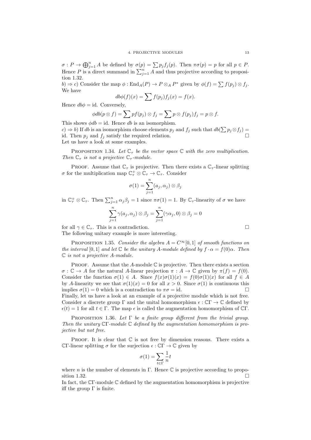$\sigma: P \to \bigoplus_{j=1}^n A$  be defined by  $\sigma(p) = \sum p_j f_j(p)$ . Then  $\pi \sigma(p) = p$  for all  $p \in P$ . Hence P is a direct summand in  $\sum_{j=1}^{n} A$  and thus projective according to proposition 1.32.

b)  $\Rightarrow$  c) Consider the map  $\phi: \text{End}_A(P) \to P \otimes_A P^*$  given by  $\phi(f) = \sum f(p_j) \otimes f_j$ . We have

$$
db\phi(f)(x) = \sum f(p_j) f_j(x) = f(x).
$$

Hence  $db\phi = \text{id}$ . Conversely,

$$
\phi db(p \otimes f) = \sum pf(p_j) \otimes f_j = \sum p \otimes f(p_j) f_j = p \otimes f.
$$

This shows  $\phi db = id$ . Hence db is an isomorphism.

 $(c) \Rightarrow b$ ) If db is an isomorphism choose elements  $p_j$  and  $f_j$  such that  $db(\sum p_j \otimes f_j) =$ id. Then  $p_j$  and  $f_j$  satisfy the required relation. Let us have a look at some examples.

PROPOSITION 1.34. Let  $\mathbb{C}_{\tau}$  be the vector space  $\mathbb C$  with the zero multiplication. Then  $\mathbb{C}_{\tau}$  is not a projective  $\mathbb{C}_{\tau}$ -module.

PROOF. Assume that  $\mathbb{C}_{\tau}$  is projective. Then there exists a  $\mathbb{C}_{\tau}$ -linear splitting  $\sigma$  for the multiplication map  $\mathbb{C}^+_\tau \otimes \mathbb{C}_\tau \to \mathbb{C}_\tau$ . Consider

$$
\sigma(1) = \sum_{j=1}^{n} (a_j, \alpha_j) \otimes \beta_j
$$

in  $\mathbb{C}_{\tau}^+ \otimes \mathbb{C}_{\tau}$ . Then  $\sum_{j=1}^n \alpha_j \beta_j = 1$  since  $\pi \sigma(1) = 1$ . By  $\mathbb{C}_{\tau}$ -linearity of  $\sigma$  we have

$$
\sum_{j=1}^{n} \gamma(a_j, \alpha_j) \otimes \beta_j = \sum_{j=1}^{n} (\gamma \alpha_j, 0) \otimes \beta_j = 0
$$

for all  $\gamma \in \mathbb{C}_{\tau}$ . This is a contradiction.

The following unitary example is more interesting.

PROPOSITION 1.35. Consider the algebra  $A = C^{\infty}[0, 1]$  of smooth functions on the interval [0, 1] and let  $\mathbb C$  be the unitary A-module defined by  $f \cdot \alpha = f(0)\alpha$ . Then C is not a projective A-module.

PROOF. Assume that the A-module  $\mathbb C$  is projective. Then there exists a section  $\sigma : \mathbb{C} \to A$  for the natural A-linear projection  $\pi : A \to \mathbb{C}$  given by  $\pi(f) = f(0)$ . Consider the function  $\sigma(1) \in A$ . Since  $f(x)\sigma(1)(x) = f(0)\sigma(1)(x)$  for all  $f \in A$ by A-linearity we see that  $\sigma(1)(x) = 0$  for all  $x > 0$ . Since  $\sigma(1)$  is continuous this implies  $\sigma(1) = 0$  which is a contradiction to  $\pi \sigma = id$ . Finally, let us have a look at an example of a projective module which is not free. Consider a discrete group  $\Gamma$  and the unital homomorphism  $\epsilon : \mathbb{C}\Gamma \to \mathbb{C}$  defined by  $\epsilon(t) = 1$  for all  $t \in \Gamma$ . The map  $\epsilon$  is called the augmentation homomorphism of CΓ.

PROPOSITION 1.36. Let  $\Gamma$  be a finite group different from the trivial group. Then the unitary CΓ-module C defined by the augmentation homomorphism is projective but not free.

PROOF. It is clear that  $\mathbb C$  is not free by dimension reasons. There exists a CΓ-linear splitting  $\sigma$  for the surjection  $\epsilon : \mathbb{C}\Gamma \to \mathbb{C}$  given by

$$
\sigma(1) = \sum_{t \in \Gamma} \frac{1}{n} t
$$

where n is the number of elements in Γ. Hence  $\mathbb C$  is projective according to proposition 1.32.

In fact, the CΓ-module C defined by the augmentation homomorphism is projective iff the group  $\Gamma$  is finite.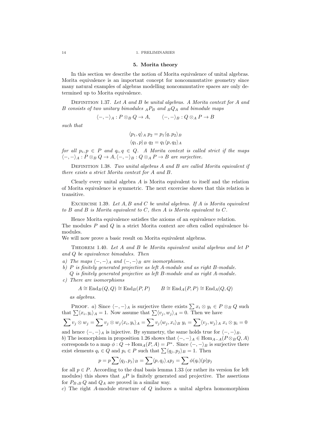#### 5. Morita theory

In this section we describe the notion of Morita equivalence of unital algebras. Morita equivalence is an important concept for noncommutative geometry since many natural examples of algebras modelling noncommutative spaces are only determined up to Morita equivalence.

DEFINITION 1.37. Let  $A$  and  $B$  be unital algebras. A Morita context for  $A$  and B consists of two unitary bimodules  $_A P_B$  and  $_B Q_A$  and bimodule maps

$$
\langle -, - \rangle_A : P \otimes_B Q \to A, \qquad \langle -, - \rangle_B : Q \otimes_A P \to B
$$

such that

$$
\langle p_1, q \rangle_A p_2 = p_1 \langle q, p_2 \rangle_B
$$
  

$$
\langle q_1, p \rangle_B q_2 = q_1 \langle p, q_2 \rangle_A
$$

for all  $p_i, p \in P$  and  $q_i, q \in Q$ . A Morita context is called strict if the maps  $\langle -, -\rangle_A : P \otimes_B Q \to A, \langle -, -\rangle_B : Q \otimes_A P \to B$  are surjective.

DEFINITION 1.38. Two unital algebras  $A$  and  $B$  are called Morita equivalent if there exists a strict Morita context for A and B.

Clearly every unital algebra  $A$  is Morita equivalent to itself and the relation of Morita equivalence is symmetric. The next excercise shows that this relation is transitive.

EXCERCISE 1.39. Let  $A, B$  and  $C$  be unital algebras. If  $A$  is Morita equivalent to  $B$  and  $B$  is Morita equivalent to  $C$ , then  $A$  is Morita equivalent to  $C$ .

Hence Morita equivalence satisfies the axioms of an equivalence relation. The modules P and Q in a strict Morita context are often called equivalence bimodules.

We will now prove a basic result on Morita equivalent algebras.

THEOREM 1.40. Let A and B be Morita equivalent unital algebras and let  $P$ and Q be equivalence bimodules. Then

- a) The maps  $\langle -, \rangle_A$  and  $\langle -, \rangle_B$  are isomorphisms.
- b) P is finitely generated projective as left A-module and as right B-module. Q is finitely generated projective as left B-module and as right A-module.
- c) There are isomorphisms

$$
A \cong \text{End}_B(Q, Q) \cong \text{End}_B(P, P) \qquad B \cong \text{End}_A(P, P) \cong \text{End}_A(Q, Q)
$$

as algebras.

PROOF. a) Since  $\langle -, - \rangle_A$  is surjective there exists  $\sum x_i \otimes y_i \in P \otimes_B Q$  such that  $\sum \langle x_i, y_i \rangle_A = 1$ . Now assume that  $\sum \langle v_j, w_j \rangle_A = 0$ . Then we have

$$
\sum v_j \otimes w_j = \sum v_j \otimes w_j \langle x_i, y_i \rangle_A = \sum v_j \langle w_j, x_i \rangle_B \ y_i = \sum \langle v_j, w_j \rangle_A \ x_i \otimes y_i = 0
$$

and hence  $\langle -, -\rangle_A$  is injective. By symmetry, the same holds true for  $\langle -, -\rangle_B$ . b) The isomorphism in proposition 1.26 shows that  $\langle -, -\rangle_A \in \text{Hom}_{A-A}(P \otimes_B Q, A)$ corresponds to a map  $\phi: Q \to \text{Hom}_A(P, A) = P^*$ . Since  $\langle -, - \rangle_B$  is surjective there exist elements  $q_i \in Q$  and  $p_i \in P$  such that  $\sum \langle q_j, p_j \rangle_B = 1$ . Then

$$
p = p \sum \langle q_j, p_j \rangle_B = \sum \langle p, q_j \rangle_A p_j = \sum \phi(q_i)(p) p_j
$$

for all  $p \in P$ . According to the dual basis lemma 1.33 (or rather its version for left modules) this shows that  $_A P$  is finitely generated and projective. The assertions for  $P_{B,B} Q$  and  $Q_A$  are proved in a similar way.

c) The right A-module structure of  $Q$  induces a unital algebra homomorphism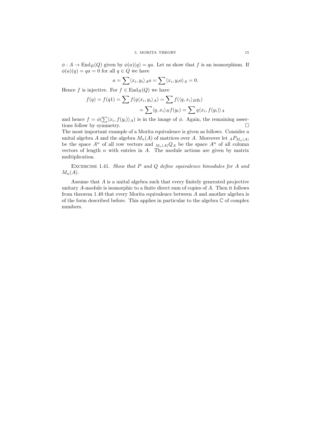$\phi: A \to \text{End}_B(Q)$  given by  $\phi(a)(q) = qa$ . Let us show that f is an isomorphism. If  $\phi(a)(q) = qa = 0$  for all  $q \in Q$  we have

$$
a = \sum \langle x_i, y_i \rangle_A a = \sum \langle x_i, y_i a \rangle_A = 0.
$$

Hence f is injective. For  $f \in \text{End}_B(Q)$  we have

$$
f(q) = f(q1) = \sum f(q\langle x_i, y_i \rangle_A) = \sum f(\langle q, x_i \rangle_B y_i)
$$
  
= 
$$
\sum \langle q, x_i \rangle_B f(y_i) = \sum q\langle x_i, f(y_i) \rangle_A
$$

and hence  $f = \phi(\sum \langle x_i, f(y_i) \rangle_A)$  is in the image of  $\phi$ . Again, the remaining assertions follow by symmetry.  $\Box$ 

The most important example of a Morita equivalence is given as follows. Consider a unital algebra A and the algebra  $M_n(A)$  of matrices over A. Moreover let  $_A P_{M_n(A)}$ be the space  $A^n$  of all row vectors and  $M_n(A)Q_A$  be the space  $A^n$  of all column vectors of length  $n$  with entries in  $A$ . The module actions are given by matrix multiplication.

EXCERCISE 1.41. Show that  $P$  and  $Q$  define equivalence bimodules for  $A$  and  $M_n(A)$ .

Assume that A is a unital algebra such that every finitely generated projective unitary A-module is isomorphic to a finite direct sum of copies of A. Then it follows from theorem 1.40 that every Morita equivalence between A and another algebra is of the form described before. This applies in particular to the algebra  $\mathbb C$  of complex numbers.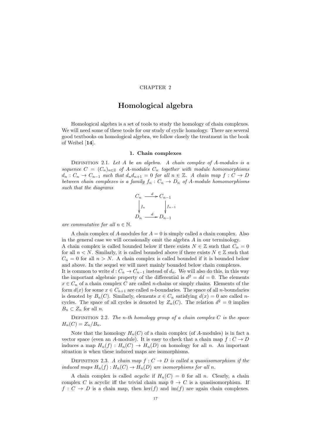## CHAPTER 2

# Homological algebra

Homological algebra is a set of tools to study the homology of chain complexes. We will need some of these tools for our study of cyclic homology. There are several good textbooks on homological algebra, we follow closely the treatment in the book of Weibel [14].

#### 1. Chain complexes

DEFINITION 2.1. Let  $A$  be an algebra. A chain complex of  $A$ -modules is a sequence  $C = (C_n)_{n \in \mathbb{Z}}$  of A-modules  $C_n$  together with module homomorphisms  $d_n: C_n \to C_{n-1}$  such that  $d_n d_{n+1} = 0$  for all  $n \in \mathbb{Z}$ . A chain map  $f: C \to D$ between chain complexes is a family  $f_n: C_n \to D_n$  of A-module homomorphisms such that the diagrams



are commutative for all  $n \in \mathbb{N}$ .

A chain complex of A-modules for  $A = 0$  is simply called a chain complex. Also in the general case we will occasionally omit the algebra A in our terminology. A chain complex is called bounded below if there exists  $N \in \mathbb{Z}$  such that  $C_n = 0$ for all  $n < N$ . Similarly, it is called bounded above if there exists  $N \in \mathbb{Z}$  such that  $C_n = 0$  for all  $n > N$ . A chain complex is called bounded if it is bounded below and above. In the sequel we will meet mainly bounded below chain complexes. It is common to write  $d: C_n \to C_{n-1}$  instead of  $d_n$ . We will also do this, in this way the important algebraic property of the differential is  $d^2 = dd = 0$ . The elements  $x \in C_n$  of a chain complex C are called *n*-chains or simply chains. Elements of the form  $d(x)$  for some  $x \in C_{n+1}$  are called *n*-boundaries. The space of all *n*-boundaries is denoted by  $B_n(C)$ . Similarly, elements  $x \in C_n$  satisfying  $d(x) = 0$  are called ncycles. The space of all cycles is denoted by  $Z_n(C)$ . The relation  $d^2 = 0$  implies  $B_n \subset Z_n$  for all n.

DEFINITION 2.2. The n-th homology group of a chain complex  $C$  is the space  $H_n(C) = Z_n/B_n$ .

Note that the homology  $H_n(C)$  of a chain complex (of A-modules) is in fact a vector space (even an A-module). It is easy to check that a chain map  $f: C \to D$ induces a map  $H_n(f) : H_n(C) \to H_n(D)$  on homology for all n. An important situation is when these induced maps are isomorphisms.

DEFINITION 2.3. A chain map  $f: C \to D$  is called a quasiisomorphism if the induced maps  $H_n(f): H_n(C) \to H_n(D)$  are isomorphisms for all n.

A chain complex is called *acyclic* if  $H_n(C) = 0$  for all *n*. Clearly, a chain complex C is acyclic iff the trivial chain map  $0 \to C$  is a quasiisomorphism. If  $f: C \to D$  is a chain map, then ker(f) and im(f) are again chain complexes.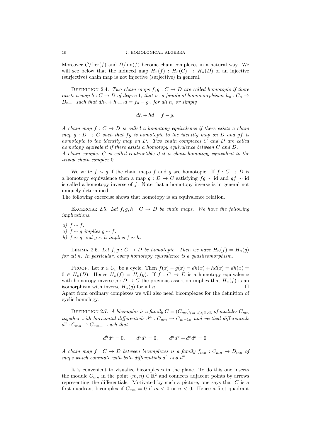Moreover  $C/\text{ker}(f)$  and  $D/\text{im}(f)$  become chain complexes in a natural way. We will see below that the induced map  $H_n(f) : H_n(C) \to H_n(D)$  of an injective (surjective) chain map is not injective (surjective) in general.

DEFINITION 2.4. Two chain maps  $f, q: C \rightarrow D$  are called homotopic if there exists a map  $h: C \to D$  of degree 1, that is, a family of homomorphisms  $h_n: C_n \to$  $D_{n+1}$  such that  $dh_n + h_{n-1}d = f_n - g_n$  for all n, or simply

$$
dh + hd = f - g.
$$

A chain map  $f: C \to D$  is called a homotopy equivalence if there exists a chain map  $g : D \to C$  such that  $fg$  is homotopic to the identity map on D and  $gf$  is homotopic to the identity map on D. Two chain complexes C and D are called homotopy equivalent if there exists a homotopy equivalence between C and D. A chain complex  $C$  is called contractible if it is chain homotopy equivalent to the trivial chain complex 0.

We write  $f \sim g$  if the chain maps f and g are homotopic. If  $f : C \to D$  is a homotopy equivalence then a map  $g : D \to C$  satisfying  $fg \sim id$  and  $gf \sim id$ is called a homotopy inverse of  $f$ . Note that a homotopy inverse is in general not uniquely determined.

The following excercise shows that homotopy is an equivalence relation.

EXCERCISE 2.5. Let  $f, g, h : C \to D$  be chain maps. We have the following implications.

a)  $f \sim f$ . a)  $f \sim g$  implies  $g \sim f$ . b)  $f \sim g$  and  $g \sim h$  implies  $f \sim h$ .

 $d^v: C_{mn} \to C_{mn-1}$  such that

LEMMA 2.6. Let  $f, g: C \to D$  be homotopic. Then we have  $H_n(f) = H_n(g)$ for all n. In particular, every homotopy equivalence is a quasiisomorphism.

PROOF. Let  $x \in C_n$  be a cycle. Then  $f(x) - g(x) = dh(x) + hd(x) = dh(x)$  $0 \in H_n(D)$ . Hence  $H_n(f) = H_n(g)$ . If  $f : C \to D$  is a homotopy equivalence with homotopy inverse  $g: D \to C$  the previous assertion implies that  $H_n(f)$  is an isomorphism with inverse  $H_n(g)$  for all n. Apart from ordinary complexes we will also need bicomplexes for the definition of cyclic homology.

DEFINITION 2.7. A bicomplex is a family  $C = (C_{mn})_{(m,n)\in \mathbb{Z}\times \mathbb{Z}}$  of modules  $C_{mn}$ together with horizontal differentials  $d^h: C_{mn} \to C_{m-1n}$  and vertical differentials

$$
d^{h}d^{h} = 0, \t d^{v}d^{v} = 0, \t d^{h}d^{v} + d^{v}d^{h} = 0.
$$

A chain map  $f: C \to D$  between bicomplexes is a family  $f_{mn}: C_{mn} \to D_{mn}$  of maps which commute with both differentials  $d^h$  and  $d^v$ .

It is convenient to visualize bicomplexes in the plane. To do this one inserts the module  $C_{mn}$  in the point  $(m, n) \in \mathbb{R}^2$  and connects adjacent points by arrows representing the differentials. Motivated by such a picture, one says that  $C$  is a first quadrant bicomplex if  $C_{mn} = 0$  if  $m < 0$  or  $n < 0$ . Hence a first quadrant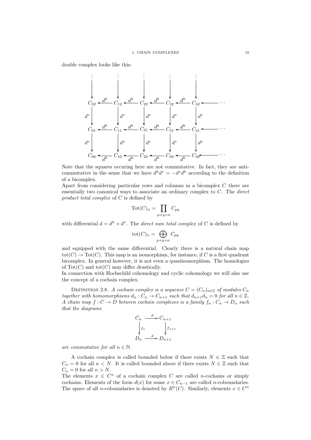double complex looks like this:



Note that the squares occuring here are not commutative. In fact, they are anticommutative in the sense that we have  $d^h d^v = -d^v d^h$  according to the definition of a bicomplex.

Apart from considering particular rows and columns in a bicomplex C there are essentially two canonical ways to associate an ordinary complex to C. The direct product total complex of C is defined by

$$
\operatorname{Tot}(C)_n = \prod_{p+q=n} C_{pq}
$$

with differential  $d = d^h + d^v$ . The *direct sum total complex* of C is defined by

$$
\operatorname{tot}(C)_n = \bigoplus_{p+q=n} C_{pq}
$$

and equipped with the same differential. Clearly there is a natural chain map  $\text{tot}(C) \to \text{Tot}(C)$ . This map is an isomorphism, for instance, if C is a first quadrant bicomplex. In general however, it is not even a quasiisomorphism. The homologies of  $\text{Tot}(C)$  and  $\text{tot}(C)$  may differ drastically.

In connection with Hochschild cohomology and cyclic cohomology we will also use the concept of a cochain complex.

DEFINITION 2.8. A cochain complex is a sequence  $C = (C_n)_{n \in \mathbb{Z}}$  of modules  $C_n$ together with homomorphisms  $d_n: C_n \to C_{n+1}$  such that  $d_{n+1}d_n = 0$  for all  $n \in \mathbb{Z}$ . A chain map  $f: C \to D$  between cochain complexes is a family  $f_n: C_n \to D_n$  such that the diagrams



are commutative for all  $n \in \mathbb{N}$ .

A cochain complex is called bounded below if there exists  $N \in \mathbb{Z}$  such that  $C_n = 0$  for all  $n < N$ . It is called bounded above if there exists  $N \in \mathbb{Z}$  such that  $C_n = 0$  for all  $n > N$ .

The elements  $x \in C^n$  of a cochain complex C are called *n*-cochains or simply cochains. Elements of the form  $d(x)$  for some  $x \in C_{n-1}$  are called n-coboundaries. The space of all *n*-coboundaries is denoted by  $B<sup>n</sup>(C)$ . Similarly, elements  $x \in C<sup>n</sup>$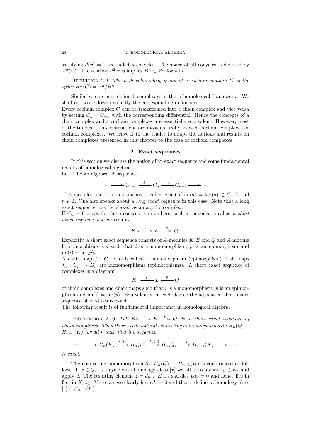satisfying  $d(x) = 0$  are called *n*-cocycles. The space of all cocycles is denoted by  $Z<sup>n</sup>(C)$ . The relation  $d<sup>2</sup> = 0$  implies  $B<sup>n</sup> \subset Z<sup>n</sup>$  for all n.

DEFINITION 2.9. The n-th cohomology group of a cochain complex  $C$  is the space  $H^n(C) = Z^n / B^n$ .

Similarly, one may define bicomplexes in the cohomological framework. We shall not write down explicitly the corresponding definitions.

Every cochain complex C can be transformed into a chain complex and vice versa by setting  $C_n = C_{-n}$  with the corresponding differential. Hence the concepts of a chain complex and a cochain complexes are essentially equivalent. However, most of the time certain constructions are most naturally viewed as chain complexes or cochain complexes. We leave it to the reader to adapt the notions and results on chain complexes presented in this chapter to the case of cochain complexes.

#### 2. Exact sequences

In this section we discuss the notion of an exact sequence and some fundamental results of homological algebra.

Let A be an algebra. A sequence

$$
\cdots \longrightarrow C_{n+1} \xrightarrow{d} C_n \xrightarrow{d} C_{n-1} \longrightarrow \cdots
$$

of A-modules and homomorphisms is called exact if  $\text{im}(d) = \text{ker}(d) \subset C_n$  for all  $n \in \mathbb{Z}$ . One also speaks about a *long exact sequence* in this case. Note that a long exact sequence may be viewed as an acyclic complex.

If  $C_n = 0$  exept for three consecutive numbers, such a sequence is called a *short* exact sequence and written as

$$
K \xrightarrow{i} E \xrightarrow{p} Q.
$$

Explicitly, a short exact sequence consists of  $A$ -modules  $K, E$  and  $Q$  and  $A$ -module homomorphisms  $i, p$  such that i is a monomorphism, p is an epimorphism and  $\text{im}(i) = \text{ker}(p).$ 

A chain map  $f: C \to D$  is called a monomorphism (epimorphism) if all maps  $f_n: C_n \to D_n$  are monomorphisms (epimorphisms). A short exact sequence of complexes is a diagram

$$
K \xrightarrow{i} E \xrightarrow{p} Q
$$

of chain complexes and chain maps such that  $i$  is a monomorphism,  $p$  is an epimorphism and  $\text{im}(i) = \text{ker}(p)$ . Equivalently, in each degree the associated short exact sequence of modules is exact.

The following result is of fundamental importance in homological algebra.

PROPOSITION 2.10. Let  $K \rightarrow k \rightarrow E \rightarrow Q$  be a short exact sequence of chain complexes. Then there exists natural connecting homomorphisms  $\partial : H_n(Q) \to$  $H_{n-1}(K)$  for all n such that the sequence

$$
\cdots \longrightarrow H_n(K) \xrightarrow{H_n(i)} H_n(E) \xrightarrow{H_n(p)} H_n(Q) \xrightarrow{\partial} H_{n-1}(K) \longrightarrow \cdots
$$

is exact.

The connecting homomorphism  $\partial : H_n(Q) \to H_{n-1}(K)$  is constructed as follows. If  $x \in Q_n$  is a cycle with homology class [x] we lift x to a chain  $y \in E_n$  and apply d. The resulting element  $z = dy \in E_{n-1}$  satisfies  $pdy = 0$  and hence lies in fact in  $K_{n-1}$ . Moreover we clearly have  $dz = 0$  and thus z defines a homology class  $[z] \in H_{n-1}(K)$ .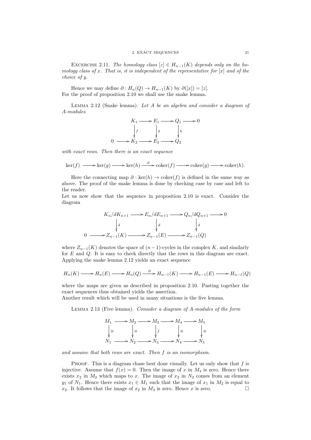#### 2. EXACT SEQUENCES 21

EXCERCISE 2.11. The homology class  $[z] \in H_{n-1}(K)$  depends only on the homology class of x. That is, it is independent of the representative for  $[x]$  and of the choice of y.

Hence we may define  $\partial : H_n(Q) \to H_{n-1}(K)$  by  $\partial([x]) = [z]$ . For the proof of proposition 2.10 we shall use the snake lemma.

LEMMA  $2.12$  (Snake lemma). Let A be an algebra and consider a diagram of A-modules



with exact rows. Then there is an exact sequence

$$
\ker(f) \longrightarrow \ker(g) \longrightarrow \ker(h) \xrightarrow{\partial} \operatorname{coker}(f) \longrightarrow \operatorname{coker}(g) \longrightarrow \operatorname{coker}(h).
$$

Here the connecting map  $\partial$ : ker(h)  $\rightarrow$  coker(f) is defined in the same way as above. The proof of the snake lemma is done by checking case by case and left to the reader.

Let us now show that the sequence in proposition 2.10 is exact. Consider the diagram

$$
K_n/dK_{n+1} \longrightarrow E_n/dE_{n+1} \longrightarrow Q_n/dQ_{n+1} \longrightarrow 0
$$
  
\n
$$
\downarrow d \qquad \qquad \downarrow d \qquad \qquad \downarrow d
$$
  
\n
$$
0 \longrightarrow Z_{n-1}(K) \longrightarrow Z_{n-1}(E) \longrightarrow Z_{n-1}(Q)
$$

where  $Z_{n-1}(K)$  denotes the space of  $(n-1)$ -cycles in the complex K, and similarly for E and Q. It is easy to check directly that the rows in this diagram are exact. Applying the snake lemma 2.12 yields an exact sequence

$$
H_n(K) \longrightarrow H_n(E) \longrightarrow H_n(Q) \stackrel{\partial}{\longrightarrow} H_{n-1}(K) \longrightarrow H_{n-1}(E) \longrightarrow H_{n-1}(Q)
$$

where the maps are given as described in proposition 2.10. Pasting together the exact sequences thus obtained yields the assertion.

Another result which will be used in many situations is the five lemma.

LEMMA 2.13 (Five lemma). Consider a diagram of A-modules of the form



and assume that both rows are exact. Then f is an isomorphism.

PROOF. This is a diagram chase best done visually. Let us only show that  $f$  is injective. Assume that  $f(x) = 0$ . Then the image of x in  $M_4$  is zero. Hence there exists  $x_2$  in  $M_2$  which maps to x. The image of  $x_2$  in  $N_2$  comes from an element y<sub>1</sub> of N<sub>1</sub>. Hence there exists  $x_1 \in M_1$  such that the image of  $x_1$  in  $M_2$  is equal to  $x_2$ . It follows that the image of  $x_2$  in  $M_3$  is zero. Hence x is zero.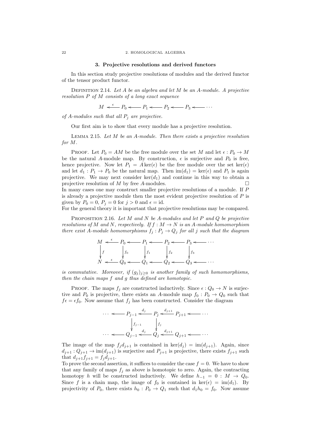22 2. HOMOLOGICAL ALGEBRA

#### 3. Projective resolutions and derived functors

In this section study projective resolutions of modules and the derived functor of the tensor product functor.

DEFINITION 2.14. Let  $A$  be an algebra and let  $M$  be an  $A$ -module. A projective resolution P of M consists of a long exact sequence

 $M \leftarrow P_0 \leftarrow P_1 \leftarrow P_2 \leftarrow P_3 \leftarrow \cdots$ 

of  $A$ -modules such that all  $P_i$  are projective.

Our first aim is to show that every module has a projective resolution.

LEMMA 2.15. Let  $M$  be an A-module. Then there exists a projective resolution for M.

PROOF. Let  $P_0 = AM$  be the free module over the set M and let  $\epsilon: P_0 \to M$ be the natural A-module map. By construction,  $\epsilon$  is surjective and  $P_0$  is free, hence projective. Now let  $P_1 = A \text{ker}(\epsilon)$  be the free module over the set  $\text{ker}(\epsilon)$ and let  $d_1$ :  $P_1 \rightarrow P_0$  be the natural map. Then  $\text{im}(d_1) = \text{ker}(\epsilon)$  and  $P_1$  is again projective. We may next consider  $\ker(d_1)$  and continue in this way to obtain a projective resolution of  $M$  by free A-modules. In many cases one may construct smaller projective resolutions of a module. If P

is already a projective module then the most evident projective resolution of  $P$  is given by  $P_0 = 0$ ,  $P_j = 0$  for  $j > 0$  and  $\epsilon = id$ .

For the general theory it is important that projective resolutions may be compared.

PROPOSITION 2.16. Let M and N be A-modules and let P and Q be projective resolutions of M and N, respectively. If  $f : M \to N$  is an A-module homomorphism there exist A-module homomorphisms  $f_j : P_j \to Q_j$  for all j such that the diagram



is commutative. Moreover, if  $(g_j)_{j\geq 0}$  is another family of such homomorphisms, then the chain maps f and g thus defined are homotopic.

PROOF. The maps  $f_j$  are constructed inductively. Since  $\epsilon: Q_0 \to N$  is surjective and  $P_0$  is projective, there exists an A-module map  $f_0: P_0 \to Q_0$  such that  $f \epsilon = \epsilon f_0$ . Now assume that  $f_j$  has been constructed. Consider the diagram

$$
\cdots \leftarrow P_{j-1} \leftarrow \begin{matrix} d_j & & & & \\ & & & & \\ & & & & \\ & & & & \\ & & & & \\ & & & & & \\ & & & & & \\ & & & & & \\ & & & & & & \\ & & & & & & \\ & & & & & & & \\ & & & & & & & \\ & & & & & & & \\ & & & & & & & & \\ & & & & & & & & \\ & & & & & & & & & \\ & & & & & & & & & \\ & & & & & & & & & & \\ & & & & & & & & & & \\ & & & & & & & & & & & \\ & & & & & & & & & & & \\ & & & & & & & & & & & & \\ & & & & & & & & & & & & \\ & & & & & & & & & & & & & \\ & & & & & & & & & & & & & \\ & & & & & & & & & & & & & \\ & & & & & & & & & & & & & \\ & & & & & & & & & & & & & \\ & & & &
$$

The image of the map  $f_j d_{j+1}$  is contained in  $\ker(d_j) = \text{im}(d_{j+1})$ . Again, since  $d_{j+1}: Q_{j+1} \to \text{im}(d_{j+1})$  is surjective and  $P_{j+1}$  is projective, there exists  $f_{j+1}$  such that  $d_{i+1}f_{i+1} = f_i d_{i+1}$ .

To prove the second assertion, it suffices to consider the case  $f = 0$ . We have to show that any family of maps  $f_j$  as above is homotopic to zero. Again, the contracting homotopy h will be constructed inductively. We define  $h_{-1} = 0 : M \rightarrow Q_0$ . Since f is a chain map, the image of  $f_0$  is contained in  $\ker(\epsilon) = \text{im}(d_1)$ . By projectivity of  $P_0$ , there exists  $h_0 : P_0 \to Q_1$  such that  $d_1 h_0 = f_0$ . Now assume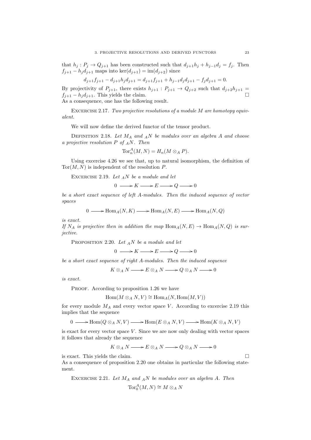that  $h_j: P_j \to Q_{j+1}$  has been constructed such that  $d_{j+1}h_j + h_{j-1}d_j = f_j$ . Then  $f_{j+1} - h_j d_{j+1}$  maps into ker $(d_{j+1}) = \text{im}(d_{j+2})$  since

$$
d_{j+1}f_{j+1} - d_{j+1}h_jd_{j+1} = d_{j+1}f_{j+1} + h_{j-1}d_jd_{j+1} - f_jd_{j+1} = 0.
$$

By projectivity of  $P_{j+1}$ , there exists  $h_{j+1} : P_{j+1} \to Q_{j+2}$  such that  $d_{j+2}h_{j+1} =$  $f_{i+1} - h_i d_{i+1}$ . This yields the claim.

As a consequence, one has the following result.

EXCERCISE 2.17. Two projective resolutions of a module M are homotopy equivalent.

We will now define the derived functor of the tensor product.

DEFINITION 2.18. Let  $M_A$  and  $_A N$  be modules over an algebra A and choose a projective resolution  $P$  of  $_AN$ . Then

$$
\operatorname{Tor}^A_n(M,N) = H_n(M \otimes_A P).
$$

Using excercise 4.26 we see that, up to natural isomorphism, the definition of  $Tor(M, N)$  is independent of the resolution P.

EXCERCISE 2.19. Let  $_A N$  be a module and let

 $0 \longrightarrow K \longrightarrow E \longrightarrow Q \longrightarrow 0$ 

be a short exact sequence of left A-modules. Then the induced sequence of vector spaces

 $0 \longrightarrow \text{Hom}_{A}(N, K) \longrightarrow \text{Hom}_{A}(N, E) \longrightarrow \text{Hom}_{A}(N, Q)$ 

is exact.

If  $N_A$  is projective then in addition the map  $\text{Hom}_A(N, E) \to \text{Hom}_A(N, Q)$  is surjective.

PROPOSITION 2.20. Let  $_A N$  be a module and let

$$
0 \longrightarrow K \longrightarrow E \longrightarrow Q \longrightarrow 0
$$

be a short exact sequence of right A-modules. Then the induced sequence

$$
K \otimes_A N \longrightarrow E \otimes_A N \longrightarrow Q \otimes_A N \longrightarrow 0
$$

is exact.

PROOF. According to proposition 1.26 we have

$$
\operatorname{Hom}(M \otimes_A N, V) \cong \operatorname{Hom}_A(N, \operatorname{Hom}(M, V))
$$

for every module  $M_A$  and every vector space V. According to excercise 2.19 this implies that the sequence

$$
0 \longrightarrow \text{Hom}(Q \otimes_A N, V) \longrightarrow \text{Hom}(E \otimes_A N, V) \longrightarrow \text{Hom}(K \otimes_A N, V)
$$

is exact for every vector space  $V$ . Since we are now only dealing with vector spaces it follows that already the sequence

$$
K \otimes_A N \longrightarrow E \otimes_A N \longrightarrow Q \otimes_A N \longrightarrow 0
$$

is exact. This yields the claim.

As a consequence of proposition 2.20 one obtains in particular the following statement.

EXECERCISE 2.21. Let 
$$
M_A
$$
 and  ${}_AN$  be modules over an algebra A. Then  
\n
$$
Tor_0^A(M, N) \cong M \otimes_A N
$$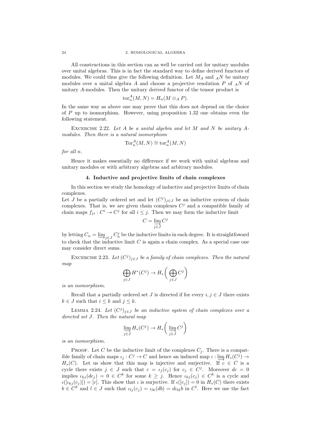All constructions in this section can as well be carried out for unitary modules over unital algebras. This is in fact the standard way to define derived functors of modules. We could thus give the following definition. Let  $M_A$  and  $_A N$  be unitary modules over a unital algebra A and choose a projective resolution  $P$  of  $_A N$  of unitary A-modules. Then the unitary derived functor of the tensor product is

$$
\mathrm{tor}_n^A(M, N) = H_n(M \otimes_A P).
$$

In the same way as above one may prove that this does not depend on the choice of  $P$  up to isomorphism. However, using proposition 1.32 one obtains even the following statement.

EXCERCISE 2.22. Let  $A$  be a unital algebra and let  $M$  and  $N$  be unitary  $A$ modules. Then there is a natural isomorphism

$$
\operatorname{Tor}^A_n(M,N) \cong \operatorname{tor}^A_n(M,N)
$$

for all n.

Hence it makes essentially no difference if we work with unital algebras and unitary modules or with arbitrary algebras and arbitrary modules.

#### 4. Inductive and projective limits of chain complexes

In this section we study the homology of inductive and projective limits of chain complexes.

Let J be a partially ordered set and let  $(C<sup>j</sup>)<sub>j\in J</sub>$  be an inductive system of chain complexes. That is, we are given chain complexes  $C<sup>j</sup>$  and a compatible family of chain maps  $f_{ji}: C^i \to C^j$  for all  $i \leq j$ . Then we may form the inductive limit

$$
C = \varinjlim_{j \in J} C^j
$$

by letting  $C_n = \underline{\lim}_{j \in J} C_n^j$  be the inductive limits in each degree. It is straightfoward to check that the inductive limit  $C$  is again a chain complex. As a special case one may consider direct sums.

EXCERCISE 2.23. Let  $(C^j)_{j \in J}$  be a family of chain complexes. Then the natural map

$$
\bigoplus_{j\in J} H^*(C^j) \to H_*\bigg(\bigoplus_{j\in J} C^j\bigg)
$$

is an isomorphism.

Recall that a partially ordered set J is directed if for every  $i, j \in J$  there exists  $k \in J$  such that  $i \leq k$  and  $j \leq k$ .

LEMMA 2.24. Let  $(C^j)_{j\in J}$  be an inductive system of chain complexes over a directed set J. Then the natural map

$$
\varinjlim_{j\in J}H_*(C^j)\to H_*\bigg(\varinjlim_{j\in J}C^j\bigg)
$$

is an isomorphism.

PROOF. Let C be the inductive limit of the complexes  $C_j$ . There is a compatible family of chain maps  $\iota_j : C^j \to C$  and hence an induced map  $\iota : \varinjlim H_*(C^j) \to$  $H_*(C)$ . Let us show that this map is injective and surjective. If  $c \in C$  is a cycle there exists  $j \in J$  such that  $c = \iota_j(c_j)$  for  $c_j \in C^j$ . Moreover  $dc = 0$ implies  $\iota_{kj}(dc_j) = 0 \in C^k$  for some  $k \geq j$ . Hence  $\iota_{kj}(c_j) \in C^k$  is a cycle and  $\iota([i_{kj}(c_j)]) = [c]$ . This show that  $\iota$  is surjective. If  $\iota([c_j]) = 0$  in  $H_*(C)$  there exists  $b \in C^k$  and  $l \in J$  such that  $\iota_{lj}(c_j) = \iota_{lk}(db) = d\iota_{lk}b$  in  $C^l$ . Here we use the fact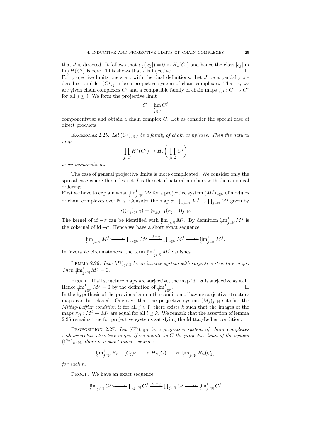that J is directed. It follows that  $\iota_{lj}([c_j]) = 0$  in  $H_*(C^l)$  and hence the class  $[c_j]$  in  $\lim_{\longrightarrow} H(C^j)$  is zero. This shows that  $\iota$  is injective. For projective limits one start with the dual definitions. Let J be a partially ordered set and let  $(C^{j})_{j\in J}$  be a projective system of chain complexes. That is, we are given chain complexes  $C^j$  and a compatible family of chain maps  $f_{ji}: C^i \to C^j$ 

$$
C=\varprojlim_{j\in J}C^j
$$

componentwise and obtain a chain complex C. Let us consider the special case of direct products.

EXCERCISE 2.25. Let  $(C^j)_{j \in J}$  be a family of chain complexes. Then the natural map

$$
\prod_{j\in J} H^*(C^j) \to H_*\bigg(\prod_{j\in J} C^j\bigg)
$$

is an isomorphism.

for all  $j \leq i$ . We form the projective limit

The case of general projective limits is more complicated. We consider only the special case where the index set  $J$  is the set of natural numbers with the canonical ordering.

First we have to explain what  $\varprojlim_{j\in\mathbb{N}} M^j$  for a projective system  $(M^j)_{j\in\mathbb{N}}$  of modules or chain complexes over N is. Consider the map  $\sigma: \prod_{j\in\mathbb{N}} M^j \to \prod_{j\in\mathbb{N}} M^j$  given by

$$
\sigma((x_j)_{j\in\mathbb{N}})=(\pi_{j,j+1}(x_{j+1}))_{j\in\mathbb{N}}.
$$

The kernel of id  $-\sigma$  can be identified with  $\varprojlim_{j\in\mathbb{N}} M^j$ . By definition  $\varprojlim_{j\in\mathbb{N}} M^j$  is the cokernel of id  $-\sigma$ . Hence we have a short exact sequence

$$
\varprojlim\nolimits_{j\in\mathbb{N}}M^j{\longrightarrow\!\!\!\!\!\!\!\!\longrightarrow} \prod\nolimits_{j\in\mathbb{N}}M^j\stackrel{{\rm id}-\sigma}{\longrightarrow}\prod\nolimits_{j\in\mathbb{N}}M^j{\longrightarrow\!\!\!\!\!\longrightarrow} \varprojlim\nolimits_{j\in\mathbb{N}}M^j.
$$

In favorable circumstances, the term  $\varprojlim_{j\in\mathbb{N}}^1 M^j$  vanishes.

LEMMA 2.26. Let  $(M^{j})_{j\in\mathbb{N}}$  be an inverse system with surjective structure maps. Then  $\underbrace{\lim}^1_{j \in \mathbb{N}} M^j = 0.$ 

PROOF. If all structure maps are surjective, the map id  $-\sigma$  is surjective as well. Hence  $\varprojlim_{j\in\mathbb{N}} M^j = 0$  by the definition of  $\varprojlim_{j\in\mathbb{N}}$ .

In the hypothesis of the previous lemma the condition of having surjective structure maps can be relaxed. One says that the projective system  $(M_j)_{j\in\mathbb{N}}$  satisfies the Mittag-Leffler condition if for all  $j \in \mathbb{N}$  there exists k such that the images of the maps  $\pi_{il} : M^l \to M^j$  are equal for all  $l \geq k$ . We remark that the assertion of lemma 2.26 remains true for projective systems satisfying the Mittag-Leffler condition.

PROPOSITION 2.27. Let  $(C^n)_{n\in\mathbb{N}}$  be a projective system of chain complexes with surjective structure maps. If we denote by  $C$  the projective limit of the system  $(C<sup>n</sup>)<sub>n∈N</sub>$ , there is a short exact sequence

$$
\underleftarrow{\lim_{j \in \mathbb{N}} H_{n+1}(C_j)} \longrightarrow H_n(C) \longrightarrow \underleftarrow{\lim_{j \in \mathbb{N}} H_n(C_j)}
$$

for each n.

PROOF. We have an exact sequence

$$
\underleftarrow{\lim}_{j \in \mathbb{N}} C^j \longrightarrow \prod_{j \in \mathbb{N}} C^j \xrightarrow{\text{id} - \sigma} \prod_{j \in \mathbb{N}} C^j \longrightarrow \underleftarrow{\lim}_{j \in \mathbb{N}} C^j
$$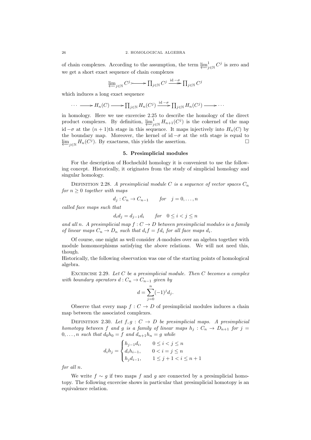of chain complexes. According to the assumption, the term  $\varprojlim_{j\in\mathbb{N}} C^j$  is zero and we get a short exact sequence of chain complexes

$$
\lim_{\leftarrow} C^j \longrightarrow \prod_{j \in \mathbb{N}} C^j \xrightarrow{\mathrm{id} - \sigma} \prod_{j \in \mathbb{N}} C^j
$$

which induces a long exact sequence

$$
\cdots \longrightarrow H_n(C) \longrightarrow \prod_{j \in \mathbb{N}} H_n(C^j) \xrightarrow{\mathrm{id} - \sigma} \prod_{j \in \mathbb{N}} H_n(C^j) \longrightarrow \cdots
$$

in homology. Here we use excercise 2.25 to describe the homology of the direct product complexes. By definition,  $\varprojlim_{j\in\mathbb{N}}^1 H_{n+1}(C^j)$  is the cokernel of the map id  $-σ$  at the  $(n + 1)$ th stage in this sequence. It maps injectively into  $H_n(C)$  by the boundary map. Moreover, the kernel of id  $-\sigma$  at the *n*th stage is equal to  $\lim_{j \in \mathbb{N}} H_n(C^j)$ . By exactness, this yields the assertion.

#### 5. Presimplicial modules

For the description of Hochschild homology it is convenient to use the following concept. Historically, it originates from the study of simplicial homology and singular homology.

DEFINITION 2.28. A presimplicial module C is a sequence of vector spaces  $C_n$ for  $n \geq 0$  together with maps

$$
d_j: C_n \to C_{n-1} \qquad for \quad j = 0, \dots, n
$$

called face maps such that

$$
d_i d_j = d_{j-1} d_i \qquad \text{for} \quad 0 \le i < j \le n
$$

and all n. A presimplicial map  $f: C \to D$  between presimplicial modules is a family of linear maps  $C_n \to D_n$  such that  $d_i f = f d_i$  for all face maps  $d_i$ .

Of course, one might as well consider A-modules over an algebra together with module homomorphisms satisfying the above relations. We will not need this, though.

Historically, the following observation was one of the starting points of homological algebra.

EXCERCISE 2.29. Let  $C$  be a presimplicial module. Then  $C$  becomes a complex with boundary operators  $d: C_n \to C_{n-1}$  given by

$$
d = \sum_{j=0}^{n} (-1)^j d_j.
$$

Observe that every map  $f: C \to D$  of presimplicial modules induces a chain map between the associated complexes.

DEFINITION 2.30. Let  $f, g : C \to D$  be presimplicial maps. A presimplicial homotopy between f and g is a family of linear maps  $h_j : C_n \to D_{n+1}$  for  $j =$  $0, \ldots, n$  such that  $d_0h_0 = f$  and  $d_{n+1}h_n = g$  while

$$
d_i h_j = \begin{cases} h_{j-1} d_i, & 0 \le i < j \le n \\ d_i h_{i-1}, & 0 < i = j \le n \\ h_j d_{i-1}, & 1 \le j+1 < i \le n+1 \end{cases}
$$

for all n.

We write  $f \sim g$  if two maps f and g are connected by a presimplicial homotopy. The following excercise shows in particular that presimplicial homotopy is an equivalence relation.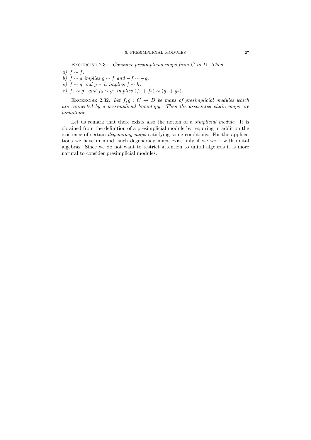EXCERCISE 2.31. Consider presimplicial maps from  $C$  to  $D$ . Then a)  $f \sim f$ .

- b)  $f \sim g$  implies  $g \sim f$  and  $-f \sim -g$ .
- c)  $f \sim g$  and  $g \sim h$  implies  $f \sim h$ .
- c)  $f_1 \sim g_1$  and  $f_2 \sim g_2$  implies  $(f_1 + f_2) \sim (g_1 + g_2)$ .

EXCERCISE 2.32. Let  $f, g : C \to D$  be maps of presimplicial modules which are connected by a presimplicial homotopy. Then the associated chain maps are homotopic.

Let us remark that there exists also the notion of a simplicial module. It is obtained from the definition of a presimplicial module by requiring in addition the existence of certain degeneracy maps satisfying some conditions. For the applications we have in mind, such degeneracy maps exist only if we work with unital algebras. Since we do not want to restrict attention to unital algebras it is more natural to consider presimplicial modules.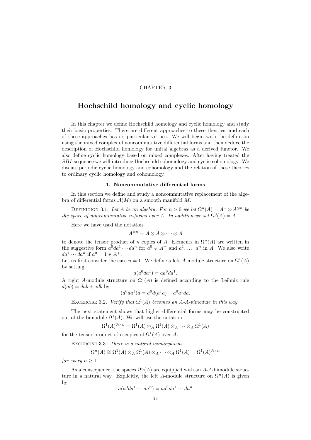## CHAPTER 3

# Hochschild homology and cyclic homology

In this chapter we define Hochschild homology and cyclic homology and study their basic properties. There are different approaches to these theories, and each of these approaches has its particular virtues. We will begin with the definition using the mixed complex of noncommutative differential forms and then deduce the description of Hochschild homology for unital algebras as a derived functor. We also define cyclic homology based on mixed complexes. After having treated the SBI-sequence we will introduce Hochschild cohomology and cyclic cohomology. We discuss periodic cyclic homology and cohomology and the relation of these theories to ordinary cyclic homology and cohomology.

#### 1. Noncommutative differential forms

In this section we define and study a noncommutative replacement of the algebra of differential forms  $\mathcal{A}(M)$  on a smooth manifold M.

DEFINITION 3.1. Let A be an algebra. For  $n > 0$  we let  $\Omega^n(A) = A^+ \otimes A^{\otimes n}$  be the space of noncommutative n-forms over A. In addition we set  $\Omega^0(A) = A$ .

Here we have used the notation

$$
A^{\otimes n} = A \otimes A \otimes \cdots \otimes A
$$

to denote the tensor product of n copies of A. Elements in  $\Omega^{n}(A)$  are written in the suggestive form  $a^0 da^1 \cdots da^n$  for  $a^0 \in A^+$  and  $a^1, \ldots, a^n$  in A. We also write  $da^1 \cdots da^n$  if  $a^0 = 1 \in A^+$ .

Let us first consider the case  $n = 1$ . We define a left A-module structure on  $\Omega^1(A)$ by setting

$$
a(a^0da^1) = aa^0da^1.
$$

A right A-module structure on  $\Omega^1(A)$  is defined according to the Leibniz rule  $d(ab) = dab + adb$  by

 $(a^0 da^1)a = a^0 d(a^1 a) - a^0 a^1 da.$ 

EXCERCISE 3.2. Verify that  $\Omega^1(A)$  becomes an A-A-bimodule in this way.

The next statement shows that higher differential forms may be constructed out of the bimodule  $\Omega^1(A)$ . We will use the notation

$$
\Omega^1(A)^{\otimes_A n} = \Omega^1(A) \otimes_A \Omega^1(A) \otimes_A \cdots \otimes_A \Omega^1(A)
$$

for the tensor product of n copies of  $\Omega^1(A)$  over A.

EXCERCISE 3.3. There is a natural isomorphism

$$
\Omega^n(A) \cong \Omega^1(A) \otimes_A \Omega^1(A) \otimes_A \cdots \otimes_A \Omega^1(A) = \Omega^1(A)^{\otimes_A n}
$$

for every  $n \geq 1$ .

As a consequence, the spaces  $\Omega^{n}(A)$  are equipped with an A-A-bimodule structure in a natural way. Explicitly, the left A-module structure on  $\Omega^{n}(A)$  is given by

$$
a(a^0da^1\cdots da^n) = aa^0da^1\cdots da^n
$$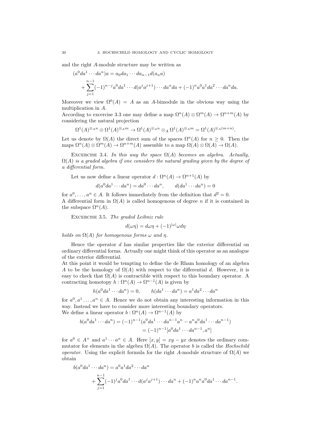and the right A-module structure may be written as

$$
(a^{0}da^{1}\cdots da^{n})a = a_{0}da_{1}\cdots da_{n-1}d(a_{n}a)
$$
  
+ 
$$
\sum_{j=1}^{n-1}(-1)^{n-j}a^{0}da^{1}\cdots d(a^{j}a^{j+1})\cdots da^{n}da + (-1)^{n}a^{0}a^{1}da^{2}\cdots da^{n}da.
$$

Moreover we view  $\Omega^{0}(A) = A$  as an A-bimodule in the obvious way using the multiplication in A.

According to excercise 3.3 one may define a map  $\Omega^{n}(A) \otimes \Omega^{m}(A) \to \Omega^{n+m}(A)$  by considering the natural projection

$$
\Omega^1(A)^{\otimes_A n} \otimes \Omega^1(A)^{\otimes_A m} \to \Omega^1(A)^{\otimes_A n} \otimes_A \Omega^1(A)^{\otimes_A m} = \Omega^1(A)^{\otimes_A (m+n)}.
$$

Let us denote by  $\Omega(A)$  the direct sum of the spaces  $\Omega^{n}(A)$  for  $n \geq 0$ . Then the maps  $\Omega^n(A) \otimes \Omega^m(A) \to \Omega^{n+m}(A)$  assemble to a map  $\Omega(A) \otimes \Omega(A) \to \Omega(A)$ .

EXCERCISE 3.4. In this way the space  $\Omega(A)$  becomes an algebra. Actually,  $\Omega(A)$  is a graded algebra if one considers the natural grading given by the degree of a differential form.

Let us now define a linear operator  $d: \Omega^n(A) \to \Omega^{n+1}(A)$  by

$$
d(a^0da^1\cdots da^n) = da^0\cdots da^n, \qquad d(da^1\cdots da^n) = 0
$$

for  $a^0, \ldots, a^n \in A$ . It follows immediately from the definition that  $d^2 = 0$ . A differential form in  $\Omega(A)$  is called homogenous of degree n if it is contained in the subspace  $\Omega^n(A)$ .

EXCERCISE 3.5. The graded Leibniz rule

$$
d(\omega \eta) = d\omega \eta + (-1)^{|\omega|} \omega d\eta
$$

holds on  $\Omega(A)$  for homogenous forms  $\omega$  and  $\eta$ .

Hence the operator  $d$  has similar properties like the exterior differential on ordinary differential forms. Actually one might think of this operator as an analogue of the exterior differential.

At this point it would be tempting to define the de Rham homology of an algebra A to be the homology of  $\Omega(A)$  with respect to the differential d. However, it is easy to check that  $\Omega(A)$  is contractible with respect to this boundary operator. A contracting homotopy  $h: \Omega^n(A) \to \Omega^{n-1}(A)$  is given by

$$
h(a^0da^1\cdots da^n) = 0, \qquad h(da^1\cdots da^n) = a^1da^2\cdots da^n
$$

for  $a^0, a^1, \ldots, a^n \in A$ . Hence we do not obtain any interesting information in this way. Instead we have to consider more interesting boundary operators. We define a linear operator  $b: \Omega^n(A) \to \Omega^{n-1}(A)$  by

$$
b(a^0da^1\cdots da^n) = (-1)^{n-1}(a^0da^1\cdots da^{n-1}a^n - a^na^0da^1\cdots da^{n-1})
$$
  
=  $(-1)^{n-1}[a^0da^1\cdots da^{n-1}, a^n]$ 

for  $a^0 \in A^+$  and  $a^1 \cdots a^n \in A$ . Here  $[x, y] = xy - yx$  denotes the ordinary commutator for elements in the algebra  $\Omega(A)$ . The operator b is called the Hochschild operator. Using the explicit formula for the right A-module structure of  $\Omega(A)$  we obtain

$$
b(a^0da^1 \cdots da^n) = a^0a^1da^2 \cdots da^n
$$
  
+ 
$$
\sum_{j=1}^{n-1} (-1)^j a^0 da^1 \cdots d(a^j a^{j+1}) \cdots da^n + (-1)^n a^n a^0 da^1 \cdots da^{n-1}.
$$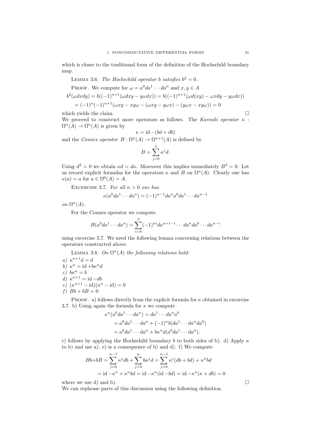which is closer to the traditional form of the definition of the Hochschild boundary map.

LEMMA 3.6. The Hochschild operator b satisfies  $b^2 = 0$ .

PROOF. We compute for 
$$
\omega = a^0 da^1 \cdots da^n
$$
 and  $x, y \in A$   
\n
$$
b^2(\omega dx dy) = b((-1)^{n+1}(\omega dx y - y\omega dx)) = b((-1)^{n+1}(\omega d(xy) - \omega x dy - y\omega dx))
$$
\n
$$
= (-1)^n (-1)^{n+1}(\omega xy - xy\omega - (\omega xy - y\omega x) - (y\omega x - xy\omega)) = 0
$$

which yields the claim.  $\hfill \Box$ 

We proceed to construct more operators as follows. The Karoubi operator  $\kappa$ :  $\Omega^{n}(A) \to \Omega^{n}(A)$  is given by

$$
\kappa = \mathrm{id} - (bd + db)
$$

and the Connes operator  $B: \Omega^n(A) \to \Omega^{n+1}(A)$  is defined by

$$
B = \sum_{j=0}^{n} \kappa^j d.
$$

Using  $d^2 = 0$  we obtain  $\kappa d = d\kappa$ . Moreover this implies immediately  $B^2 = 0$ . Let us record explicit formulas for the operators  $\kappa$  and B on  $\Omega^n(A)$ . Clearly one has  $\kappa(a) = a$  for  $a \in \Omega^0(A) = A$ .

EXCERCISE 3.7. For all  $n > 0$  one has

$$
\kappa(a^0da^1\cdots da^n) = (-1)^{n-1}da^na^0da^1\cdots da^{n-1}
$$

on  $\Omega^n(A)$ .

For the Connes operator we compute

$$
B(a^0da^1\cdots da^n)=\sum_{i=0}^n(-1)^{ni}da^{n+1-i}\cdots da^nda^0\cdots da^{n-i}
$$

using excercise 3.7. We need the following lemma concerning relations between the operators constructed above.

LEMMA 3.8. On 
$$
\Omega^n(A)
$$
 the following relations hold:

a)  $\kappa^{n+1}d = d$ b)  $\kappa^n = \mathrm{id} + b\kappa^n d$ c)  $b\kappa^n = b$ d)  $\kappa^{n+1} = \mathrm{id} - db$ e)  $(\kappa^{n+1} - \mathrm{id})(\kappa^n - \mathrm{id}) = 0$ f)  $Bb + bB = 0$ 

PROOF. a) follows directly from the explicit formula for  $\kappa$  obtained in excercise 3.7. b) Using again the formula for  $\kappa$  we compute

$$
\kappa^{n}(a^{0}da^{1}\cdots da^{n}) = da^{1}\cdots da^{n}a^{0}
$$
  
=  $a^{0}da^{1}\cdots da^{n} + (-1)^{n}b(da^{1}\cdots da^{n}da^{0})$   
=  $a^{0}da^{1}\cdots da^{n} + bk^{n}d(a^{0}da^{1}\cdots da^{n}).$ 

c) follows by applying the Hochschild boundary b to both sides of b). d) Apply  $\kappa$ to b) and use a). e) is a consequence of b) and d). f) We compute

$$
Bb + bB = \sum_{j=0}^{n-1} \kappa^j db + \sum_{j=0}^n b\kappa^j d = \sum_{j=0}^{n-1} \kappa^j (db + bd) + \kappa^n bd
$$
  
= id -\kappa^n + \kappa^n bd = id -\kappa^n (id - bd) = id -\kappa^n (\kappa + db) = 0

where we use d) and b).  $\Box$ 

We can rephrase parts of this discussion using the following definition.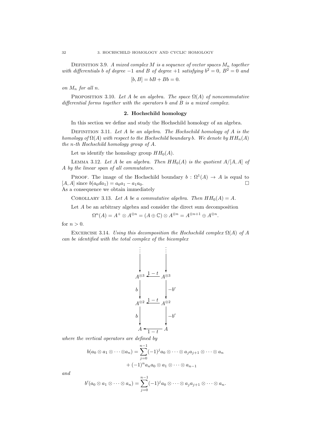DEFINITION 3.9. A mixed complex M is a sequence of vector spaces  $M_n$  together with differentials b of degree  $-1$  and B of degree  $+1$  satisfying  $b^2 = 0$ ,  $B^2 = 0$  and  $[5b] = kR + Rb - 0.$ 

$$
[b, B] = bB + Bb = 0
$$

on  $M_n$  for all n.

PROPOSITION 3.10. Let A be an algebra. The space  $\Omega(A)$  of noncommutative differential forms together with the operators b and B is a mixed complex.

### 2. Hochschild homology

In this section we define and study the Hochschild homology of an algebra.

DEFINITION 3.11. Let  $A$  be an algebra. The Hochschild homology of  $A$  is the homology of  $\Omega(A)$  with respect to the Hochschild boundary b. We denote by  $HH_n(A)$ the n-th Hochschild homology group of A.

Let us identify the homology group  $HH_0(A)$ .

LEMMA 3.12. Let A be an algebra. Then  $HH_0(A)$  is the quotient  $A/[A, A]$  of A by the linear span of all commutators.

PROOF. The image of the Hochschild boundary  $b : \Omega^1(A) \to A$  is equal to  $[A, A]$  since  $b(a_0da_1) = a_0a_1 - a_1a_0$ .

As a consequence we obtain immediately

COROLLARY 3.13. Let A be a commutative algebra. Then  $HH_0(A) = A$ .

Let A be an arbitrary algebra and consider the direct sum decomposition

$$
\Omega^n(A) = A^+ \otimes A^{\otimes n} = (A \oplus \mathbb{C}) \otimes A^{\otimes n} = A^{\otimes n+1} \oplus A^{\otimes n}.
$$

for  $n > 0$ .

EXCERCISE 3.14. Using this decomposition the Hochschild complex  $\Omega(A)$  of A can be identified with the total complex of the bicomplex



where the vertical operators are defined by

$$
b(a_0 \otimes a_1 \otimes \cdots \otimes a_n) = \sum_{j=0}^{n-1} (-1)^j a_0 \otimes \cdots \otimes a_j a_{j+1} \otimes \cdots \otimes a_n
$$

$$
+ (-1)^n a_n a_0 \otimes a_1 \otimes \cdots \otimes a_{n-1}
$$

and

$$
b'(a_0\otimes a_1\otimes \cdots \otimes a_n)=\sum_{j=0}^{n-1}(-1)^ja_0\otimes \cdots \otimes a_ja_{j+1}\otimes \cdots \otimes a_n.
$$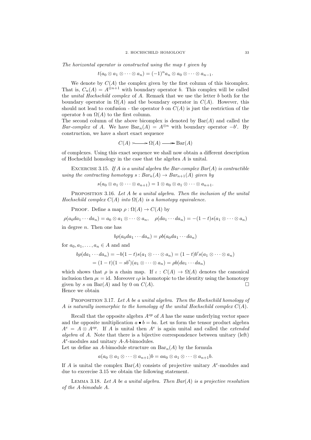The horizontal operator is constructed using the map t given by

$$
t(a_0\otimes a_1\otimes\cdots\otimes a_n)=(-1)^n a_n\otimes a_0\otimes\cdots\otimes a_{n-1}.
$$

We denote by  $C(A)$  the complex given by the first column of this bicomplex. That is,  $C_n(A) = A^{\otimes n+1}$  with boundary operator b. This complex will be called the unital Hochschild complex of A. Remark that we use the letter b both for the boundary operator in  $\Omega(A)$  and the boundary operator in  $C(A)$ . However, this should not lead to confusion - the operator b on  $C(A)$  is just the restriction of the operator b on  $\Omega(A)$  to the first column.

The second column of the above bicomplex is denoted by  $Bar(A)$  and called the Bar-complex of A. We have  $Bar_n(A) = A^{\otimes n}$  with boundary operator  $-b'$ . By construction, we have a short exact sequence

$$
C(A) \longrightarrow \Omega(A) \longrightarrow \text{Bar}(A)
$$

of complexes. Using this exact sequence we shall now obtain a different description of Hochschild homology in the case that the algebra A is unital.

EXCERCISE 3.15. If A is a unital algebra the Bar-complex  $Bar(A)$  is contractible using the contracting homotopy  $s : Bar_n(A) \to Bar_{n+1}(A)$  given by

$$
s(a_0\otimes a_1\otimes\cdots\otimes a_{n+1})=1\otimes a_0\otimes a_1\otimes\cdots\otimes a_{n+1}.
$$

PROPOSITION 3.16. Let A be a unital algebra. Then the inclusion of the unital Hochschild complex  $C(A)$  into  $\Omega(A)$  is a homotopy equivalence.

PROOF. Define a map  $\rho : \Omega(A) \to C(A)$  by

 $\rho(a_0da_1\cdots da_n)=a_0\otimes a_1\otimes\cdots\otimes a_n, \quad \rho(da_1\cdots da_n)=-(1-t)s(a_1\otimes\cdots\otimes a_n)$ in degree n. Then one has

$$
b\rho(a_0da_1\cdots da_n)=\rho b(a_0da_1\cdots da_n)
$$

for  $a_0, a_1, \ldots, a_n \in A$  and and

$$
b\rho(da_1\cdots da_n) = -b(1-t)s(a_1\otimes\cdots\otimes a_n) = (1-t)b's(a_1\otimes\cdots\otimes a_n)
$$
  
=  $(1-t)(1-sb')(a_1\otimes\cdots\otimes a_n) = \rho b(da_1\cdots da_n)$ 

which shows that  $\rho$  is a chain map. If  $\iota : C(A) \to \Omega(A)$  denotes the canonical inclusion then  $\rho = id$ . Moreover  $\iota \rho$  is homotopic to the identity using the homotopy given by s on  $Bar(A)$  and by 0 on  $C(A)$ . Hence we obtain

PROPOSITION 3.17. Let A be a unital algebra. Then the Hochschild homology of A is naturally isomorphic to the homology of the unital Hochschild complex  $C(A)$ .

Recall that the opposite algebra  $A^{op}$  of A has the same underlying vector space and the opposite multiplication  $a \bullet b = ba$ . Let us form the tensor product algebra  $A^e = A \otimes A^{op}$ . If A is unital then  $A^e$  is again unital and called the *extended* algebra of A. Note that there is a bijective correspondence between unitary (left)  $A<sup>e</sup>$ -modules and unitary  $A$ - $A$ -bimodules.

Let us define an A-bimodule structure on  $Bar_n(A)$  by the formula

 $a(a_0\otimes a_1\otimes \cdots \otimes a_{n+1})b = aa_0\otimes a_1\otimes \cdots \otimes a_{n+1}b.$ 

If A is unital the complex  $Bar(A)$  consists of projective unitary  $A^e$ -modules and due to excercise 3.15 we obtain the following statement.

LEMMA 3.18. Let A be a unital algebra. Then  $Bar(A)$  is a projective resolution of the A-bimodule A.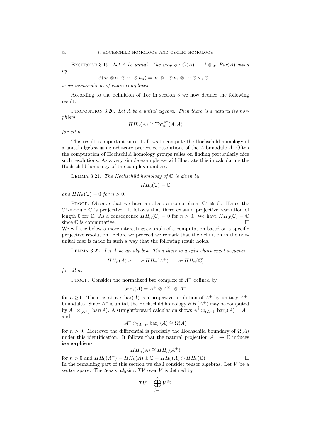EXCERCISE 3.19. Let A be unital. The map  $\phi: C(A) \to A \otimes_{A^e} Bar(A)$  given by

$$
\phi(a_0\otimes a_1\otimes\cdots\otimes a_n)=a_0\otimes 1\otimes a_1\otimes\cdots\otimes a_n\otimes 1
$$

is an isomorphism of chain complexes.

According to the definition of Tor in section 3 we now deduce the following result.

PROPOSITION 3.20. Let A be a unital algebra. Then there is a natural isomorphism

$$
HH_n(A) \cong \operatorname{Tor}_n^{A^e}(A, A)
$$

for all n.

This result is important since it allows to compute the Hochschild homology of a unital algebra using arbitrary projective resolutions of the A-bimodule A. Often the computation of Hochschild homology groups relies on finding particularly nice such resolutions. As a very simple example we will illustrate this in calculating the Hochschild homology of the complex numbers.

LEMMA 3.21. The Hochschild homology of  $\mathbb C$  is given by

$$
HH_0(\mathbb{C})=\mathbb{C}
$$

and  $HH_n(\mathbb{C}) = 0$  for  $n > 0$ .

PROOF. Observe that we have an algebra isomorphism  $\mathbb{C}^e \cong \mathbb{C}$ . Hence the  $\mathbb{C}^e$ -module  $\mathbb C$  is projective. It follows that there exists a projective resolution of length 0 for C. As a consequence  $HH_n(\mathbb{C}) = 0$  for  $n > 0$ . We have  $HH_0(\mathbb{C}) = \mathbb{C}$ since  $\mathbb C$  is commutative.

We will see below a more interesting example of a computation based on a specific projective resolution. Before we proceed we remark that the definition in the nonunital case is made in such a way that the following result holds.

LEMMA 3.22. Let  $A$  be an algebra. Then there is a split short exact sequence

$$
HH_n(A) \longrightarrow HH_n(A^+) \longrightarrow HH_n(\mathbb{C})
$$

for all n.

PROOF. Consider the normalized bar complex of  $A^+$  defined by

$$
bar_n(A) = A^+ \otimes A^{\otimes n} \otimes A^+
$$

for  $n \geq 0$ . Then, as above, bar(A) is a projective resolution of  $A^+$  by unitary  $A^+$ bimodules. Since  $A^+$  is unital, the Hochschild homology  $HH(A^+)$  may be computed by  $A^+ \otimes_{(A^+)^e}$  bar $(A)$ . A straightforward calculation shows  $A^+ \otimes_{(A^+)^e}$  bar $_0(A) = A^+$ and

$$
A^+ \otimes_{(A^+)^e} \text{bar}_n(A) \cong \Omega(A)
$$

for  $n > 0$ . Moreover the differential is precisely the Hochschild boundary of  $\Omega(A)$ under this identification. It follows that the natural projection  $A^+ \to \mathbb{C}$  induces isomorphisms

$$
HH_n(A) \cong HH_n(A^+)
$$

for  $n > 0$  and  $HH_0(A^+) = HH_0(A) \oplus \mathbb{C} = HH_0(A) \oplus HH_0(\mathbb{C})$ . In the remaining part of this section we shall consider tensor algebras. Let  $V$  be a vector space. The tensor algebra  $TV$  over  $V$  is defined by

$$
TV=\bigoplus_{j=1}^\infty V^{\otimes j}
$$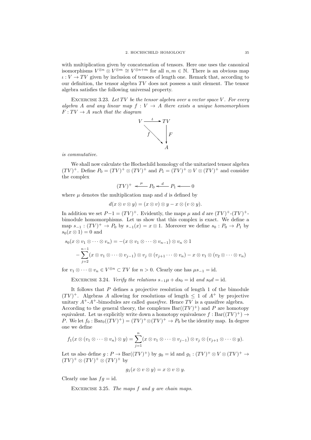with multiplication given by concatenation of tensors. Here one uses the canonical isomorphisms  $V^{\otimes n} \otimes V^{\otimes m} \cong V^{\otimes n+m}$  for all  $n, m \in \mathbb{N}$ . There is an obvious map  $\iota: V \to TV$  given by inclusion of tensors of length one. Remark that, according to our definition, the tensor algebra  $TV$  does not possess a unit element. The tensor algebra satisfies the following universal property.

EXCERCISE 3.23. Let TV be the tensor algebra over a vector space V. For every algebra A and any linear map  $f: V \rightarrow A$  there exists a unique homomorphism  $F: TV \rightarrow A$  such that the diagram



is commutative.

We shall now calculate the Hochschild homology of the unitarized tensor algebra  $(TV)^+$ . Define  $P_0 = (TV)^+ \otimes (TV)^+$  and  $P_1 = (TV)^+ \otimes V \otimes (TV)^+$  and consider the complex

$$
(TV)^{+} \stackrel{\mu}{\longleftarrow} P_0 \stackrel{d}{\longleftarrow} P_1 \longleftarrow 0
$$

where  $\mu$  denotes the multiplication map and  $d$  is defined by

$$
d(x \otimes v \otimes y) = (x \otimes v) \otimes y - x \otimes (v \otimes y).
$$

In addition we set  $P-1 = (TV)^+$ . Evidently, the maps  $\mu$  and d are  $(TV)^+$ - $(TV)^+$ bimodule homomorphisms. Let us show that this complex is exact. We define a map  $s_{-1} : (TV)^+ \to P_0$  by  $s_{-1}(x) = x \otimes 1$ . Moreover we define  $s_0 : P_0 \to P_1$  by  $s_0(x \otimes 1) = 0$  and

$$
s_0(x \otimes v_1 \otimes \cdots \otimes v_n) = -(x \otimes v_1 \otimes \cdots \otimes v_{n-1}) \otimes v_n \otimes 1
$$
  

$$
-\sum_{j=2}^{n-1} (x \otimes v_1 \otimes \cdots \otimes v_{j-1}) \otimes v_j \otimes (v_{j+1} \cdots \otimes v_n) - x \otimes v_1 \otimes (v_2 \otimes \cdots \otimes v_n)
$$

for  $v_1 \otimes \cdots \otimes v_n \in V^{\otimes n} \subset TV$  for  $n > 0$ . Clearly one has  $\mu s_{-1} = id$ .

EXCERCISE 3.24. Verify the relations  $s_{-1}\mu + ds_0 = id$  and  $s_0d = id$ .

It follows that  $P$  defines a projective resolution of length 1 of the bimodule  $(TV)^+$ . Algebras A allowing for resolutions of length  $\leq 1$  of  $A^+$  by projective unitary  $A^+A^+$ -bimodules are called *quasifree*. Hence TV is a quasifree algebra. According to the general theory, the complexes  $Bar((TV)^+)$  and P are homotopy equivalent. Let us explicitly write down a homotopy equivalence  $f : Bar((TV)^+) \rightarrow$ P. We let  $f_0: \text{Bar}_0((TV)^+) = (TV)^+ \otimes (TV)^+ \to P_0$  be the identity map. In degree one we define

$$
f_1(x \otimes (v_1 \otimes \cdots \otimes v_n) \otimes y) = \sum_{j=1}^n (x \otimes v_1 \otimes \cdots \otimes v_{j-1}) \otimes v_j \otimes (v_{j+1} \otimes \cdots \otimes y).
$$

Let us also define  $g: P \to \text{Bar}((TV)^+)$  by  $g_0 = \text{id}$  and  $g_1: (TV)^+ \otimes V \otimes (TV)^+ \to$  $(TV)^{+} \otimes (TV)^{+} \otimes (TV)^{+}$  by

$$
g_1(x \otimes v \otimes y) = x \otimes v \otimes y.
$$

Clearly one has  $fg = id$ .

EXCERCISE 3.25. The maps  $f$  and  $g$  are chain maps.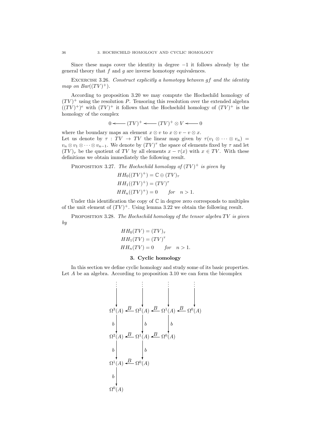Since these maps cover the identity in degree  $-1$  it follows already by the general theory that  $f$  and  $g$  are inverse homotopy equivalences.

EXCERCISE 3.26. Construct explicitly a homotopy between gf and the identity map on  $Bar((TV)^+).$ 

According to proposition 3.20 we may compute the Hochschild homology of  $(TV)^+$  using the resolution P. Tensoring this resolution over the extended algebra  $((TV)^+)^e$  with  $(TV)^+$  it follows that the Hochschild homology of  $(TV)^+$  is the homology of the complex

$$
0 \longleftarrow (TV)^{+} \longleftarrow (TV)^{+} \otimes V \longleftarrow 0
$$

where the boundary maps an element  $x \otimes v$  to  $x \otimes v - v \otimes x$ . Let us denote by  $\tau : TV \to TV$  the linear map given by  $\tau(v_1 \otimes \cdots \otimes v_n)$  $v_n \otimes v_1 \otimes \cdots \otimes v_{n-1}$ . We denote by  $(TV)^\tau$  the space of elements fixed by  $\tau$  and let  $(TV)_{\tau}$  be the quotient of TV by all elements  $x - \tau(x)$  with  $x \in TV$ . With these definitions we obtain immediately the following result.

PROPOSITION 3.27. The Hochschild homology of  $(TV)^+$  is given by

$$
HH_0((TV)^+) = \mathbb{C} \oplus (TV)_\tau
$$
  
\n
$$
HH_1((TV)^+) = (TV)^\tau
$$
  
\n
$$
HH_n((TV)^+) = 0 \quad \text{for} \quad n > 1.
$$

Under this identification the copy of  $\mathbb C$  in degree zero corresponds to multiples of the unit element of  $(TV)^+$ . Using lemma 3.22 we obtain the following result.

PROPOSITION 3.28. The Hochschild homology of the tensor algebra  $TV$  is given by

$$
HH_0(TV) = (TV)_{\tau}
$$
  
\n
$$
HH_1(TV) = (TV)^{\tau}
$$
  
\n
$$
HH_n(TV) = 0 \quad \text{for} \quad n > 1.
$$

#### 3. Cyclic homology

In this section we define cyclic homology and study some of its basic properties. Let A be an algebra. According to proposition 3.10 we can form the bicomplex

$$
\begin{array}{c}\n\vdots \\
\downarrow \\
\Omega^3(A) \stackrel{B}{\longrightarrow} \Omega^2(A) \stackrel{B}{\longrightarrow} \Omega^1(A) \stackrel{B}{\longrightarrow} \Omega^0(A) \\
\downarrow b \\
\Omega^2(A) \stackrel{B}{\longrightarrow} \Omega^1(A) \stackrel{B}{\longrightarrow} \Omega^0(A) \\
\downarrow b \\
\Omega^1(A) \stackrel{B}{\longrightarrow} \Omega^0(A) \\
\downarrow b \\
\Omega^0(A)\n\end{array}
$$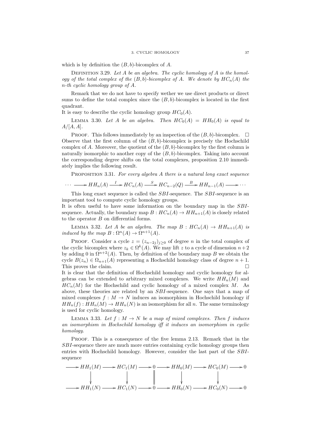which is by definition the  $(B, b)$ -bicomplex of A.

DEFINITION 3.29. Let A be an algebra. The cyclic homology of A is the homology of the total complex of the  $(B, b)$ -bicomplex of A. We denote by  $HC_n(A)$  the n-th cyclic homology group of A.

Remark that we do not have to specify wether we use direct products or direct sums to define the total complex since the  $(B, b)$ -bicomplex is located in the first quadrant.

It is easy to describe the cyclic homology group  $HC_0(A)$ .

LEMMA 3.30. Let A be an algebra. Then  $HC_0(A) = HH_0(A)$  is equal to  $A/[A,A].$ 

PROOF. This follows immediately by an inspection of the  $(B, b)$ -bicomplex.  $\Box$ Observe that the first column of the  $(B, b)$ -bicomplex is precisely the Hochschild complex of A. Moreover, the quotient of the  $(B, b)$ -bicomplex by the first column is naturally isomorphic to another copy of the  $(B, b)$ -bicomplex. Taking into account the corresponding degree shifts on the total complexes, proposition 2.10 immediately implies the following result.

PROPOSITION 3.31. For every algebra  $A$  there is a natural long exact sequence

$$
\cdots \longrightarrow HH_n(A) \xrightarrow{I} HC_n(A) \xrightarrow{S} HC_{n-2}(Q) \xrightarrow{B} HH_{n-1}(A) \longrightarrow \cdots
$$

This long exact sequence is called the *SBI*-sequence. The *SBI*-sequence is an important tool to compute cyclic homology groups.

It is often useful to have some information on the boundary map in the SBIsequence. Actually, the boundary map  $B: HC_n(A) \to HH_{n+1}(A)$  is closely related to the operator B on differential forms.

LEMMA 3.32. Let A be an algebra. The map  $B : HC_n(A) \to HH_{n+1}(A)$  is induced by the map  $B: \Omega^n(A) \to \Omega^{n+1}(A)$ .

PROOF. Consider a cycle  $z = (z_{n-2j})_{j\geq 0}$  of degree n in the total complex of the cyclic bicomplex where  $z_k \in \Omega^k(A)$ . We may lift z to a cycle of dimension  $n+2$ by adding 0 in  $\Omega^{n+2}(A)$ . Then, by definition of the boundary map B we obtain the cycle  $B(z_n) \in \Omega_{n+1}(A)$  representing a Hochschild homology class of degree  $n+1$ . This proves the claim.

It is clear that the definition of Hochschild homology and cyclic homology for algebras can be extended to arbitrary mixed complexes. We write  $HH_n(M)$  and  $HC_n(M)$  for the Hochschild and cyclic homology of a mixed complex M. As above, these theories are related by an SBI-sequence. One says that a map of mixed complexes  $f : M \to N$  induces an isomorphism in Hochschild homology if  $HH_n(f): HH_n(M) \to HH_n(N)$  is an isomorphism for all n. The same terminology is used for cyclic homology.

LEMMA 3.33. Let  $f : M \to N$  be a map of mixed complexes. Then f induces an isomorphism in Hochschild homology iff it induces an isomorphism in cyclic homology.

PROOF. This is a consequence of the five lemma 2.13. Remark that in the SBI-sequence there are much more entries containing cyclic homology groups then entries with Hochschild homology. However, consider the last part of the SBIsequence

$$
\longrightarrow HH_1(M) \longrightarrow HC_1(M) \longrightarrow 0 \longrightarrow HH_0(M) \longrightarrow HC_0(M) \longrightarrow 0
$$
  
\n
$$
\downarrow \qquad \qquad \downarrow \qquad \qquad \downarrow
$$
  
\n
$$
\longrightarrow HH_1(N) \longrightarrow HC_1(N) \longrightarrow 0 \longrightarrow HH_0(N) \longrightarrow HC_0(N) \longrightarrow 0
$$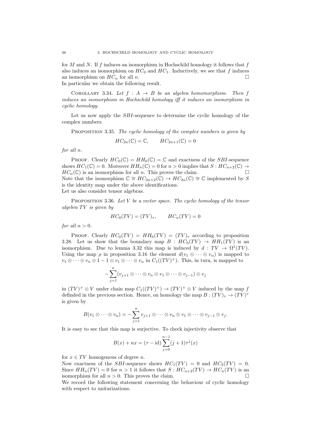for M and N. If f induces an isomorphism in Hochschild homology it follows that f also induces an isomorphism on  $HC_0$  and  $HC_1$ . Inductively, we see that f induces an isomorphism on  $HC_n$  for all n.

In particular we obtain the following result.

COROLLARY 3.34. Let  $f : A \rightarrow B$  be an algebra homomorphism. Then f induces an isomorphism in Hochschild homology iff it induces an isomorphism in cyclic homology.

Let us now apply the *SBI*-sequence to determine the cyclic homology of the complex numbers.

PROPOSITION 3.35. The cyclic homology of the complex numbers is given by

$$
HC_{2n}(\mathbb{C}) = \mathbb{C}, \qquad HC_{2n+1}(\mathbb{C}) = 0
$$

for all n.

PROOF. Clearly  $HC_0(\mathbb{C}) = HH_0(\mathbb{C}) = \mathbb{C}$  and exactness of the *SBI*-sequence shows  $HC_1(\mathbb{C}) = 0$ . Moreover  $HH_n(\mathbb{C}) = 0$  for  $n > 0$  implies that  $S : HC_{n+2}(\mathbb{C}) \to$  $HC_n(\mathbb{C})$  is an isomorphism for all n. This proves the claim. Note that the isomorphism  $\mathbb{C} \cong HC_{2n+2}(\mathbb{C}) \to HC_{2n}(\mathbb{C}) \cong \mathbb{C}$  implemented by S is the identity map under the above identifications. Let us also consider tensor algebras.

PROPOSITION 3.36. Let  $V$  be a vector space. The cyclic homology of the tensor algebra  $TV$  is given by

$$
HC_0(TV) = (TV)_{\tau}, \qquad HC_n(TV) = 0
$$

for all  $n > 0$ .

PROOF. Clearly  $HC_0(TV) = HH_0(TV) = (TV)_{\tau}$  according to proposition 3.28. Let us show that the boundary map  $B : HC_0(TV) \rightarrow HH_1(TV)$  is an isomorphism. Due to lemma 3.32 this map is induced by  $d: TV \rightarrow \Omega^1(TV)$ . Using the map  $\rho$  in proposition 3.16 the element  $d(v_1 \otimes \cdots \otimes v_n)$  is mapped to  $v_1 \otimes \cdots \otimes v_n \otimes 1 - 1 \otimes v_1 \otimes \cdots \otimes v_n$  in  $C_1((TV)^+)$ . This, in turn, is mapped to

$$
-\sum_{j=1}^n (v_{j+1}\otimes \cdots \otimes v_n\otimes v_1\otimes \cdots \otimes v_{j-1})\otimes v_j
$$

in  $(TV)^+ \otimes V$  under chain map  $C_1((TV)^+) \to (TV)^+ \otimes V$  induced by the map f definded in the previous section. Hence, on homology the map  $B: (TV)_{\tau} \to (TV)^{\tau}$ is given by

$$
B(v_1 \otimes \cdots \otimes v_n) = -\sum_{j=1}^n v_{j+1} \otimes \cdots \otimes v_n \otimes v_1 \otimes \cdots \otimes v_{j-1} \otimes v_j.
$$

It is easy to see that this map is surjective. To check injectivity observe that

$$
B(x) + nx = (\tau - id) \sum_{j=0}^{n-1} (j+1)\tau^{j}(x)
$$

for  $x \in TV$  homogenous of degree n.

Now exactness of the *SBI*-sequence shows  $HC_1(TV) = 0$  and  $HC_2(TV) = 0$ . Since  $HH_n(TV) = 0$  for  $n > 1$  it follows that  $S: HC_{n+2}(TV) \to HC_n(TV)$  is an isomorphism for all  $n > 0$ . This proves the claim.

We record the following statement concerning the behaviour of cyclic homology with respect to unitarizations.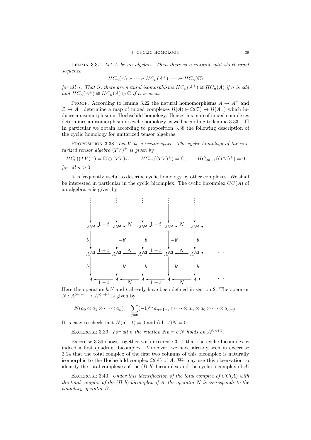LEMMA 3.37. Let  $A$  be an algebra. Then there is a natural split short exact sequence

$$
HC_n(A) \longrightarrow HC_n(A^+) \longrightarrow HC_n(\mathbb{C})
$$

for all n. That is, there are natural isomorphisms  $HC_n(A^+) \cong HC_n(A)$  if n is odd and  $HC_n(A^+) \cong HC_n(A) \oplus \mathbb{C}$  if n is even.

PROOF. According to lemma 3.22 the natural homomorphisms  $A \rightarrow A^+$  and  $\mathbb{C} \to A^+$  determine a map of mixed complexes  $\Omega(A) \oplus \Omega(\mathbb{C}) \to \Omega(A^+)$  which induces an isomorphism in Hochschild homology. Hence this map of mixed complexes determines an isomorphism in cyclic homology as well according to lemma 3.33.  $\Box$ In particular we obtain according to proposition 3.38 the following description of the cyclic homology for unitarized tensor algebras.

PROPOSITION 3.38. Let  $V$  be a vector space. The cyclic homology of the unitarized tensor algebra  $(TV)^+$  is given by

 $HC_0((TV)^+) = \mathbb{C} \oplus (TV)_{\tau}, \qquad HC_{2n}((TV)^+) = \mathbb{C}, \qquad HC_{2n-1}((TV)^+) = 0$ for all  $n > 0$ .

It is frequently useful to describe cyclic homology by other complexes. We shall be interested in particular in the cyclic bicomplex. The cyclic bicomplex  $CC(A)$  of an algebra A is given by

$$
\begin{array}{c}\n\vdots \\
A^{\otimes 3} \xrightarrow{1-t} A^{\otimes 3} \xrightarrow{N} A^{\otimes 3} \xrightarrow{1-t} A^{\otimes 3} \xrightarrow{N} A^{\otimes 3} \xrightarrow{N} \downarrow \\
b \\
A^{\otimes 2} \xrightarrow{1-t} A^{\otimes 2} \xrightarrow{N} A^{\otimes 2} \xrightarrow{1-t} A^{\otimes 2} \xrightarrow{N} A^{\otimes 2} \xrightarrow{N} \downarrow \\
b \\
A \xrightarrow{1-t} A \xrightarrow{N} A \xrightarrow{1-t} A \xrightarrow{N} A \xrightarrow{1-t} A \xrightarrow{N} A \xrightarrow{N} \end{array}
$$

Here the operators  $b, b'$  and t already have been defined in section 2. The operator  $N: A^{\otimes n+1} \to A^{\otimes n+1}$  is given by

$$
N(a_0\otimes a_1\otimes\cdots\otimes a_n)=\sum_{j=0}^n(-1)^{nj}a_{n+1-j}\otimes\cdots\otimes a_n\otimes a_0\otimes\cdots\otimes a_{n-j}.
$$

It is easy to check that  $N(\mathrm{id} - t) = 0$  and  $(\mathrm{id} - t)N = 0$ .

EXCERCISE 3.39. For all n the relation  $Nb = b'N$  holds on  $A^{\otimes n+1}$ .

Excercise 3.39 shows together with excercise 3.14 that the cyclic bicomplex is indeed a first quadrant bicomplex. Moreover, we have already seen in excercise 3.14 that the total complex of the first two columns of this bicomplex is naturally isomorphic to the Hochschild complex  $\Omega(A)$  of A. We may use this observation to identify the total complexes of the  $(B, b)$ -bicomplex and the cyclic bicomplex of A.

EXCERCISE 3.40. Under this identification of the total complex of  $CC(A)$  with the total complex of the  $(B, b)$ -bicomplex of A, the operator N is corresponds to the boundary operator B.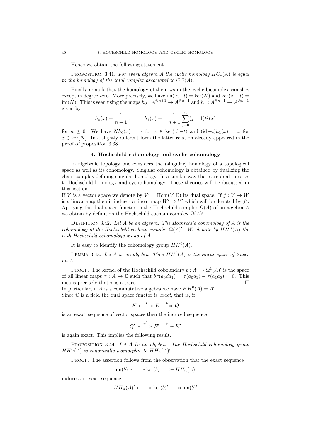Hence we obtain the following statement.

PROPOSITION 3.41. For every algebra A the cyclic homology  $HC_*(A)$  is equal to the homology of the total complex associated to  $CC(A)$ .

Finally remark that the homology of the rows in the cyclic bicomplex vanishes except in degree zero. More precisely, we have  $\text{im}(\text{id} - t) = \text{ker}(N)$  and  $\text{ker}(\text{id} - t) =$ im(N). This is seen using the maps  $h_0: A^{\otimes n+1} \to A^{\otimes n+1}$  and  $h_1: A^{\otimes n+1} \to A^{\otimes n+1}$ given by

$$
h_0(x) = \frac{1}{n+1}x, \qquad h_1(x) = -\frac{1}{n+1}\sum_{j=0}^{n} (j+1)t^j(x)
$$

for  $n \geq 0$ . We have  $Nh_0(x) = x$  for  $x \in \text{ker}(\text{id} - t)$  and  $(\text{id} - t)h_1(x) = x$  for  $x \in \text{ker}(N)$ . In a slightly different form the latter relation already appeared in the proof of proposition 3.38.

#### 4. Hochschild cohomology and cyclic cohomology

In algebraic topology one considers the (singular) homology of a topological space as well as its cohomology. Singular cohomology is obtained by dualizing the chain complex defining singular homology. In a similar way there are dual theories to Hochschild homology and cyclic homology. These theories will be discussed in this section.

If V is a vector space we denote by  $V' = \text{Hom}(V, \mathbb{C})$  its dual space. If  $f: V \to W$ is a linear map then it induces a linear map  $W' \to V'$  which will be denoted by f'. Applying the dual space functor to the Hochschild complex  $\Omega(A)$  of an algebra A we obtain by definition the Hochschild cochain complex  $\Omega(A)$ .

DEFINITION 3.42. Let  $A$  be an algebra. The Hochschild cohomology of  $A$  is the cohomology of the Hochschild cochain complex  $\Omega(A)'$ . We denote by  $HH^n(A)$  the n-th Hochschild cohomology group of A.

It is easy to identify the cohomology group  $HH^0(A)$ .

LEMMA 3.43. Let A be an algebra. Then  $HH^0(A)$  is the linear space of traces on A.

PROOF. The kernel of the Hochschild coboundary  $b: A' \to \Omega^1(A)'$  is the space of all linear maps  $\tau : A \to \mathbb{C}$  such that  $b\tau(a_0da_1) = \tau(a_0a_1) - \tau(a_1a_0) = 0$ . This means precisely that  $\tau$  is a trace.

In particular, if A is a commutative algebra we have  $HH^0(A) = A'$ . Since  $\mathbb C$  is a field the dual space functor is *exact*, that is, if

 $K \longrightarrow E \longrightarrow p \longrightarrow Q$ 

is an exact sequence of vector spaces then the induced sequence

$$
Q' \longrightarrow^{p'} E' \xrightarrow{i'} K'
$$

is again exact. This implies the following result.

PROPOSITION 3.44. Let A be an algebra. The Hochschild cohomology group  $HH^{n}(A)$  is canonically isomorphic to  $HH_{n}(A)^{\prime}$ .

PROOF. The assertion follows from the observation that the exact sequence

$$
im(b) \longrightarrow ker(b) \longrightarrow HH_n(A)
$$

induces an exact sequence

$$
HH_n(A)' \longrightarrow \ker(b)' \longrightarrow \operatorname{im}(b)'
$$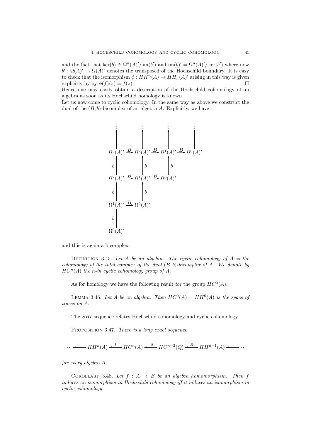and the fact that  $\ker(b) \cong \Omega^n(A)'/\operatorname{im}(b')$  and  $\operatorname{im}(b)' = \Omega^n(A)'/\ker(b')$  where now  $b' : \Omega(A)' \to \Omega(A)'$  denotes the transposed of the Hochschild boundary. It is easy to check that the isomorphism  $\phi: HH^n(A) \to HH_n(A)'$  arising in this way is given explicitly by by  $\phi(f)(z) = f(z)$ .

Hence one may easily obtain a description of the Hochschild cohomology of an algebra as soon as its Hochschild homology is known.

Let us now come to cyclic cohomology. In the same way as above we construct the dual of the  $(B, b)$ -bicomplex of an algebra A. Explicitly, we have

$$
\begin{array}{c}\n\vdots \\
\Omega^3(A)' \xrightarrow{B} \Omega^2(A)' \xrightarrow{B} \Omega^1(A)' \xrightarrow{B} \Omega^0(A)' \\
\downarrow b \\
\Omega^2(A)' \xrightarrow{B} \Omega^1(A)' \xrightarrow{B} \Omega^0(A)' \\
b \\
\Omega^1(A)' \xrightarrow{B} \Omega^0(A)' \\
b \\
\Omega^0(A)' \\
\end{array}
$$

and this is again a bicomplex.

DEFINITION 3.45. Let  $A$  be an algebra. The cyclic cohomology of  $A$  is the cohomology of the total complex of the dual  $(B, b)$ -bicomplex of A. We denote by  $HC<sup>n</sup>(A)$  the n-th cyclic cohomology group of A.

As for homology we have the following result for the group  $HC^0(A)$ .

LEMMA 3.46. Let A be an algebra. Then  $HC^0(A) = HH^0(A)$  is the space of traces on A.

The SBI-sequence relates Hochschild cohomology and cyclic cohomology.

PROPOSITION 3.47. There is a long exact sequence

 $\cdots$   $\longleftarrow$   $HH^n(A) \xleftarrow{I} H C^n(A) \xleftarrow{S} HC^{n-2}(Q) \xleftarrow{B} HH^{n-1}(A)$   $\longleftarrow$   $\cdots$ 

for every algebra A.

COROLLARY 3.48. Let  $f : A \rightarrow B$  be an algebra homomorphism. Then f induces an isomorphism in Hochschild cohomology iff it induces an isomorphism in cyclic cohomology.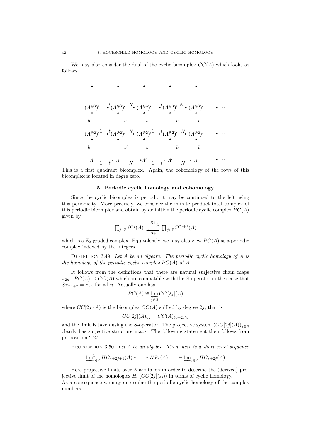We may also consider the dual of the cyclic bicomplex  $CC(A)$  which looks as follows.



This is a first quadrant bicomplex. Again, the cohomology of the rows of this bicomplex is located in degre zero.

### 5. Periodic cyclic homology and cohomology

Since the cyclic bicomplex is periodic it may be continued to the left using this periodicity. More precisely, we consider the infinite product total complex of this periodic bicomplex and obtain by definition the periodic cyclic complex  $PC(A)$ given by

$$
\prod_{j\in\mathbb{Z}} \Omega^{2j}(A) \xrightarrow[k\to b]{B+b} \prod_{j\in\mathbb{Z}} \Omega^{2j+1}(A)
$$

which is a  $\mathbb{Z}_2$ -graded complex. Equivalently, we may also view  $PC(A)$  as a periodic complex indexed by the integers.

DEFINITION 3.49. Let A be an algebra. The periodic cyclic homology of A is the homology of the periodic cyclic complex  $PC(A)$  of A.

It follows from the definitions that there are natural surjective chain maps  $\pi_{2n} : PC(A) \to CC(A)$  which are compatible with the S-operator in the sense that  $S_{\pi_{2n+2}} = \pi_{2n}$  for all *n*. Actually one has

$$
PC(A) \cong \varprojlim_{j \in \mathbb{N}} CC[2j](A)
$$

where  $CC[2j](A)$  is the bicomplex  $CC(A)$  shifted by degree  $2j$ , that is

$$
CC[2j](A)_{pq} = CC(A)_{(p+2j)q}
$$

and the limit is taken using the S-operator. The projective system  $(CC[2j](A))_{i\in\mathbb{N}}$ clearly has surjective structure maps. The following statement then follows from proposition 2.27.

PROPOSITION 3.50. Let  $A$  be an algebra. Then there is a short exact sequence

$$
\underleftarrow{\lim}_{j\in\mathbb{Z}} HC_{*+2j+1}(A) \longrightarrow HP_*(A) \longrightarrow \underleftarrow{\lim}_{j\in\mathbb{Z}} HC_{*+2j}(A)
$$

Here projective limits over  $\mathbb Z$  are taken in order to describe the (derived) projective limit of the homologies  $H_n(CC[2j](A))$  in terms of cyclic homology.

As a consequence we may determine the periodic cyclic homology of the complex numbers.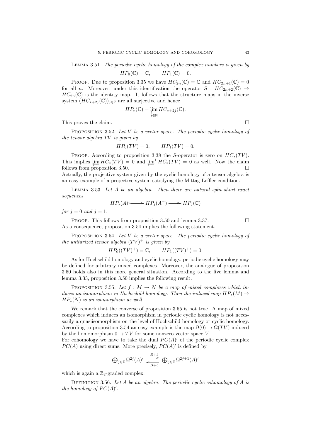Lemma 3.51. The periodic cyclic homology of the complex numbers is given by

$$
HP_0(\mathbb{C}) = \mathbb{C}, \qquad HP_1(\mathbb{C}) = 0.
$$

PROOF. Due to proposition 3.35 we have  $HC_{2n}(\mathbb{C}) = \mathbb{C}$  and  $HC_{2n+1}(\mathbb{C}) = 0$ for all n. Moreover, under this identification the operator  $S : HC_{2n+2}(\mathbb{C}) \rightarrow$  $HC_{2n}(\mathbb{C})$  is the identity map. It follows that the structure maps in the inverse system  $(HC_{*+2j}(\mathbb{C}))_{j\in\mathbb{Z}}$  are all surjective and hence

$$
HP_*(\mathbb{C}) = \varprojlim_{j \in \mathbb{N}} HC_{*+2j}(\mathbb{C}).
$$

This proves the claim.

PROPOSITION 3.52. Let  $V$  be a vector space. The periodic cyclic homology of the tensor algebra  $TV$  is given by

$$
HP_0(TV) = 0, \qquad HP_1(TV) = 0.
$$

PROOF. According to proposition 3.38 the S-operator is zero on  $HC_*(TV)$ . This implies  $\varprojlim HC_*(TV) = 0$  and  $\varprojlim^{-1} HC_*(TV) = 0$  as well. Now the claim follows from proposition 3.50.

Actually, the projective system given by the cyclic homology of a tensor algebra is an easy example of a projective system satisfying the Mittag-Leffler condition.

Lemma 3.53. Let A be an algebra. Then there are natural split short exact sequences

$$
HP_j(A) \longrightarrow HP_j(A^+) \longrightarrow HP_j(\mathbb{C})
$$

for  $j = 0$  and  $j = 1$ .

PROOF. This follows from proposition 3.50 and lemma 3.37.  $\Box$ As a consequence, proposition 3.54 implies the following statement.

PROPOSITION 3.54. Let  $V$  be a vector space. The periodic cyclic homology of the unitarized tensor algebra  $(TV)^+$  is given by

$$
HP_0((TV)^+) = \mathbb{C}, \qquad HP_1((TV)^+) = 0.
$$

As for Hochschild homology and cyclic homology, periodic cyclic homology may be defined for arbitrary mixed complexes. Moreover, the analogue of proposition 3.50 holds also in this more general situation. According to the five lemma and lemma 3.33, proposition 3.50 implies the following result.

PROPOSITION 3.55. Let  $f : M \to N$  be a map of mixed complexes which induces an isomorphism in Hochschild homology. Then the induced map  $HP_*(M) \to$  $HP_*(N)$  is an isomorphism as well.

We remark that the converse of proposition 3.55 is not true. A map of mixed complexes which induces an isomorphism in periodic cyclic homology is not necessarily a quasiisomorphism on the level of Hochschild homology or cyclic homology. According to proposition 3.54 an easy example is the map  $\Omega(0) \to \Omega(TV)$  induced by the homomorphism  $0 \to TV$  for some nonzero vector space V.

For cohomology we have to take the dual  $PC(A)'$  of the periodic cyclic complex  $PC(A)$  using direct sums. More precisely,  $PC(A)'$  is defined by

$$
\bigoplus_{j\in\mathbb{Z}}\Omega^{2j}(A)'\xrightarrow[k\to b]{B+b}\bigoplus_{j\in\mathbb{Z}}\Omega^{2j+1}(A)'
$$

which is again a  $\mathbb{Z}_2$ -graded complex.

DEFINITION 3.56. Let A be an algebra. The periodic cyclic cohomology of A is the homology of  $PC(A)$ .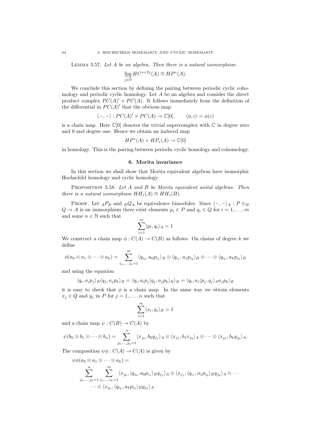LEMMA 3.57. Let  $A$  be an algebra. Then there is a natural isomorphism

$$
\varinjlim_{j \in \mathbb{N}} HC^{*+2j}(A) \cong HP^*(A).
$$

We conclude this section by defining the pairing between periodic cyclic cohomology and periodic cyclic homology. Let A be an algebra and consider the direct product complex  $PC(A)' \times PC(A)$ . It follows immediately from the definition of the differential in  $PC(A)$  that the obvious map

$$
\langle -, - \rangle : PC(A)' \times PC(A) \to \mathbb{C}[0], \qquad \langle \phi, c \rangle = \phi(c)
$$

is a chain map. Here  $\mathbb{C}[0]$  denotes the trivial supercomplex with  $\mathbb{C}$  in degree zero and 0 and degree one. Hence we obtain an induced map

$$
HP^*(A) \times HP_*(A) \to \mathbb{C}[0]
$$

in homology. This is the pairing between periodic cyclic homology and cohomology.

#### 6. Morita invariance

In this section we shall show that Morita equivalent algebras have isomorphic Hochschild homology and cyclic homology.

PROPOSITION 3.58. Let A and B be Morita equivalent unital algebras. Then there is a natural isomorphism  $HH_*(A) \cong HH_*(B)$ .

PROOF. Let  $_A P_B$  and  $_B Q_A$  be equivalence bimodules. Since  $\langle -, - \rangle_A : P \otimes_B P_B$  $Q \to A$  is an isomorphism there exist elements  $p_i \in P$  and  $q_i \in Q$  for  $i = 1, \ldots, m$ and some  $n \in \mathbb{N}$  such that

$$
\sum_{i=1}^m \langle p_i, q_i \rangle_A = 1
$$

We construct a chain map  $\phi: C(A) \to C(B)$  as follows. On chains of degree k we define

$$
\phi(a_0\otimes a_1\otimes\cdots\otimes a_k)=\sum_{i_0,\ldots,i_k=1}^m\langle q_{i_0},a_0p_{i_1}\rangle_B\otimes\langle q_{i_1},a_1p_{i_2}\rangle_B\otimes\cdots\otimes\langle q_{i_k},a_kp_{i_0}\rangle_B
$$

and using the equation

$$
\langle q_i, a_i p_j \rangle_B \langle q_j, a_j p_k \rangle_B = \langle q_i, a_i p_j \langle q_j, a_j p_k \rangle_B \rangle_B = \langle q_i, a_i \langle p_j, q_j \rangle_A a_j p_k \rangle_B
$$

it is easy to check that  $\phi$  is a chain map. In the same way we obtain elements  $x_j \in Q$  and  $y_j$  in P for  $j = 1, \ldots, n$  such that

$$
\sum_{i=1}^{m} \langle x_i, y_i \rangle_B = 1
$$

and a chain map  $\psi: C(B) \to C(A)$  by

$$
\psi(b_0\otimes b_1\otimes\cdots\otimes b_n)=\sum_{j_0,\ldots,j_k=1}^n\langle x_{j_0},b_0y_{j_1}\rangle_A\otimes\langle x_{j_1},b_1x_{j_2}\rangle_A\otimes\cdots\otimes\langle x_{j_k},b_ky_{j_0}\rangle_A.
$$

The composition  $\psi \phi : C(A) \to C(A)$  is given by

$$
\psi\phi(a_0 \otimes a_1 \otimes \cdots \otimes a_k) =
$$
  

$$
\sum_{j_0,\ldots,j_k=1}^n \sum_{i_0,\ldots,i_k=1}^m \langle x_{j_0}, \langle q_{i_0}, a_0 p_{i_1} \rangle_B y_{j_1} \rangle_A \otimes \langle x_{j_1}, \langle q_{i_1}, a_1 p_{i_2} \rangle_B y_{j_2} \rangle_A \otimes \cdots
$$
  

$$
\cdots \otimes \langle x_{j_k}, \langle q_{i_k}, a_k p_{i_0} \rangle_B y_{j_0} \rangle_A.
$$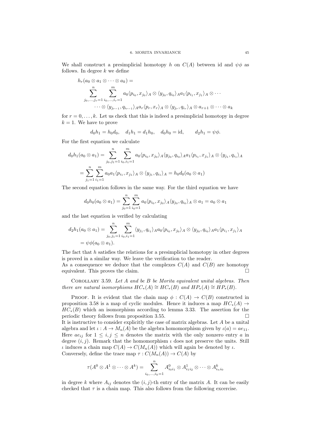We shall construct a presimplicial homotopy h on  $C(A)$  between id and  $\psi \phi$  as follows. In degree  $k$  we define

$$
h_r(a_0 \otimes a_1 \otimes \cdots \otimes a_k) =
$$
  

$$
\sum_{j_0, \ldots, j_r=1}^n \sum_{i_0, \ldots, i_r=1}^m a_0 \langle p_{i_0}, x_{j_0} \rangle_A \otimes \langle y_{j_0}, q_{i_0} \rangle_A a_1 \langle p_{i_1}, x_{j_1} \rangle_A \otimes \cdots
$$
  

$$
\cdots \otimes \langle y_{j_{r-1}}, q_{i_{r-1}} \rangle_A a_r \langle p_r, x_r \rangle_A \otimes \langle y_{j_r}, q_{i_r} \rangle_A \otimes a_{r+1} \otimes \cdots \otimes a_k
$$

for  $r = 0, \ldots, k$ . Let us check that this is indeed a presimplicial homotopy in degree  $k = 1$ . We have to prove

$$
d_0h_1 = h_0d_0
$$
,  $d_1h_1 = d_1h_0$ ,  $d_0h_0 = id$ ,  $d_2h_1 = \psi\phi$ .

For the first equation we calculate

$$
d_0h_1(a_0 \otimes a_1) = \sum_{j_0,j_1=1}^n \sum_{i_0,i_1=1}^m a_0 \langle p_{i_0}, x_{j_0} \rangle_A \langle y_{j_0}, q_{i_0} \rangle_A a_1 \langle p_{i_1}, x_{j_1} \rangle_A \otimes \langle y_{j_1}, q_{i_1} \rangle_A
$$
  
= 
$$
\sum_{j_1=1}^n \sum_{i_1=1}^m a_0 a_1 \langle p_{i_1}, x_{j_1} \rangle_A \otimes \langle y_{j_1}, q_{i_1} \rangle_A = h_0 d_0(a_0 \otimes a_1)
$$

The second equation follows in the same way. For the third equation we have

$$
d_0h_0(a_0 \otimes a_1) = \sum_{j_0=1}^n \sum_{i_0=1}^m a_0 \langle p_{i_0}, x_{j_0} \rangle_A \langle y_{j_0}, q_{i_0} \rangle_A \otimes a_1 = a_0 \otimes a_1
$$

and the last equation is verified by calculating

$$
d_2h_1(a_0 \otimes a_1) = \sum_{j_0,j_1=1}^n \sum_{i_0,i_1=1}^m \langle y_{j_1}, q_{i_1} \rangle_A a_0 \langle p_{i_0}, x_{j_0} \rangle_A \otimes \langle y_{j_0}, q_{i_0} \rangle_A a_1 \langle p_{i_1}, x_{j_1} \rangle_A
$$
  
=  $\psi \phi(a_0 \otimes a_1).$ 

The fact that  $h$  satisfies the relations for a presimplicial homotopy in other degrees is proved in a similar way. We leave the verification to the reader.

As a consequence we deduce that the complexes  $C(A)$  and  $C(B)$  are homotopy equivalent. This proves the claim.

COROLLARY 3.59. Let  $A$  and be  $B$  be Morita equivalent unital algebras. Then there are natural isomorphisms  $HC_*(A) \cong HC_*(B)$  and  $HP_*(A) \cong HP_*(B)$ .

PROOF. It is evident that the chain map  $\phi : C(A) \rightarrow C(B)$  constructed in proposition 3.58 is a map of cyclic modules. Hence it induces a map  $HC_*(A) \rightarrow$  $HC_*(B)$  which an isomorphism according to lemma 3.33. The assertion for the periodic theory follows from proposition 3.55. It is instructive to consider explicitly the case of matrix algebras. Let A be a unital algebra and let  $\iota : A \to M_n(A)$  be the algebra homomorphism given by  $\iota(a) = ae_{11}$ . Here  $ae_{ij}$  for  $1 \leq i, j \leq n$  denotes the matrix with the only nonzero entry a in degree  $(i, j)$ . Remark that the homomorphism  $\iota$  does not preserve the units. Still *ι* induces a chain map  $C(A)$  →  $C(M_n(A))$  which will again be denoted by *ι*. Conversely, define the trace map  $\tau : C(M_n(A)) \to C(A)$  by

$$
\tau(A^0\otimes A^1\otimes\cdots\otimes A^k)=\sum_{i_0,\ldots,i_k=1}^n A^0_{i_0i_1}\otimes A^1_{i_1i_2}\otimes\cdots\otimes A^k_{i_ni_0}
$$

in degree k where  $A_{ij}$  denotes the  $(i, j)$ -th entry of the matrix A. It can be easily checked that  $\tau$  is a chain map. This also follows from the following excercise.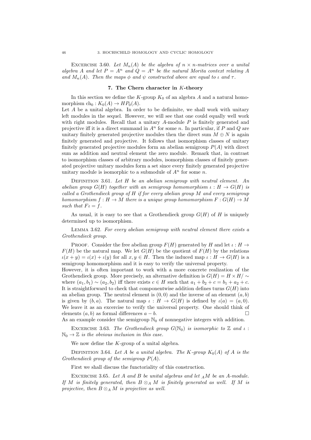EXCERCISE 3.60. Let  $M_n(A)$  be the algebra of  $n \times n$ -matrices over a unital algebra A and let  $P = A^n$  and  $Q = A^n$  be the natural Morita context relating A and  $M_n(A)$ . Then the maps  $\phi$  and  $\psi$  constructed above are equal to  $\iota$  and  $\tau$ .

#### 7. The Chern character in K-theory

In this section we define the  $K$ -group  $K_0$  of an algebra A and a natural homomorphism  $ch_0 : K_0(A) \to HP_0(A)$ .

Let  $A$  be a unital algebra. In order to be defininite, we shall work with unitary left modules in the sequel. However, we will see that one could equally well work with right modules. Recall that a unitary  $A$ -module  $P$  is finitely generated and projective iff it is a direct summand in  $A<sup>n</sup>$  for some n. In particular, if P and Q are unitary finitely generated projective modules then the direct sum  $M \oplus N$  is again finitely generated and projective. It follows that isomorphism classes of unitary finitely generated projective modules form an abelian semigroup  $P(A)$  with direct sum as addition and neutral element the zero module. Remark that, in contrast to isomorphism classes of arbitrary modules, isomorphism classes of finitely generated projective unitary modules form a set since every finitely generated projective unitary module is isomorphic to a submodule of  $A<sup>n</sup>$  for some n.

DEFINITION 3.61. Let  $H$  be an abelian semigroup with neutral element. An abelian group  $G(H)$  together with an semigroup homomorphism  $\iota : H \to G(H)$  is called a Grothendieck group of  $H$  if for every abelian group  $M$  and every semigroup homomorphism  $f: H \to M$  there is a unique group homomorphism  $F: G(H) \to M$ such that  $F \iota = f$ .

As usual, it is easy to see that a Grothendieck group  $G(H)$  of H is uniquely determined up to isomorphism.

Lemma 3.62. For every abelian semigroup with neutral element there exists a Grothendieck group.

PROOF. Consider the free abelian group  $F(H)$  generated by H and let  $\iota : H \to$  $F(H)$  be the natural map. We let  $G(H)$  be the quotient of  $F(H)$  by the relations  $\iota(x + y) = \iota(x) + \iota(y)$  for all  $x, y \in H$ . Then the induced map  $\iota : H \to G(H)$  is a semigroup homomorphism and it is easy to verify the universal property.

However, it is often important to work with a more concrete realization of the Grothendieck group. More precisely, an alternative definition is  $G(H) = H \times H / \sim$ where  $(a_1, b_1) \sim (a_2, b_2)$  iff there exists  $c \in H$  such that  $a_1 + b_2 + c = b_1 + a_2 + c$ . It is straightforward to check that componentwise addition defines turns  $G(H)$  into an abelian group. The neutral element is  $(0,0)$  and the inverse of an element  $(a, b)$ is given by  $(b, a)$ . The natural map  $\iota : H \to G(H)$  is defined by  $\iota(a) = (a, 0)$ . We leave it as an excercise to verify the universal property. One should think of elements  $(a, b)$  as formal differences  $a - b$ .

As an example consider the semigroup  $\mathbb{N}_0$  of nonnegative integers with addition.

EXCERCISE 3.63. The Grothendieck group  $G(N_0)$  is isomorphic to Z and  $\iota$ :  $\mathbb{N}_0 \to \mathbb{Z}$  is the obvious inclusion in this case.

We now define the  $K$ -group of a unital algebra.

DEFINITION 3.64. Let A be a unital algebra. The K-group  $K_0(A)$  of A is the Grothendieck group of the semigroup  $P(A)$ .

First we shall discuss the functoriality of this construction.

EXCERCISE 3.65. Let A and B be unital algebras and let  $_A M$  be an A-module. If M is finitely generated, then  $B \otimes_A M$  is finitely generated as well. If M is projective, then  $B \otimes_A M$  is projective as well.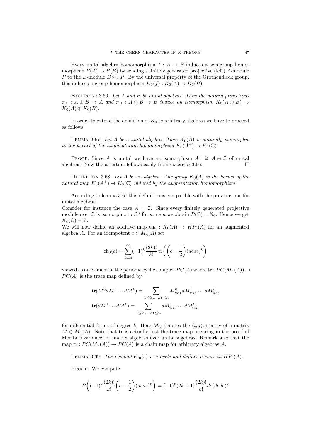Every unital algebra homomorphism  $f : A \rightarrow B$  induces a semigroup homomorphism  $P(A) \to P(B)$  by sending a finitely generated projective (left) A-module P to the B-module  $B \otimes_A P$ . By the universal property of the Grothendieck group, this induces a group homomorphism  $K_0(f) : K_0(A) \to K_0(B)$ .

EXCERCISE 3.66. Let  $A$  and  $B$  be unital algebras. Then the natural projections  $\pi_A : A \oplus B \to A$  and  $\pi_B : A \oplus B \to B$  induce an isomorphism  $K_0(A \oplus B) \to$  $K_0(A) \oplus K_0(B)$ .

In order to extend the definition of  $K_0$  to arbitrary algebras we have to proceed as follows.

LEMMA 3.67. Let A be a unital algebra. Then  $K_0(A)$  is naturally isomorphic to the kernel of the augmentation homomorphism  $K_0(A^+) \to K_0(\mathbb{C})$ .

PROOF. Since A is unital we have an isomorphism  $A^+ \cong A \oplus \mathbb{C}$  of unital algebras. Now the assertion follows easily from excercise 3.66.  $\Box$ 

DEFINITION 3.68. Let A be an algebra. The group  $K_0(A)$  is the kernel of the natural map  $K_0(A^+) \to K_0(\mathbb{C})$  induced by the augmentation homomorphism.

According to lemma 3.67 this definition is compatible with the previous one for unital algebras.

Consider for instance the case  $A = \mathbb{C}$ . Since every finitely generated projective module over  $\mathbb C$  is isomorphic to  $\mathbb C^n$  for some n we obtain  $P(\mathbb C) = \mathbb N_0$ . Hence we get  $K_0(\mathbb{C})=\mathbb{Z}.$ 

We will now define an additive map  $ch_0 : K_0(A) \rightarrow HP_0(A)$  for an augmented algebra A. For an idempotent  $e \in M_n(A)$  set

$$
\operatorname{ch}_0(e) = \sum_{k=0}^{\infty} (-1)^k \frac{(2k)!}{k!} \operatorname{tr}\left( \left( e - \frac{1}{2} \right) (dede)^k \right)
$$

viewed as an element in the periodic cyclic complex  $PC(A)$  where  $\operatorname{tr}: PC(M_n(A)) \to$  $PC(A)$  is the trace map defined by

$$
\text{tr}(M^0 dM^1 \cdots dM^k) = \sum_{1 \le i_0, \dots, i_k \le n} M^0_{i_0 i_1} dM^1_{i_1 i_2} \cdots dM^k_{i_k i_0}
$$
  

$$
\text{tr}(dM^1 \cdots dM^k) = \sum_{1 \le i_1, \dots, i_k \le n} dM^1_{i_1 i_2} \cdots dM^k_{i_k i_1}
$$

for differential forms of degree k. Here  $M_{ij}$  denotes the  $(i, j)$ th entry of a matrix  $M \in M_n(A)$ . Note that tr is actually just the trace map occuring in the proof of Morita invariance for matrix algebras over unital algebras. Remark also that the map tr :  $PC(M_n(A)) \to PC(A)$  is a chain map for arbitrary algebras A.

LEMMA 3.69. The element  $ch_0(e)$  is a cycle and defines a class in  $HP_0(A)$ .

PROOF. We compute

$$
B\bigg((-1)^k\frac{(2k)!}{k!}\bigg(e-\frac{1}{2}\bigg)(ded e)^k\bigg)=(-1)^k(2k+1)\frac{(2k)!}{k!}de(dede)^k
$$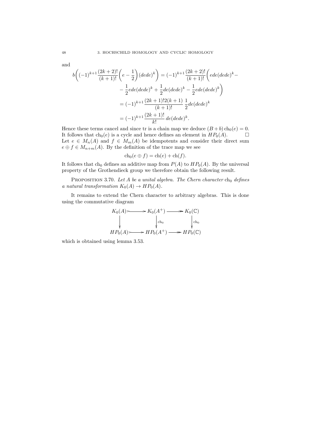$$
\quad \text{and} \quad
$$

$$
b\left((-1)^{k+1}\frac{(2k+2)!}{(k+1)!}\left(e-\frac{1}{2}\right)(dede)^k\right) = (-1)^{k+1}\frac{(2k+2)!}{(k+1)!}\left( ede(dede)^k - \frac{1}{2}ede(dede)^k + \frac{1}{2}de(dede)^k - \frac{1}{2}ede(dede)^k\right)
$$

$$
= (-1)^{k+1}\frac{(2k+1)!2(k+1)}{(k+1)!}\frac{1}{2}de(dede)^k
$$

$$
= (-1)^{k+1}\frac{(2k+1)!}{k!}de(dede)^k.
$$

Hence these terms cancel and since tr is a chain map we deduce  $(B + b)$  ch<sub>0</sub>(e) = 0. It follows that  $ch_0(e)$  is a cycle and hence defines an element in  $HP_0(A)$ . Let  $e \in M_n(A)$  and  $f \in M_m(A)$  be idempotents and consider their direct sum  $e \oplus f \in M_{n+m}(A)$ . By the definition of the trace map we see

$$
ch_0(e \oplus f) = ch(e) + ch(f).
$$

It follows that ch<sub>0</sub> defines an additive map from  $P(A)$  to  $HP_0(A)$ . By the universal property of the Grothendieck group we therefore obtain the following result.

PROPOSITION 3.70. Let A be a unital algebra. The Chern character  $ch_0$  defines a natural transformation  $K_0(A) \to HP_0(A)$ .

It remains to extend the Chern character to arbitrary algebras. This is done using the commutative diagram

$$
K_0(A) \longrightarrow K_0(A^+) \longrightarrow K_0(\mathbb{C})
$$
  
\n
$$
\downarrow \qquad \qquad \downarrow \text{ch}_0
$$
  
\n
$$
HP_0(A) \longrightarrow HP_0(A^+) \longrightarrow HP_0(\mathbb{C})
$$

which is obtained using lemma 3.53.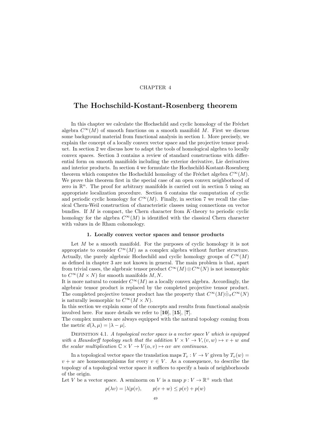# CHAPTER 4

# The Hochschild-Kostant-Rosenberg theorem

In this chapter we calculate the Hochschild and cyclic homology of the Fréchet algebra  $C^{\infty}(M)$  of smooth functions on a smooth manifold M. First we discuss some background material from functional analysis in section 1. More precisely, we explain the concept of a locally convex vector space and the projective tensor product. In section 2 we discuss how to adapt the tools of homological algebra to locally convex spaces. Section 3 contains a review of standard constructions with differential form on smooth manifolds including the exterior derivative, Lie derivatives and interior products. In section 4 we formulate the Hochschild-Kostant-Rosenberg theorem which computes the Hochschild homology of the Fréchet algebra  $C^{\infty}(M)$ . We prove this theorem first in the special case of an open convex neighborhood of zero in  $\mathbb{R}^n$ . The proof for arbitrary manifolds is carried out in section 5 using an appropriate localization procedure. Section 6 contains the computation of cyclic and periodic cyclic homology for  $C^{\infty}(M)$ . Finally, in section 7 we recall the classical Chern-Weil construction of characteristic classes using connections on vector bundles. If  $M$  is compact, the Chern character from  $K$ -theory to periodic cyclic homology for the algebra  $C^{\infty}(M)$  is identified with the classical Chern character with values in de Rham cohomology.

#### 1. Locally convex vector spaces and tensor products

Let  $M$  be a smooth manifold. For the purposes of cyclic homology it is not appropriate to consider  $C^{\infty}(M)$  as a complex algebra without further structure. Actually, the purely algebraic Hochschild and cyclic homology groups of  $C^{\infty}(M)$ as defined in chapter 3 are not known in general. The main problem is that, apart from trivial cases, the algebraic tensor product  $C^{\infty}(M) \otimes C^{\infty}(N)$  is not isomorphic to  $C^{\infty}(M \times N)$  for smooth manifolds M, N.

It is more natural to consider  $C^{\infty}(M)$  as a locally convex algebra. Accordingly, the algebraic tensor product is replaced by the completed projective tensor product. The completed projective tensor product has the property that  $C^{\infty}(M)\hat{\otimes}_{\pi}C^{\infty}(N)$ is naturally isomorphic to  $C^{\infty}(M \times N)$ .

In this section we explain some of the concepts and results from functional analysis involved here. For more details we refer to [10], [15], [7].

The complex numbers are always equipped with the natural topology coming from the metric  $d(\lambda, \mu) = |\lambda - \mu|$ .

DEFINITION 4.1. A topological vector space is a vector space  $V$  which is equipped with a Hausdorff topology such that the addition  $V \times V \rightarrow V, (v, w) \mapsto v + w$  and the scalar multiplication  $\mathbb{C} \times V \to V(\alpha, v) \mapsto \alpha v$  are continuous.

In a topological vector space the translation maps  $T_v : V \to V$  given by  $T_v(w) =$  $v + w$  are homeomorphisms for every  $v \in V$ . As a consequence, to describe the topology of a topological vector space it suffices to specify a basis of neighborhoods of the origin.

Let V be a vector space. A seminorm on V is a map  $p: V \to \mathbb{R}^+$  such that

$$
p(\lambda v) = |\lambda| p(v), \qquad p(v+w) \le p(v) + p(w)
$$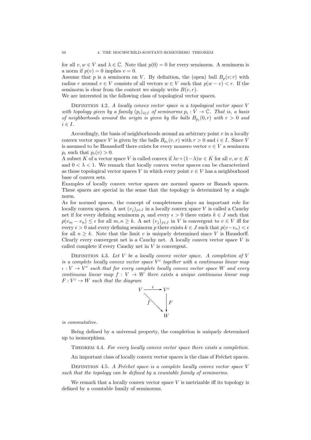for all  $v, w \in V$  and  $\lambda \in \mathbb{C}$ . Note that  $p(0) = 0$  for every seminorm. A seminorm is a norm if  $p(v) = 0$  implies  $v = 0$ .

Assume that p is a seminorm on V. By definition, the (open) ball  $B_p(v; r)$  with radius r around  $v \in V$  consists of all vectors  $w \in V$  such that  $p(w - v) < r$ . If the seminorm is clear from the context we simply write  $B(v, r)$ .

We are interested in the following class of topological vector spaces.

DEFINITION 4.2. A locally convex vector space is a topological vector space  $V$ with topology given by a family  $(p_i)_{i \in I}$  of seminorms  $p_i : V \to \mathbb{C}$ . That is, a basis of neighborhoods around the origin is given by the balls  $B_{p_i}(0,r)$  with  $r > 0$  and  $i \in I$ .

Accordingly, the basis of neighborhoods around an arbitrary point  $v$  in a locally convex vector space V is given by the balls  $B_{p_i}(v, r)$  with  $r > 0$  and  $i \in I$ . Since V is assumed to be Haussdorff there exists for every nonzero vector  $v \in V$  a seminorm  $p_i$  such that  $p_i(v) > 0$ .

A subset K of a vector space V is called convex if  $\lambda v + (1-\lambda)w \in K$  for all  $v, w \in K$ and  $0 < \lambda < 1$ . We remark that locally convex vector spaces can be characterized as those topological vector spaces V in which every point  $v \in V$  has a neighborhood base of convex sets.

Examples of locally convex vector spaces are normed spaces or Banach spaces. These spaces are special in the sense that the topology is determined by a single norm.

As for normed spaces, the concept of completeness plays an important role for locally convex spaces. A net  $(v_i)_{i\in J}$  in a locally convex space V is called a Cauchy net if for every defining seminorm  $p_i$  and every  $\epsilon > 0$  there exists  $k \in J$  such that  $p(v_m - v_n) \leq \epsilon$  for all  $m, n \geq k$ . A net  $(v_j)_{j \in J}$  in V is convergent to  $v \in V$  iff for every  $\epsilon > 0$  and every defining seminorm p there exists  $k \in J$  such that  $p(v-v_n) < \epsilon$ for all  $n \geq k$ . Note that the limit v is uniquely determined since V is Hausdorff. Clearly every convergent net is a Cauchy net. A locally convex vector space  $V$  is called complete if every Cauchy net in V is convergent.

DEFINITION 4.3. Let  $V$  be a locally convex vector space. A completion of  $V$ is a complete locally convex vector space  $V^c$  together with a continuous linear map  $\iota: V \to V^c$  such that for every complete locally convex vector space W and every continuous linear map  $f: V \to W$  there exists a unique continuous linear map  $F: V^c \to W$  such that the diagram



is commutative.

Being defined by a universal property, the completion is uniquely determined up to isomorphism.

Theorem 4.4. For every locally convex vector space there exists a completion.

An important class of locally convex vector spaces is the class of Fréchet spaces.

DEFINITION 4.5. A Fréchet space is a complete locally convex vector space V such that the topology can be defined by a countable family of seminorms.

We remark that a locally convex vector space  $V$  is metrizable iff its topology is defined by a countable family of seminorms.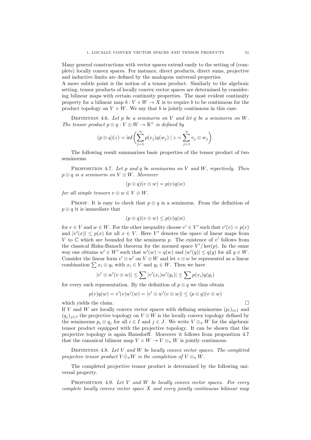Many general constructions with vector spaces extend easily to the setting of (complete) locally convex spaces. For instance, direct products, direct sums, projective and inductive limits are defined by the analogous universal properties.

A more subtle point is the notion of a tensor product. Similarly to the algebraic setting, tensor products of locally convex vector spaces are determined by considering bilinear maps with certain continuity properties. The most evident continuity property for a bilinear map  $b: V \times W \to X$  is to require b to be continuous for the product topology on  $V \times W$ . We say that b is jointly continuous in this case.

DEFINITION 4.6. Let  $p$  be a seminorm on  $V$  and let  $q$  be a seminorm on  $W$ . The tensor product  $p \otimes q : V \otimes W \to \mathbb{R}^+$  is defined by

$$
(p \otimes q)(z) = \inf \left( \sum_{j=1}^{n} p(v_j)q(w_j) \mid z = \sum_{j=1}^{n} v_j \otimes w_j \right).
$$

The following result summarizes basic properties of the tensor product of two seminorms.

PROPOSITION 4.7. Let p and q be seminorms on V and W, repectively. Then  $p \otimes q$  is a seminorm on  $V \otimes W$ . Moreover

$$
(p \otimes q)(v \otimes w) = p(v)q(w)
$$

for all simple tensors  $v \otimes w \in V \otimes W$ .

PROOF. It is easy to check that  $p \otimes q$  is a seminorm. From the definition of  $p \otimes q$  it is immediate that

$$
(p \otimes q)(v \otimes w) \leq p(v)q(w)
$$

for  $v \in V$  and  $w \in W$ . For the other inequality choose  $v' \in V'$  such that  $v'(v) = p(v)$ and  $|v'(x)| \leq p(x)$  for all  $x \in V$ . Here V' denotes the space of linear maps from V to  $\mathbb C$  which are bounded for the seminorm p. The existence of  $v'$  follows from the classical Hahn-Banach theorem for the normed space  $V'/\text{ker}(p)$ . In the same way one obtains  $w' \in W'$  such that  $w'(w) = q(w)$  and  $|w'(y)| \leq q(y)$  for all  $y \in W$ . Consider the linear form  $v' \otimes w'$  on  $V \otimes W$  and let  $v \otimes w$  be represented as a linear combination  $\sum x_i \otimes y_i$  with  $x_i \in V$  and  $y_i \in W$ . Then we have

$$
|v' \otimes w'(v \otimes w)| \leq \sum |v'(x_i)w'(y_i)| \leq \sum p(x_i)q(y_i)
$$

for every such representation. By the definition of  $p \otimes q$  we thus obtain

$$
p(v)q(w) = v'(v)w'(w) = |v' \otimes w'(v \otimes w)| \leq (p \otimes q)(v \otimes w)
$$

which yields the claim.  $\Box$ 

If V and W are locally convex vector spaces with defining seminorms  $(p_i)_{i\in I}$  and  $(q_j)_{j\in J}$  the projective topology on  $V\otimes W$  is the locally convex topology defined by the seminorms  $p_i \otimes q_j$  for all  $i \in I$  and  $j \in J$ . We write  $V \otimes_{\pi} W$  for the algebraic tensor product equipped with the projective topology. It can be shown that the projective topology is again Hausdorff. Moreover it follows from proposition 4.7 that the canonical bilinear map  $V \times W \to V \otimes_{\pi} W$  is jointly continuous.

DEFINITION 4.8. Let  $V$  and  $W$  be locally convex vector spaces. The completed projective tensor product  $V \hat{\otimes}_{\pi} W$  is the completion of  $V \otimes_{\pi} W$ .

The completed projective tensor product is determined by the following universal property.

PROPOSITION 4.9. Let  $V$  and  $W$  be locally convex vector spaces. For every complete locally convex vector space  $X$  and every jointly continuous bilinear map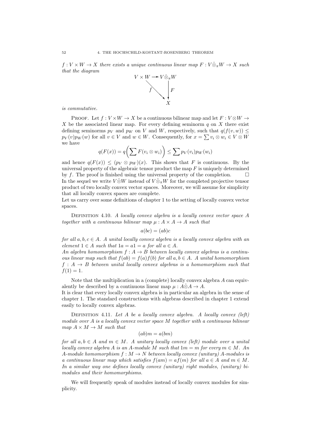$f: V \times W \to X$  there exists a unique continuous linear map  $F: V \hat{\otimes}_{\pi} W \to X$  such that the diagram



is commutative.

PROOF. Let  $f: V \times W \to X$  be a continuous bilinear map and let  $F: V \otimes W \to Y$ X be the associated linear map. For every defining seminorm  $q$  on X there exist defining seminorms  $p_V$  and  $p_W$  on V and W, respectively, such that  $q(f(v, w)) \leq$  $p_V(v)p_W(w)$  for all  $v \in V$  and  $w \in W$ . Consequently, for  $x = \sum v_i \otimes w_i \in V \otimes W$ we have

$$
q(F(x)) = q\bigg(\sum F(v_i \otimes w_i)\bigg) \le \sum p_V(v_i)p_W(w_i)
$$

and hence  $q(F(x)) \leq (p_V \otimes p_W)(x)$ . This shows that F is continuous. By the universal property of the algebraic tensor product the map  $F$  is uniquely determined by f. The proof is finished using the universal property of the completion.  $\Box$ In the sequel we write  $V \hat{\otimes} W$  instead of  $V \hat{\otimes}_{\pi} W$  for the completed projective tensor product of two locally convex vector spaces. Moreover, we will assume for simplicity that all locally convex spaces are complete.

Let us carry over some definitions of chapter 1 to the setting of locally convex vector spaces.

DEFINITION 4.10. A locally convex algebra is a locally convex vector space A together with a continuous bilinear map  $\mu : A \times A \rightarrow A$  such that

$$
a(bc)=(ab)c
$$

for all  $a, b, c \in A$ . A unital locally convex algebra is a locally convex algebra with an element  $1 \in A$  such that  $1a = a1 = a$  for all  $a \in A$ .

An algebra homomorphism  $f : A \to B$  between locally convex algebras is a continuous linear map such that  $f(ab) = f(a)f(b)$  for all  $a, b \in A$ . A unital homomorphism  $f : A \rightarrow B$  between unital locally convex algebras is a homomorphism such that  $f(1) = 1.$ 

Note that the multiplication in a (complete) locally convex algebra A can equivalently be described by a continuous linear map  $\mu : A \hat{\otimes} A \to A$ .

It is clear that every locally convex algebra is in particular an algebra in the sense of chapter 1. The standard constructions with algebras described in chapter 1 extend easily to locally convex algebras.

DEFINITION 4.11. Let A be a locally convex algebra. A locally convex  $(\text{left})$ module over A is a locally convex vector space M together with a continuous bilinear map  $A \times M \rightarrow M$  such that

$$
(ab)m = a(bm)
$$

for all  $a, b \in A$  and  $m \in M$ . A unitary locally convex (left) module over a unital locally convex algebra A is an A-module M such that  $1m = m$  for every  $m \in M$ . An A-module homomorphism  $f : M \to N$  between locally convex (unitary) A-modules is a continuous linear map which satisfies  $f(am) = af(m)$  for all  $a \in A$  and  $m \in M$ . In a similar way one defines locally convex (unitary) right modules, (unitary) bimodules and their homomorphisms.

We will frequently speak of modules instead of locally convex modules for simplicity.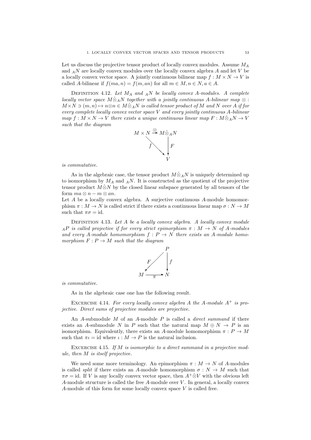Let us discuss the projective tensor product of locally convex modules. Assume  $M_A$ and  $_A N$  are locally convex modules over the locally convex algebra A and let V be a locally convex vector space. A jointly continuous bilinear map  $f : M \times N \to V$  is called A-bilinear if  $f(ma, n) = f(m, an)$  for all  $m \in M, n \in N, a \in A$ .

DEFINITION 4.12. Let  $M_A$  and  $_A N$  be locally convex A-modules. A complete locally vector space  $M\hat{\otimes}_A N$  together with a jointly continuous A-bilinear map  $\otimes$ :  $M \times N \ni (m, n) \mapsto n \otimes n \in M \hat{\otimes}_A N$  is called tensor product of M and N over A if for every complete locally convex vector space V and every jointly continuous A-bilinear map  $f : M \times N \to V$  there exists a unique continuous linear map  $F : M \hat{\otimes}_A N \to V$ such that the diagram



is commutative.

As in the algebraic case, the tensor product  $M\hat{\otimes}_A N$  is uniquely determined up to isomorphism by  $M_A$  and  $_A N$ . It is constructed as the quotient of the projective tensor product  $M\hat{\otimes}N$  by the closed linear subspace generated by all tensors of the form  $ma \otimes n - m \otimes an$ .

Let  $A$  be a locally convex algebra. A surjective continuous  $A$ -module homomorphism  $\pi : M \to N$  is called strict if there exists a continuous linear map  $\sigma : N \to M$ such that  $\pi\sigma = id$ .

DEFINITION 4.13. Let  $A$  be a locally convex algebra. A locally convex module  $_{A}P$  is called projective if for every strict epimorphism  $\pi : M \to N$  of A-modules and every A-module homomorphism  $f : P \to N$  there exists an A-module homomorphism  $F: P \to M$  such that the diagram



is commutative.

As in the algebraic case one has the following result.

EXCERCISE 4.14. For every locally convex algebra A the A-module  $A^+$  is projective. Direct sums of projective modules are projective.

An  $A$ -submodule  $M$  of an  $A$ -module  $P$  is called a *direct summand* if there exists an A-submodule N in P such that the natural map  $M \oplus N \to P$  is an isomorphism. Equivalently, there exists an A-module homomorphism  $\pi : P \to M$ such that  $\pi \iota = id$  where  $\iota : M \to P$  is the natural inclusion.

EXCERCISE 4.15. If  $M$  is isomorphic to a direct summand in a projective module, then M is itself projective.

We need some more terminology. An epimorphism  $\pi : M \to N$  of A-modules is called *split* if there exists an A-module homomorphism  $\sigma : N \to M$  such that  $\pi\sigma = id$ . If V is any locally convex vector space, then  $A^+\hat{\otimes}V$  with the obvious left A-module structure is called the free A-module over  $V$ . In general, a locally convex A-module of this form for some locally convex space V is called free.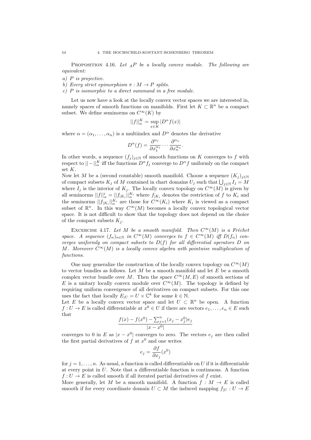PROPOSITION 4.16. Let  $_A P$  be a locally convex module. The following are equivalent:

- a) P is projective.
- b) Every strict epimorphism  $\pi : M \to P$  splits.
- c) P is isomorphic to a direct summand in a free module.

Let us now have a look at the locally convex vector spaces we are interested in, namely spaces of smooth functions on manifolds. First let  $K \subset \mathbb{R}^n$  be a compact subset. We define seminorms on  $C^{\infty}(K)$  by

$$
||f||^{K}_{\alpha}=\sup_{x\in K}|D^{\alpha}f(x)|
$$

where  $\alpha = (\alpha_1, \ldots, \alpha_n)$  is a multiindex and  $D^{\alpha}$  denotes the derivative

$$
D^{\alpha}(f) = \frac{\partial^{\alpha_1}}{\partial x_1^{\alpha_1}} \cdots \frac{\partial^{\alpha_n}}{\partial x_n^{\alpha_n}}.
$$

In other words, a sequence  $(f_j)_{j\in\mathbb{N}}$  of smooth functions on K converges to f with respect to  $\|\cdot\|_{\alpha}^{K}$  iff the functions  $D^{\alpha} f_j$  converge to  $D^{\alpha} f$  uniformly on the compact set K.

Now let M be a (second countable) smooth manifold. Choose a sequence  $(K_i)_{i\in\mathbb{N}}$ of compact subsets  $K_j$  of M contained in chart domains  $U_j$  such that  $\bigcup_{j\in\mathbb{N}} I_j = M$ where  $I_j$  is the interior of  $K_j$ . The locally convex topology on  $C^{\infty}(M)$  is given by all seminorms  $||f||_{\alpha}^{i} = ||f_{|K_{i}}||_{\alpha}^{K_{i}}$  where  $f_{|K_{i}}$  denotes the restriction of f to  $K_{i}$  and the seminorms  $||f_{|K_i}||_{\alpha}^{K_i}$  are those for  $C^{\infty}(K_i)$  where  $K_i$  is viewed as a compact subset of  $\mathbb{R}^n$ . In this way  $C^{\infty}(M)$  becomes a locally convex topological vector space. It is not difficult to show that the topology does not depend on the choice of the compact subsets  $K_i$ .

EXCERCISE 4.17. Let M be a smooth manifold. Then  $C^{\infty}(M)$  is a Fréchet space. A sequence  $(f_n)_{n\in\mathbb{N}}$  in  $C^{\infty}(M)$  converges to  $f \in C^{\infty}(M)$  iff  $D(f_n)$  converges uniformly on compact subsets to  $D(f)$  for all differential operators  $D$  on M. Moreover  $C^{\infty}(M)$  is a locally convex algebra with pointwise multiplication of functions.

One may generalize the construction of the locally convex topology on  $C^{\infty}(M)$ to vector bundles as follows. Let  $M$  be a smooth manifold and let  $E$  be a smooth complex vector bundle over M. Then the space  $C^{\infty}(M, E)$  of smooth sections of E is a unitary locally convex module over  $C^{\infty}(M)$ . The topology is defined by requiring uniform convergence of all derivatives on compact subsets. For this one uses the fact that locally  $E_{|U} = U \times \mathbb{C}^k$  for some  $k \in \mathbb{N}$ .

Let E be a locally convex vector space and let  $U \subset \mathbb{R}^n$  be open. A function  $f: U \to E$  is called differentiable at  $x^0 \in U$  if there are vectors  $e_1, \ldots, e_n \in E$  such that

$$
\frac{f(x) - f(x^0) - \sum_{j=1}^{n} (x_j - x_j^0) e_j}{|x - x^0|}
$$

converges to 0 in E as  $|x - x^0|$  converges to zero. The vectors  $e_j$  are then called the first partial derivatives of  $f$  at  $x^0$  and one writes

$$
e_j = \frac{\partial f}{\partial x_j}(x^0)
$$

for  $j = 1, \ldots, n$ . As usual, a function is called differentiable on U if it is differentiable at every point in  $U$ . Note that a differentiable function is continuous. A function  $f: U \to E$  is called smooth if all iterated partial derivatives of f exist.

More generally, let M be a smooth manifold. A function  $f : M \to E$  is called smooth if for every coordinate domain  $U \subset M$  the induced mapping  $f_{|U} : U \to E$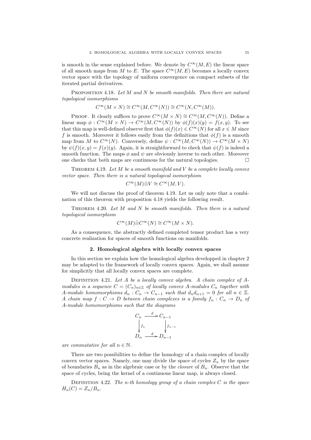is smooth in the sense explained before. We denote by  $C^{\infty}(M, E)$  the linear space of all smooth maps from M to E. The space  $C^{\infty}(M, E)$  becomes a locally convex vector space with the topology of uniform convergence on compact subsets of the iterated partial derivatives.

PROPOSITION 4.18. Let  $M$  and  $N$  be smooth manifolds. Then there are natural topological isomorphisms

$$
C^\infty(M\times N)\cong C^\infty(M,C^\infty(N))\cong C^\infty(N,C^\infty(M)).
$$

PROOF. It clearly suffices to prove  $C^{\infty}(M \times N) \cong C^{\infty}(M, C^{\infty}(N))$ . Define a linear map  $\phi: C^{\infty}(M \times N) \to C^{\infty}(M, C^{\infty}(N))$  by  $\phi(f)(x)(y) = f(x, y)$ . To see that this map is well-defined observe first that  $\phi(f)(x) \in C^{\infty}(N)$  for all  $x \in M$  since f is smooth. Moreover it follows easily from the definitions that  $\phi(f)$  is a smooth map from M to  $C^{\infty}(N)$ . Conversely, define  $\psi : C^{\infty}(M, C^{\infty}(N)) \to C^{\infty}(M \times N)$ by  $\psi(f)(x, y) = f(x)(y)$ . Again, it is straightforward to check that  $\psi(f)$  is indeed a smooth function. The maps  $\phi$  and  $\psi$  are obviously inverse to each other. Moreover one checks that both maps are continuous for the natural topologies.  $\Box$ 

THEOREM 4.19. Let  $M$  be a smooth manifold and  $V$  be a complete locally convex vector space. Then there is a natural topological isomorphism

$$
C^{\infty}(M)\hat{\otimes} V \cong C^{\infty}(M, V).
$$

We will not discuss the proof of theorem 4.19. Let us only note that a combination of this theorem with proposition 4.18 yields the following result.

THEOREM 4.20. Let  $M$  and  $N$  be smooth manifolds. Then there is a natural topological isomorphism

$$
C^{\infty}(M)\hat{\otimes} C^{\infty}(N) \cong C^{\infty}(M \times N).
$$

As a consequence, the abstractly defined completed tensor product has a very concrete realization for spaces of smooth functions on manifolds.

#### 2. Homological algebra with locally convex spaces

In this section we explain how the homological algebra developped in chapter 2 may be adapted to the framework of locally convex spaces. Again, we shall assume for simplicitly that all locally convex spaces are complete.

DEFINITION 4.21. Let  $A$  be a locally convex algebra. A chain complex of  $A$ modules is a sequence  $C = (C_n)_{n \in \mathbb{Z}}$  of locally convex A-modules  $C_n$  together with A-module homomorphisms  $d_n: C_n \to C_{n-1}$  such that  $d_n d_{n+1} = 0$  for all  $n \in \mathbb{Z}$ . A chain map  $f: C \to D$  between chain complexes is a family  $f_n: C_n \to D_n$  of A-module homomorphisms such that the diagrams

$$
C_n \xrightarrow{d} C_{n-1}
$$
  
\n
$$
\downarrow f_n
$$
  
\n
$$
D_n \xrightarrow{d} D_{n-1}
$$

are commutative for all  $n \in \mathbb{N}$ .

There are two possibilities to define the homology of a chain complex of locally convex vector spaces. Namely, one may divide the space of cycles  $Z_n$  by the space of boundaries  $B_n$  as in the algebraic case or by the *closure* of  $B_n$ . Observe that the space of cycles, being the kernel of a continuous linear map, is always closed.

DEFINITION 4.22. The n-th homology group of a chain complex  $C$  is the space  $H_n(C) = Z_n/B_n$ .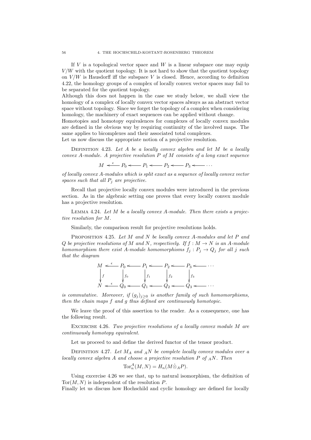If  $V$  is a topological vector space and  $W$  is a linear subspace one may equip  $V/W$  with the quotient topology. It is not hard to show that the quotient topology on  $V/W$  is Hausdorff iff the subspace V is closed. Hence, according to definition 4.22, the homology groups of a complex of locally convex vector spaces may fail to be separated for the quotient topology.

Although this does not happen in the case we study below, we shall view the homology of a complex of locally convex vector spaces always as an abstract vector space without topology. Since we forget the topology of a complex when considering homology, the machinery of exact sequences can be applied without change.

Homotopies and homotopy equivalences for complexes of locally convex modules are defined in the obvious way by requiring continuity of the involved maps. The same applies to bicomplexes and their associated total complexes.

Let us now discuss the appropriate notion of a projective resolution.

DEFINITION 4.23. Let  $A$  be a locally convex algebra and let  $M$  be a locally convex A-module. A projective resolution  $P$  of  $M$  consists of a long exact sequence

$$
M \stackrel{\epsilon}{\longleftarrow} P_0 \stackrel{\epsilon}{\longleftarrow} P_1 \stackrel{\epsilon}{\longleftarrow} P_2 \stackrel{\epsilon}{\longleftarrow} P_3 \stackrel{\epsilon}{\longleftarrow} \cdots
$$

of locally convex A-modules which is split exact as a sequence of locally convex vector spaces such that all  $P_i$  are projective.

Recall that projective locally convex modules were introduced in the previous section. As in the algebraic setting one proves that every locally convex module has a projective resolution.

LEMMA 4.24. Let  $M$  be a locally convex  $A$ -module. Then there exists a projective resolution for M.

Similarly, the comparison result for projective resolutions holds.

PROPOSITION 4.25. Let  $M$  and  $N$  be locally convex A-modules and let  $P$  and Q be projective resolutions of M and N, respectively. If  $f : M \to N$  is an A-module homomorphism there exist A-module homomorphisms  $f_i : P_i \to Q_i$  for all j such that the diagram

|  |                                                      | $M \leftarrow P_0 \leftarrow P_1 \leftarrow P_2 \leftarrow P_3 \leftarrow \cdots$ |
|--|------------------------------------------------------|-----------------------------------------------------------------------------------|
|  | $\int f$ $\int f_0$ $\int f_1$ $\int f_2$ $\int f_3$ |                                                                                   |
|  |                                                      |                                                                                   |
|  |                                                      | $N \leftarrow Q_0 \leftarrow Q_1 \leftarrow Q_2 \leftarrow Q_3 \leftarrow \cdots$ |

is commutative. Moreover, if  $(g_j)_{j\geq 0}$  is another family of such homomorphisms, then the chain maps f and g thus defined are continuously homotopic.

We leave the proof of this assertion to the reader. As a consequence, one has the following result.

EXCERCISE 4.26. Two projective resolutions of a locally convex module  $M$  are continuously homotopy equivalent.

Let us proceed to and define the derived functor of the tensor product.

DEFINITION 4.27. Let  $M_A$  and  $_A N$  be complete locally convex modules over a locally convex algebra A and choose a projective resolution P of  $_A$ N. Then

$$
\operatorname{Tor}^A_n(M, N) = H_n(M \hat{\otimes}_A P).
$$

Using excercise 4.26 we see that, up to natural isomorphism, the definition of  $Tor(M, N)$  is independent of the resolution P.

Finally let us discuss how Hochschild and cyclic homology are defined for locally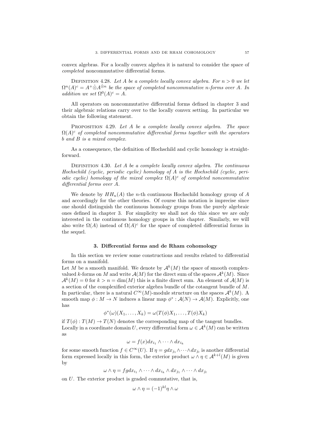convex algebras. For a locally convex algebra it is natural to consider the space of completed noncommutative differential forms.

DEFINITION 4.28. Let A be a complete locally convex algebra. For  $n > 0$  we let  $\Omega^n(A)^c = A^+ \hat{\otimes} A^{\hat{\otimes} n}$  be the space of completed noncommutative n-forms over A. In addition we set  $\Omega^{0}(A)^{c} = A$ .

All operators on noncommutative differential forms defined in chapter 3 and their algebraic relations carry over to the locally convex setting. In particular we obtain the following statement.

PROPOSITION 4.29. Let A be a complete locally convex algebra. The space  $\Omega(A)^c$  of completed noncommutative differential forms together with the operators b and B is a mixed complex.

As a consequence, the definition of Hochschild and cyclic homology is straightforward.

DEFINITION 4.30. Let A be a complete locally convex algebra. The continuous Hochschild (cyclic, periodic cyclic) homology of A is the Hochschild (cyclic, periodic cyclic) homology of the mixed complex  $\Omega(A)^c$  of completed noncommutative differential forms over A.

We denote by  $HH_n(A)$  the *n*-th continuous Hochschild homology group of A and accordingly for the other theories. Of course this notation is imprecise since one should distinguish the continuous homology groups from the purely algebraic ones defined in chapter 3. For simplicity we shall not do this since we are only interested in the continuous homology groups in this chapter. Similarly, we will also write  $\Omega(A)$  instead of  $\Omega(A)^c$  for the space of completed differential forms in the sequel.

#### 3. Differential forms and de Rham cohomology

In this section we review some constructions and results related to differential forms on a manifold.

Let M be a smooth manifold. We denote by  $\mathcal{A}^k(M)$  the space of smooth complexvalued k-forms on M and write  $\mathcal{A}(M)$  for the direct sum of the spaces  $\mathcal{A}^k(M)$ . Since  $\mathcal{A}^k(M) = 0$  for  $k > n = \dim(M)$  this is a finite direct sum. An element of  $\mathcal{A}(M)$  is a section of the complexified exterior algebra bundle of the cotangent bundle of M. In particular, there is a natural  $C^{\infty}(M)$ -module structure on the spaces  $\mathcal{A}^k(M)$ . A smooth map  $\phi: M \to N$  induces a linear map  $\phi^*: \mathcal{A}(N) \to \mathcal{A}(M)$ . Explicitly, one has

$$
\phi^*(\omega)(X_1,\ldots,X_k)=\omega(T(\phi)X_1,\ldots,T(\phi)X_k)
$$

if  $T(\phi) : T(M) \to T(N)$  denotes the corresponding map of the tangent bundles. Locally in a coordinate domain U, every differential form  $\omega \in A^k(M)$  can be written as

$$
\omega = f(x)dx_{i_1} \wedge \cdots \wedge dx_{i_k}
$$

for some smooth function  $f \in C^{\infty}(U)$ . If  $\eta = g dx_{j_1} \wedge \cdots \wedge dx_{j_l}$  is another differential form expressed locally in this form, the exterior product  $\omega \wedge \eta \in \mathcal{A}^{k+l}(M)$  is given by

$$
\omega \wedge \eta = f g dx_{i_1} \wedge \cdots \wedge dx_{i_k} \wedge dx_{j_1} \wedge \cdots \wedge dx_{j_l}
$$

on U. The exterior product is graded commutative, that is,

$$
\omega \wedge \eta = (-1)^{kl} \eta \wedge \omega
$$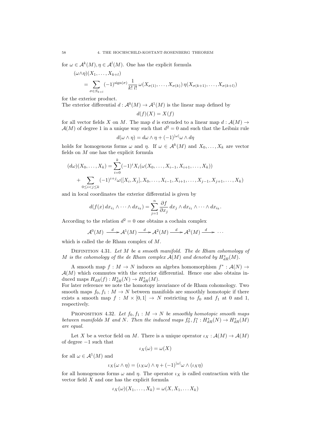for  $\omega \in \mathcal{A}^k(M)$ ,  $\eta \in \mathcal{A}^l(M)$ . One has the explicit formula

$$
(\omega \wedge \eta)(X_1, \dots, X_{k+l})
$$
  
= 
$$
\sum_{\sigma \in S_{k+l}} (-1)^{\text{sign}(\sigma)} \frac{1}{k! \, l!} \omega(X_{\sigma(1)}, \dots, X_{\sigma(k)}) \eta(X_{\sigma(k+1)}, \dots, X_{\sigma(k+l)})
$$

for the exterior product.

The exterior differential  $d : \mathcal{A}^0(M) \to \mathcal{A}^1(M)$  is the linear map defined by

 $d(f)(X) = X(f)$ 

for all vector fields X on M. The map d is extended to a linear map  $d : \mathcal{A}(M) \rightarrow$  $\mathcal{A}(M)$  of degree 1 in a unique way such that  $d^2 = 0$  and such that the Leibniz rule

$$
d(\omega \wedge \eta) = d\omega \wedge \eta + (-1)^{|\omega|} \omega \wedge d\eta
$$

holds for homogenous forms  $\omega$  and  $\eta$ . If  $\omega \in \mathcal{A}^k(M)$  and  $X_0, \ldots, X_k$  are vector fields on M one has the explicit formula

$$
(d\omega)(X_0, \dots, X_k) = \sum_{i=0}^k (-1)^i X_i(\omega(X_0, \dots, X_{i-1}, X_{i+1}, \dots, X_k))
$$
  
+ 
$$
\sum_{0 \le i < j \le k} (-1)^{i+j} \omega([X_i, X_j], X_0, \dots, X_{i-1}, X_{i+1}, \dots, X_{j-1}, X_{j+1}, \dots, X_k)
$$

and in local coordinates the exterior differential is given by

$$
d(f(x) dx_{i_1} \wedge \cdots \wedge dx_{i_k}) = \sum_{j=1}^n \frac{\partial f}{\partial x_j} dx_j \wedge dx_{i_1} \wedge \cdots \wedge dx_{i_k}.
$$

According to the relation  $d^2 = 0$  one obtains a cochain complex

$$
\mathcal{A}^0(M) \xrightarrow{d} \mathcal{A}^1(M) \xrightarrow{d} \mathcal{A}^2(M) \xrightarrow{d} \mathcal{A}^3(M) \xrightarrow{d} \cdots
$$

which is called the de Rham complex of M.

DEFINITION 4.31. Let  $M$  be a smooth manifold. The de Rham cohomology of M is the cohomology of the de Rham complex  $\mathcal{A}(M)$  and denoted by  $H^*_{dR}(M)$ .

A smooth map  $f: M \to N$  induces an algebra homomorphism  $f^* : \mathcal{A}(N) \to$  $\mathcal{A}(M)$  which commutes with the exterior differential. Hence one also obtains induced maps  $H_{dR}(f) : H^*_{dR}(N) \to H^*_{dR}(M)$ .

For later reference we note the homotopy invariance of de Rham cohomology. Two smooth maps  $f_0, f_1 : M \to N$  between manifolds are smoothly homotopic if there exists a smooth map  $f : M \times [0,1] \rightarrow N$  restricting to  $f_0$  and  $f_1$  at 0 and 1, respectively.

PROPOSITION 4.32. Let  $f_0, f_1 : M \to N$  be smoothly homotopic smooth maps between manifolds M and N. Then the induced maps  $f_0^*, f_1^*: H^*_{dR}(N) \to H^*_{dR}(M)$ are equal.

Let X be a vector field on M. There is a unique operator  $\iota_X : \mathcal{A}(M) \to \mathcal{A}(M)$ of degree −1 such that

$$
\iota_X(\omega) = \omega(X)
$$

for all  $\omega \in A^1(M)$  and

$$
\iota_X(\omega \wedge \eta) = (\iota_X \omega) \wedge \eta + (-1)^{|\omega|} \omega \wedge (\iota_X \eta)
$$

for all homogenous forms  $\omega$  and  $\eta$ . The operator  $\iota_X$  is called contraction with the vector field  $X$  and one has the explicit formula

$$
\iota_X(\omega)(X_1,\ldots,X_k)=\omega(X,X_1,\ldots,X_k)
$$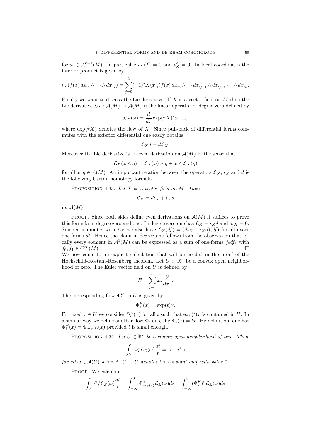for  $\omega \in A^{k+1}(M)$ . In particular  $\iota_X(f) = 0$  and  $\iota_X^2 = 0$ . In local coordinates the interior product is given by

$$
\iota_X(f(x) dx_{i_0} \wedge \cdots \wedge dx_{i_k}) = \sum_{j=0}^k (-1)^j X(x_{i_j}) f(x) dx_{i_0} \wedge \cdots dx_{i_{j-1}} \wedge dx_{i_{j+1}} \cdots \wedge dx_{i_k}.
$$

Finally we want to discuss the Lie derivative. If  $X$  is a vector field on  $M$  then the Lie derivative  $\mathcal{L}_X : \mathcal{A}(M) \to \mathcal{A}(M)$  is the linear operator of degree zero defined by

$$
\mathcal{L}_X(\omega) = \frac{d}{d\tau} \exp(\tau X)^* \omega|_{\tau=0}
$$

where  $\exp(\tau X)$  denotes the flow of X. Since pull-back of differential forms commutes with the exterior differential one easily obtains

$$
\mathcal{L}_X d = d\mathcal{L}_X.
$$

Moreover the Lie derivative is an even derivation on  $\mathcal{A}(M)$  in the sense that

$$
\mathcal{L}_X(\omega \wedge \eta) = \mathcal{L}_X(\omega) \wedge \eta + \omega \wedge \mathcal{L}_X(\eta)
$$

for all  $\omega, \eta \in \mathcal{A}(M)$ . An important relation between the operators  $\mathcal{L}_X$ ,  $\iota_X$  and d is the following Cartan homotopy formula.

PROPOSITION 4.33. Let  $X$  be a vector field on  $M$ . Then

$$
\mathcal{L}_X = d\iota_X + \iota_X d
$$

on  $\mathcal{A}(M)$ .

PROOF. Since both sides define even derivations on  $\mathcal{A}(M)$  it suffices to prove this formula in degree zero and one. In degree zero one has  $\mathcal{L}_X = \iota_X d$  and  $d\iota_X = 0$ . Since d commutes with  $\mathcal{L}_X$  we also have  $\mathcal{L}_X(df) = (d\iota_X + \iota_X d)(df)$  for all exact one-forms df. Hence the claim in degree one follows from the observation that locally every element in  $\mathcal{A}^1(M)$  can be expressed as a sum of one-forms  $f_0df_1$  with  $f_0, f_1 \in C^{\infty}(M)$ .

We now come to an explicit calculation that will be needed in the proof of the Hochschild-Kostant-Rosenberg theorem. Let  $U \subset \mathbb{R}^n$  be a convex open neighborhood of zero. The Euler vector field on U is defined by

$$
E = \sum_{j=1}^{n} x_j \frac{\partial}{\partial x_j}.
$$

The corresponding flow  $\Phi_t^E$  on U is given by

$$
\Phi_t^E(x) = \exp(t)x.
$$

For fixed  $x \in U$  we consider  $\Phi_t^E(x)$  for all t such that  $\exp(t)x$  is contained in U. In a similar way we define another flow  $\Phi_t$  on U by  $\Phi_t(x) = tx$ . By definition, one has  $\Phi_t^E(x) = \Phi_{\exp(t)}(x)$  provided t is small enough.

PROPOSITION 4.34. Let  $U \subset \mathbb{R}^n$  be a convex open neighborhood of zero. Then

$$
\int_0^1 \Phi_t^* \mathcal{L}_E(\omega) \frac{dt}{t} = \omega - i^* \omega
$$

for all  $\omega \in \mathcal{A}(U)$  where  $i: U \to U$  denotes the constant map with value 0.

PROOF. We calculate

$$
\int_0^1 \Phi_t^* \mathcal{L}_E(\omega) \frac{dt}{t} = \int_{-\infty}^0 \Phi_{\exp(s)}^* \mathcal{L}_E(\omega) ds = \int_{-\infty}^0 (\Phi_s^E)^* \mathcal{L}_E(\omega) ds
$$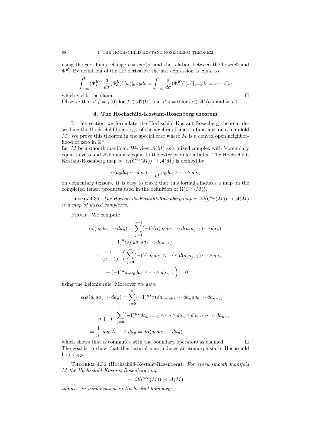using the coordinate change  $t = \exp(s)$  and the relation between the flows  $\Phi$  and  $\Phi^E$ . By definition of the Lie derivative the last expression is equal to

$$
\int_{-\infty}^{0} (\Phi_s^E)^* \frac{d}{d\sigma} (\Phi_\sigma^E)^* (\omega)|_{\sigma=0} ds = \int_{-\infty}^{0} \frac{d}{d\sigma} (\Phi_\sigma^E)^* (\omega)|_{\sigma=s} ds = \omega - i^* \omega
$$

which yields the claim.  $\Box$ 

Observe that  $i^* f = f(0)$  for  $f \in \mathcal{A}^0(U)$  and  $i^* \omega = 0$  for  $\omega \in \mathcal{A}^k(U)$  and  $k > 0$ .

# 4. The Hochschild-Kostant-Rosenberg theorem

In this section we formulate the Hochschild-Kostant-Rosenberg theorem describing the Hochschild homology of the algebra of smooth functions on a manifold  $M$ . We prove this theorem in the special case where  $M$  is a convex open neighborhood of zero in  $\mathbb{R}^n$ .

Let M be a smooth manifold. We view  $\mathcal{A}(M)$  as a mixed complex with b-boundary equal to zero and  $B$ -boundary equal to the exterior differential  $d$ . The Hochschild-Kostant-Rosenberg map  $\alpha : \Omega(C^{\infty}(M)) \to \mathcal{A}(M)$  is defined by

$$
\alpha(a_0da_1\cdots da_n)=\frac{1}{n!}a_0da_1\wedge\cdots\wedge da_n
$$

on elementary tensors. It is easy to check that this formula induces a map on the completed tensor products used in the definition of  $\Omega(C^{\infty}(M)).$ 

LEMMA 4.35. The Hochschild-Kostant-Rosenberg map  $\alpha : \Omega(C^{\infty}(M)) \to \mathcal{A}(M)$ is a map of mixed complexes.

PROOF. We compute

$$
\alpha b(a_0 da_1 \cdots da_n) = \sum_{j=0}^{n-1} (-1)^j \alpha(a_0 da_1 \cdots d(a_j a_{j+1}) \cdots da_n)
$$
  
+  $(-1)^n \alpha(a_n a_0 da_1 \cdots da_{n-1})$   
=  $\frac{1}{(n-1)!} \left( \sum_{j=0}^{n-1} (-1)^j a_0 da_1 \wedge \cdots \wedge d(a_j a_{j+1}) \cdots \wedge da_n \right)$   
+  $(-1)^n a_n a_0 da_1 \wedge \cdots \wedge da_{n-1} = 0$ 

using the Leibniz rule. Moreover we have

$$
\alpha B(a_0da_1\cdots da_n) = \sum_{j=0}^n (-1)^{nj} \alpha(da_{n-j+1}\cdots da_nda_0\cdots da_{n-j})
$$
  
= 
$$
\frac{1}{(n+1)!} \sum_{j=0}^n (-1)^{nj} da_{n-j+1} \wedge \cdots \wedge da_n \wedge da_0 \wedge \cdots \wedge da_{n-j}
$$
  
= 
$$
\frac{1}{n!} da_0 \wedge \cdots \wedge da_n = d\alpha(a_0da_1\cdots da_n)
$$

which shows that  $\alpha$  commutes with the boundary operators as claimed.  $\square$ The goal is to show that this natural map induces an isomorphism in Hochschild homology.

THEOREM 4.36 (Hochschild-Kostant-Rosenberg). For every smooth manifold M the Hochschild-Kostant-Rosenberg map

$$
\alpha : \Omega(C^{\infty}(M)) \to \mathcal{A}(M)
$$

induces an isomorphism in Hochschild homology.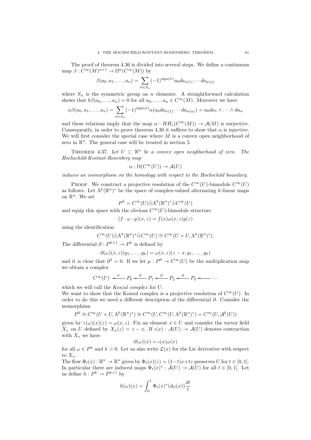The proof of theorem 4.36 is divided into several steps. We define a continuous map  $\beta: C^{\infty}(M)^{n+1} \to \Omega^n(C^{\infty}(M))$  by

$$
\beta(a_0, a_1, \dots, a_n) = \sum_{\sigma \in S_n} (-1)^{\text{sign}(\sigma)} a_0 da_{\sigma(1)} \cdots da_{\sigma(n)}
$$

where  $S_n$  is the symmetric group on n elements. A straightforward calculation shows that  $b\beta(a_0, \ldots, a_n) = 0$  for all  $a_0, \ldots, a_n \in C^\infty(M)$ . Moreover we have

$$
\alpha\beta(a_0, a_1, \dots, a_n) = \sum_{\sigma \in S_n} (-1)^{\text{sign}(\sigma)} \alpha(a_0 da_{\sigma(1)} \cdots da_{\sigma(n)}) = a_0 da_1 \wedge \cdots \wedge da_n
$$

and these relations imply that the map  $\alpha : HH_*(C^{\infty}(M)) \to \mathcal{A}(M)$  is surjective. Consequently, in order to prove theorem 4.36 it suffices to show that  $\alpha$  is injective. We will first consider the special case where  $M$  is a convex open neighborhood of zero in  $\mathbb{R}^n$ . The general case will be treated in section 5.

THEOREM 4.37. Let  $U \subset \mathbb{R}^n$  be a convex open neighborhood of zero. The Hochschild-Kostant-Rosenberg map

$$
\alpha : \Omega(C^{\infty}(U)) \to \mathcal{A}(U)
$$

induces an isomorphism on the homology with respect to the Hochschild boundary.

PROOF. We construct a projective resolution of the  $C^{\infty}(U)$ -bimodule  $C^{\infty}(U)$ as follows. Let  $\Lambda^k(\mathbb{R}^n)^*$  be the space of complex-valued alternating k-linear maps on  $\mathbb{R}^n$ . We set

$$
P^k = C^{\infty}(U)\hat{\otimes}\Lambda^k(\mathbb{R}^n)^*\hat{\otimes}C^{\infty}(U)
$$

and equip this space with the obvious  $C^{\infty}(U)$ -bimodule structure

$$
(f \cdot \omega \cdot g)(x, z) = f(x)\omega(x, z)g(z)
$$

using the identification

$$
C^{\infty}(U)\hat{\otimes}\Lambda^{k}(\mathbb{R}^{n})^*\hat{\otimes} C^{\infty}(U)\cong C^{\infty}(U\times U,\Lambda^{k}(\mathbb{R}^{n})^*).
$$

The differential  $\partial : P^{k+1} \to P^k$  is defined by

$$
\partial(\omega)(x,z)(y_1,\ldots,y_k)=\omega(x,z)(z-x,y_1,\ldots,y_k)
$$

and it is clear that  $\partial^2 = 0$ . If we let  $\mu : P^0 \to C^\infty(U)$  be the multiplication map we obtain a complex

$$
C^{\infty}(U) \stackrel{\mu}{\longleftarrow} P_0 \stackrel{\partial}{\longleftarrow} P_1 \stackrel{\partial}{\longleftarrow} P_2 \stackrel{\partial}{\longleftarrow} P_3 \stackrel{\cdots}{\longleftarrow} \cdots
$$

which we will call the *Koszul complex* for U.

We want to show that the Koszul complex is a projective resolution of  $C^{\infty}(U)$ . In order to do this we need a different description of the differential ∂. Consider the isomorphism

$$
P^k \cong C^\infty(U \times U, \Lambda^k(\mathbb{R}^n)^*) \cong C^\infty(U, C^\infty(U, \Lambda^k(\mathbb{R}^n)^*) = C^\infty(U, \mathcal{A}^k(U))
$$

given by  $\gamma(\omega)(x)(z) = \omega(x, z)$ . Fix an element  $x \in U$  and consider the vector field  $X_x$  on U defined by  $X_x(z) = z - x$ . If  $\iota(x) : \mathcal{A}(U) \to \mathcal{A}(U)$  denotes contraction with  $X<sub>x</sub>$  we have

$$
\partial(\omega)(x) = \iota(x)\omega(x)
$$

for all  $\omega \in P^k$  and  $k > 0$ . Let us also write  $\mathcal{L}(x)$  for the Lie derivative with respect to  $X<sub>r</sub>$ .

The flow  $\Phi_t(x) : \mathbb{R}^n \to \mathbb{R}^n$  given by  $\Phi_t(x)(z) = (1-t)x+tz$  preserves U for  $t \in [0,1]$ . In particular there are induced maps  $\Phi_t(x)^* : \mathcal{A}(U) \to \mathcal{A}(U)$  for all  $t \in [0,1]$ . Let us define  $h: P^k \to P^{k+1}$  by

$$
h(\omega)(x) = \int_0^1 \Phi_t(x)^*(d\omega(x))\frac{dt}{t}
$$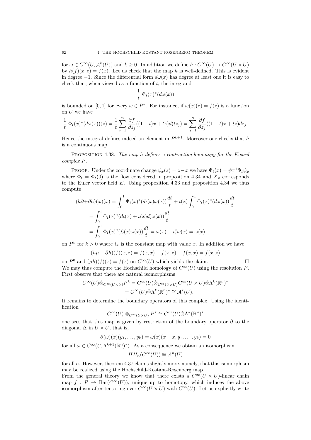for  $\omega \in C^{\infty}(U, \mathcal{A}^k(U))$  and  $k \geq 0$ . In addition we define  $h: C^{\infty}(U) \to C^{\infty}(U \times U)$ by  $h(f)(x, z) = f(x)$ . Let us check that the map h is well-defined. This is evident in degree −1. Since the differential form  $d\omega(x)$  has degree at least one it is easy to check that, when viewed as a function of  $t$ , the integrand

$$
\frac{1}{t}\ \Phi_t(x)^*(d\omega(x))
$$

is bounded on [0, 1] for every  $\omega \in P^k$ . For instance, if  $\omega(x)(z) = f(z)$  is a function on  $U$  we have

$$
\frac{1}{t}\ \Phi_t(x)^*(d\omega(x))(z) = \frac{1}{t}\sum_{j=1}^n\frac{\partial f}{\partial z_j}((1-t)x+tz)d(tz_j) = \sum_{j=1}^n\frac{\partial f}{\partial z_j}((1-t)x+tz)dz_j.
$$

Hence the integral defines indeed an element in  $P^{k+1}$ . Moreover one checks that h is a continuous map.

Proposition 4.38. The map h defines a contracting homotopy for the Koszul complex P.

PROOF. Under the coordinate change  $\psi_x(z) = z - x$  we have  $\Phi_t(x) = \psi_x^{-1} \Phi_t \psi_x$ where  $\Phi_t = \Phi_t(0)$  is the flow considered in proposition 4.34 and  $X_x$  corresponds to the Euler vector field E. Using proposition 4.33 and proposition 4.34 we thus compute

$$
(h\partial + \partial h)(\omega)(x) = \int_0^1 \Phi_t(x)^* (d\iota(x)\omega(x)) \frac{dt}{t} + \iota(x) \int_0^1 \Phi_t(x)^* (d\omega(x)) \frac{dt}{t}
$$
  
= 
$$
\int_0^1 \Phi_t(x)^* (d\iota(x) + \iota(x)d)\omega(x)) \frac{dt}{t}
$$
  
= 
$$
\int_0^1 \Phi_t(x)^* (\mathcal{L}(x)\omega(x)) \frac{dt}{t} = \omega(x) - i_x^* \omega(x) = \omega(x)
$$

on  $P^k$  for  $k > 0$  where  $i_x$  is the constant map with value x. In addition we have

$$
(h\mu + \partial h)(f)(x, z) = f(x, x) + f(x, z) - f(x, x) = f(x, z)
$$

on  $P^0$  and  $(\mu h)(f)(x) = f(x)$  on  $C^{\infty}(U)$  which yields the claim. We may thus compute the Hochschild homology of  $C^{\infty}(U)$  using the resolution P. First observe that there are natural isomorphisms

$$
C^{\infty}(U)\hat{\otimes}_{C^{\infty}(U\times U)}P^k = C^{\infty}(U)\hat{\otimes}_{C^{\infty}(U\times U)}C^{\infty}(U\times U)\hat{\otimes}\Lambda^k(\mathbb{R}^n)^*
$$
  
= 
$$
C^{\infty}(U)\hat{\otimes}\Lambda^k(\mathbb{R}^n)^* \cong \mathcal{A}^k(U).
$$

It remains to determine the boundary operators of this complex. Using the identification

$$
C^{\infty}(U)\otimes_{C^{\infty}(U\times U)}P^k\cong C^{\infty}(U)\hat{\otimes}\Lambda^k(\mathbb{R}^n)^*
$$

one sees that this map is given by restriction of the boundary operator  $\partial$  to the diagonal  $\Delta$  in  $U \times U$ , that is,

$$
\partial(\omega)(x)(y_1,\ldots,y_k)=\omega(x)(x-x,y_1,\ldots,y_k)=0
$$

for all  $\omega \in C^{\infty}(U, \Lambda^{k+1}(\mathbb{R}^n)^*)$ . As a consequence we obtain an isomorphism

$$
HH_n(C^{\infty}(U)) \cong \mathcal{A}^n(U)
$$

for all n. However, theorem 4.37 claims slightly more, namely, that this isomorphism may be realized using the Hochschild-Kostant-Rosenberg map.

From the general theory we know that there exists a  $C^{\infty}(U \times U)$ -linear chain map  $f : P \to \text{Bar}(C^{\infty}(U))$ , unique up to homotopy, which induces the above isomorphism after tensoring over  $C^{\infty}(U \times U)$  with  $C^{\infty}(U)$ . Let us explicitly write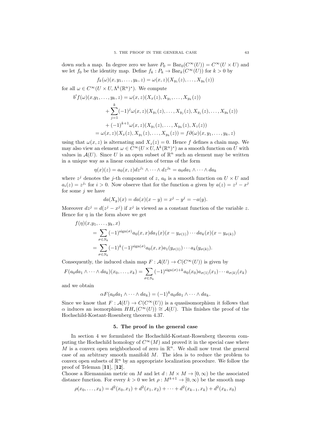down such a map. In degree zero we have  $P_0 = Bar_0(C^{\infty}(U)) = C^{\infty}(U \times U)$  and we let  $f_0$  be the identity map. Define  $f_k : P_k \to \text{Bar}_k(C^{\infty}(U))$  for  $k > 0$  by

$$
f_k(\omega)(x, y_1, \dots, y_k, z) = \omega(x, z)(X_{y_1}(z), \dots, X_{y_k}(z))
$$

for all  $\omega \in C^{\infty}(U \times U, \Lambda^k(\mathbb{R}^n)^*)$ . We compute

 $b'$ 

$$
f(\omega)(x, y_1, \dots, y_k, z) = \omega(x, z)(X_x(z), X_{y_1}, \dots, X_{y_k}(z))
$$
  
+ 
$$
\sum_{j=1}^k (-1)^j \omega(x, z)(X_{y_1}(z), \dots, X_{y_j}(z), X_{y_j}(z), \dots, X_{y_k}(z))
$$
  
+ 
$$
(-1)^{k+1} \omega(x, z)(X_{y_1}(z), \dots, X_{y_k}(z), X_z(z))
$$
  
= 
$$
\omega(x, z)(X_x(z), X_{y_1}(z), \dots, X_{y_k}(z)) = f\partial(\omega)(x, y_1, \dots, y_k, z)
$$

using that  $\omega(x, z)$  is alternating and  $X_z(z) = 0$ . Hence f defines a chain map. We may also view an element  $\omega \in C^{\infty}(U \times U, \Lambda^k(\mathbb{R}^n)^*)$  as a smooth function on U with values in  $\mathcal{A}(U)$ . Since U is an open subset of  $\mathbb{R}^n$  such an element may be written in a unique way as a linear combination of terms of the form

$$
\eta(x)(z) = a_0(x, z)dz^{j_1} \wedge \cdots \wedge dz^{j_k} = a_0da_1 \wedge \cdots \wedge da_k
$$

where  $z^j$  denotes the j-th component of z,  $a_0$  is a smooth function on  $U \times U$  and  $a_i(z) = z^{j_i}$  for  $i > 0$ . Now observe that for the function a given by  $a(z) = z^j - x^j$ for some  $j$  we have

$$
da(X_y)(x) = da(x)(x - y) = xj - yj = -a(y).
$$

Moreover  $dz^j = d(z^j - x^j)$  if  $x^j$  is viewed as a constant function of the variable z. Hence for  $\eta$  in the form above we get

$$
f(\eta)(x,y_1,\ldots,y_k,x)
$$
  
= 
$$
\sum_{\sigma \in S_k} (-1)^{\operatorname{sign}(\sigma)} a_0(x,x) da_1(x) (x - y_{\sigma(1)}) \cdots da_k(x) (x - y_{\sigma(k)})
$$
  
= 
$$
\sum_{\sigma \in S_k} (-1)^k (-1)^{\operatorname{sign}(\sigma)} a_0(x,x) a_1(y_{\sigma(1)}) \cdots a_k(y_{\sigma(k)}).
$$

Consequently, the induced chain map  $F : \mathcal{A}(U) \to C(C^{\infty}(U))$  is given by

$$
F(a_0da_1 \wedge \cdots \wedge da_k)(x_0, \ldots, x_k) = \sum_{\sigma \in S_k} (-1)^{\text{sign}(\sigma) + k} a_0(x_0) a_{\sigma(1)}(x_1) \cdots a_{\sigma(k)}(x_k)
$$

and we obtain

$$
\alpha F(a_0da_1\wedge\cdots\wedge da_k) = (-1)^{k}a_0da_1\wedge\cdots\wedge da_k.
$$

Since we know that  $F: \mathcal{A}(U) \to C(C^{\infty}(U))$  is a quasiisomorphism it follows that  $\alpha$  induces an isomorphism  $HH_*(C^\infty(U)) \cong \mathcal{A}(U)$ . This finishes the proof of the Hochschild-Kostant-Rosenberg theorem 4.37.

#### 5. The proof in the general case

In section 4 we formulated the Hochschild-Kostant-Rosenberg theorem computing the Hochschild homology of  $C^{\infty}(M)$  and proved it in the special case where M is a convex open neighborhood of zero in  $\mathbb{R}^n$ . We shall now treat the general case of an arbitrary smooth manifold M. The idea is to reduce the problem to convex open subsets of  $\mathbb{R}^n$  by an appropriate localization procedure. We follow the proof of Teleman [11], [12].

Choose a Riemannian metric on M and let  $d : M \times M \to [0, \infty)$  be the associated distance function. For every  $k > 0$  we let  $\rho : M^{k+1} \to [0, \infty)$  be the smooth map

$$
\rho(x_0,\ldots,x_k) = d^2(x_0,x_1) + d^2(x_1,x_2) + \cdots + d^2(x_{k-1},x_k) + d^2(x_k,x_0)
$$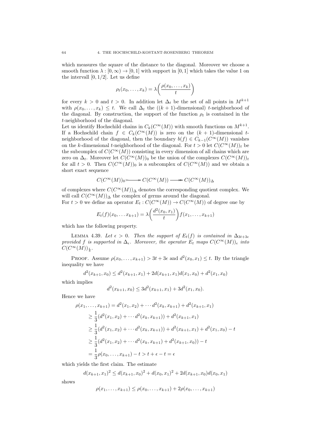which measures the square of the distance to the diagonal. Moreover we choose a smooth function  $\lambda : [0, \infty) \to [0, 1]$  with support in [0, 1] which takes the value 1 on the intervall  $[0, 1/2]$ . Let us define

$$
\rho_t(x_0,\ldots,x_k) = \lambda\bigg(\frac{\rho(x_0,\ldots,x_k)}{t}\bigg)
$$

for every  $k > 0$  and  $t > 0$ . In addition let  $\Delta_t$  be the set of all points in  $M^{k+1}$ with  $\rho(x_0, \ldots, x_k) \leq t$ . We call  $\Delta_t$  the  $((k + 1)$ -dimensional) t-neighborhood of the diagonal. By construction, the support of the function  $\rho_t$  is contained in the t-neighborhood of the diagonal.

Let us identify Hochschild chains in  $C_k(C^{\infty}(M))$  with smooth functions on  $M^{k+1}$ . If a Hochschild chain  $f \in C_k(C^{\infty}(M))$  is zero on the  $(k + 1)$ -dimensional tneighborhood of the diagonal, then the boundary  $b(f) \in C_{k-1}(C^{\infty}(M))$  vanishes on the k-dimensional t-neighborhood of the diagonal. For  $t > 0$  let  $C(C^{\infty}(M))_t$  be the subcomplex of  $C(C^{\infty}(M))$  consisting in every dimension of all chains which are zero on  $\Delta_t$ . Moreover let  $C(C^{\infty}(M))_0$  be the union of the complexes  $C(C^{\infty}(M))_t$ for all  $t > 0$ . Then  $C(C^{\infty}(M))_0$  is a subcomplex of  $C(C^{\infty}(M))$  and we obtain a short exact sequence

$$
C(C^\infty(M))_0{\color{black}\succ\!\!\!\!\!\!\longrightarrow} C(C^\infty(M)) {\color{black}\longrightarrow\!\!\!\!\!\longrightarrow} C(C^\infty(M))_\Delta
$$

of complexes where  $C(C^{\infty}(M))_{\Delta}$  denotes the corresponding quotient complex. We will call  $C(C^{\infty}(M))_{\Delta}$  the complex of germs around the diagonal.

For  $t > 0$  we define an operator  $E_t : C(C^{\infty}(M)) \to C(C^{\infty}(M))$  of degree one by

$$
E_t(f)(x_0,... x_{k+1}) = \lambda \left( \frac{d^2(x_0,x_1)}{t} \right) f(x_1,...,x_{k+1})
$$

which has the following property.

LEMMA 4.39. Let  $\epsilon > 0$ . Then the support of  $E_t(f)$  is contained in  $\Delta_{3t+3\epsilon}$ provided f is supported in  $\Delta_{\epsilon}$ . Moreover, the operator  $E_t$  maps  $C(C^{\infty}(M))_{\epsilon}$  into  $C(C^{\infty}(M))_{\frac{\epsilon}{3}}$ .

PROOF. Assume  $\rho(x_0, \ldots, x_{k+1}) > 3t + 3\epsilon$  and  $d^2(x_0, x_1) \leq t$ . By the triangle inequality we have

$$
d^{2}(x_{k+1}, x_{0}) \le d^{2}(x_{k+1}, x_{1}) + 2d(x_{k+1}, x_{1})d(x_{1}, x_{0}) + d^{2}(x_{1}, x_{0})
$$

which implies

$$
d^{2}(x_{k+1}, x_0) \leq 3d^{2}(x_{k+1}, x_1) + 3d^{2}(x_1, x_0).
$$

Hence we have

$$
\rho(x_1, \dots, x_{k+1}) = d^2(x_1, x_2) + \dots + d^2(x_k, x_{k+1}) + d^2(x_{k+1}, x_1)
$$
  
\n
$$
\geq \frac{1}{3} (d^2(x_1, x_2) + \dots + d^2(x_k, x_{k+1})) + d^2(x_{k+1}, x_1)
$$
  
\n
$$
\geq \frac{1}{3} (d^2(x_1, x_2) + \dots + d^2(x_k, x_{k+1})) + d^2(x_{k+1}, x_1) + d^2(x_1, x_0) - t
$$
  
\n
$$
\geq \frac{1}{3} (d^2(x_1, x_2) + \dots + d^2(x_k, x_{k+1}) + d^2(x_{k+1}, x_0)) - t
$$
  
\n
$$
= \frac{1}{3} \rho(x_0, \dots, x_{k+1}) - t > t + \epsilon - t = \epsilon
$$

which yields the first claim. The estimate

$$
d(x_{k+1},x_1)^2 \le d(x_{k+1},x_0)^2 + d(x_0,x_1)^2 + 2d(x_{k+1},x_0)d(x_0,x_1)
$$

shows

$$
\rho(x_1, \ldots, x_{k+1}) \leq \rho(x_0, \ldots, x_{k+1}) + 2\rho(x_0, \ldots, x_{k+1})
$$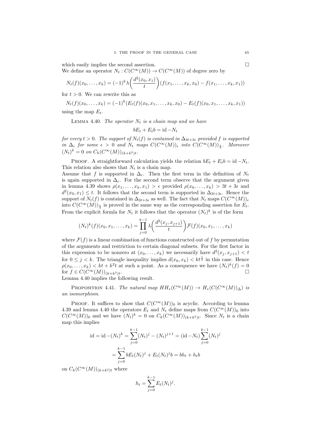which easily implies the second assertion.  $\Box$ We define an operator  $N_t : C(C^{\infty}(M)) \to C(C^{\infty}(M))$  of degree zero by

$$
N_t(f)(x_0,\ldots,x_k) = (-1)^k \lambda \left(\frac{d^2(x_0,x_1)}{t}\right) (f(x_1,\ldots,x_k,x_0) - f(x_1,\ldots,x_k,x_1))
$$

for  $t > 0$ . We can rewrite this as

$$
N_t(f)(x_0,...,x_k) = (-1)^k (E_t(f)(x_0,x_1,...,x_k,x_0) - E_t(f)(x_0,x_1,...,x_k,x_1))
$$

using the map  $E_t$ .

LEMMA 4.40. The operator  $N_t$  is a chain map and we have

$$
bE_t + E_tb = id - N_t
$$

for every  $t > 0$ . The support of  $N_t(f)$  is contained in  $\Delta_{3t+3\epsilon}$  provided f is supported in  $\Delta_{\epsilon}$  for some  $\epsilon > 0$  and  $N_t$  maps  $C(C^{\infty}(M))_{\epsilon}$  into  $C(C^{\infty}(M))_{\frac{\epsilon}{3}}$ . Moreover  $(N_t)^k = 0$  on  $C_k(C^{\infty}(M))_{(k+k^2)t}$ .

PROOF. A straightforward calculation yields the relation  $bE_t + E_t b = id - N_t$ . This relation also shows that  $N_t$  is a chain map.

Assume that f is supported in  $\Delta_{\epsilon}$ . Then the first term in the definition of  $N_t$ is again supported in  $\Delta_{\epsilon}$ . For the second term observe that the argument given in lemma 4.39 shows  $\rho(x_1, \ldots, x_k, x_1) > \epsilon$  provided  $\rho(x_0, \ldots, x_k) > 3t + 3\epsilon$  and  $d^2(x_0, x_1) \leq t$ . It follows that the second term is supported in  $\Delta_{3t+3\epsilon}$ . Hence the support of  $N_t(f)$  is contained in  $\Delta_{3t+3\epsilon}$  as well. The fact that  $N_t$  maps  $C(C^{\infty}(M))_e$ into  $C(C^{\infty}(M))_{\frac{\epsilon}{3}}$  is proved in the same way as the corresponding assertion for  $E_t$ . From the explicit formla for  $N_t$  it follows that the operator  $(N_t)^k$  is of the form

$$
(N_t)^k(f)(x_0, x_1, \dots, x_k) = \prod_{j=0}^{k-1} \lambda \left( \frac{d^2(x_j, x_{j+1})}{t} \right) \mathcal{F}(f)(x_0, x_1, \dots, x_k)
$$

where  $\mathcal{F}(f)$  is a linear combination of functions constructed out of f by permutation of the arguments and restriction to certain diagonal subsets. For the first factor in this expression to be nonzero at  $(x_0, \ldots, x_k)$  we necessarily have  $d^2(x_j, x_{j+1}) < t$ for  $0 \leq j < k$ . The triangle inequality implies  $d(x_0, x_k) < kt^{\frac{1}{2}}$  in this case. Hence  $\rho(x_0, \ldots, x_k) < kt + k^2t$  at such a point. As a consequence we have  $(N_t)^k(f) = 0$ for  $f \in C(C^{\infty}(M))_{(k+k^2)t}$ . .

Lemma 4.40 implies the following result.

PROPOSITION 4.41. The natural map  $HH_*(C^{\infty}(M)) \to H_*(C(C^{\infty}(M))_{\Delta})$  is an isomorphism.

PROOF. It suffices to show that  $C(C^{\infty}(M))_0$  is acyclic. According to lemma 4.39 and lemma 4.40 the operators  $E_t$  and  $N_t$  define maps from  $C(C^{\infty}(M))_0$  into  $C(C^{\infty}(M))_0$  and we have  $(N_t)^k = 0$  on  $C_k(C^{\infty}(M))_{(k+k^2)t}$ . Since  $N_t$  is a chain map this implies

$$
\text{id} = \text{id} - (N_t)^k = \sum_{j=0}^{k-1} (N_t)^j - (N_t)^{j+1} = (\text{id} - N_t) \sum_{j=0}^{k-1} (N_t)^j
$$

$$
= \sum_{j=0}^{k-1} bE_t (N_t)^j + E_t (N_t)^j b = bh_t + h_t b
$$

on  $C_k(C^{\infty}(M))_{(k+k^2)t}$  where

$$
h_t = \sum_{j=0}^{k-1} E_t(N_t)^j.
$$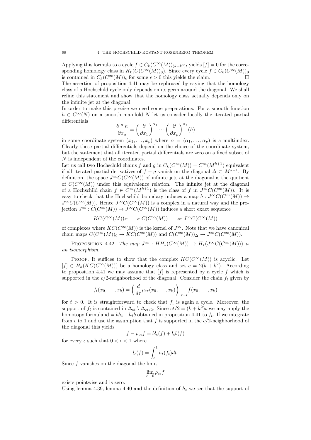Applying this formula to a cycle  $f \in C_k(C^{\infty}(M))_{(k+k^2)t}$  yields  $[f] = 0$  for the corresponding homology class in  $H_k(C(C^{\infty}(M))_0)$ . Since every cycle  $f \in C_k(C^{\infty}(M))_0$ is contained in  $C_k(C^{\infty}(M))_{\epsilon}$  for some  $\epsilon > 0$  this yields the claim.

The assertion of proposition 4.41 may be rephrased by saying that the homology class of a Hochschild cycle only depends on its germ around the diagonal. We shall refine this statement and show that the homology class actually depends only on the infinite jet at the diagonal.

In order to make this precise we need some preparations. For a smooth function  $h \in C^{\infty}(N)$  on a smooth manifold N let us consider locally the iterated partial differentials

$$
\frac{\partial^{|\alpha|} h}{\partial x_{\alpha}} = \left(\frac{\partial}{\partial x_1}\right)^{\alpha_1} \cdots \left(\frac{\partial}{\partial x_p}\right)^{\alpha_p} (h)
$$

in some coordinate system  $(x_1, \ldots, x_n)$  where  $\alpha = (\alpha_1, \ldots, \alpha_n)$  is a multiindex. Clearly these partial differentials depend on the choice of the coordinate system, but the statement that all iterated partial differentials are zero on a fixed subset of N is independent of the coordinates.

Let us call two Hochschild chains f and g in  $C_k(C^{\infty}(M)) = C^{\infty}(M^{k+1})$  equivalent if all iterated partial derivatives of  $f - g$  vanish on the diagonal  $\Delta \subset M^{k+1}$ . By definition, the space  $J^{\infty}C(C^{\infty}(M))$  of infinite jets at the diagonal is the quotient of  $C(C^{\infty}(M))$  under this equivalence relation. The infinite jet at the diagonal of a Hochschild chain  $f \in C^{\infty}(M^{k+1})$  is the class of f in  $J^{\infty}C(C^{\infty}(M))$ . It is easy to check that the Hochschild boundary induces a map  $b : J^{\infty}C(C^{\infty}(M)) \rightarrow$  $J^{\infty}C(C^{\infty}(M))$ . Hence  $J^{\infty}C(C^{\infty}(M))$  is a complex in a natural way and the projection  $J^{\infty}: C(C^{\infty}(M)) \to J^{\infty}C(C^{\infty}(M))$  induces a short exact sequence

$$
KC(C^\infty(M))\!\!\!>\longrightarrow C(C^\infty(M))\longrightarrow J^\infty C(C^\infty(M))
$$

of complexes where  $KC(C^{\infty}(M))$  is the kernel of  $J^{\infty}$ . Note that we have canonical chain maps  $C(C^{\infty}(M))_0 \to KC(C^{\infty}(M))$  and  $C(C^{\infty}(M))_{\Delta} \to J^{\infty}C(C^{\infty}(M)).$ 

PROPOSITION 4.42. The map  $J^{\infty}: HH_*(C^{\infty}(M)) \to H_*(J^{\infty}C(C^{\infty}(M)))$  is an isomorphism.

PROOF. It suffices to show that the complex  $KC(C^{\infty}(M))$  is acyclic. Let  $[f] \in H_k(KC(C^{\infty}(M)))$  be a homology class and set  $c = 2(k + k^2)$ . According to proposition 4.41 we may assume that  $[f]$  is represented by a cycle f which is supported in the  $c/2$ -neighborhood of the diagonal. Consider the chain  $f_t$  given by

$$
f_t(x_0,\ldots,x_k) = \left(\frac{d}{d\tau}\rho_{c\tau}(x_0,\ldots,x_k)\right)_{|\tau|=t} f(x_0,\ldots,x_k)
$$

for  $t > 0$ . It is straightforward to check that  $f_t$  is again a cycle. Moreover, the support of  $f_t$  is contained in  $\Delta_{ct} \setminus \Delta_{ct/2}$ . Since  $ct/2 = (k + k^2)t$  we may apply the homotopy formula id =  $bh_t + h_t b$  obtained in proposition 4.41 to  $f_t$ . If we integrate from  $\epsilon$  to 1 and use the assumption that f is supported in the c/2-neighborhood of the diagonal this yields

$$
f - \rho_{c\epsilon} f = bl_{\epsilon}(f) + l_{\epsilon}b(f)
$$

for every  $\epsilon$  such that  $0 < \epsilon < 1$  where

$$
l_{\epsilon}(f) = \int_{\epsilon}^{1} h_t(f_t)dt.
$$

Since f vanishes on the diagonal the limit

$$
\lim_{\epsilon \to 0} \rho_{c\epsilon} f
$$

exists pointwise and is zero.

Using lemma 4.39, lemma 4.40 and the definition of  $h_t$  we see that the support of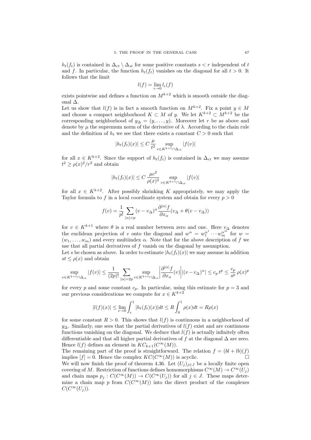$h_t(f_t)$  is contained in  $\Delta_{rt} \setminus \Delta_{st}$  for some positive constants  $s < r$  independent of t and f. In particular, the function  $h_t(f_t)$  vanishes on the diagonal for all  $t > 0$ . It follows that the limit

$$
l(f)=\lim_{\epsilon\to 0}l_\epsilon(f)
$$

exists pointwise and defines a function on  $M^{k+2}$  which is smooth outside the diagonal ∆.

Let us show that  $l(f)$  is in fact a smooth function on  $M^{k+2}$ . Fix a point  $y \in M$ and choose a compact neighborhood  $K \subset M$  of y. We let  $K^{k+2} \subset M^{k+2}$  be the corresponding neighborhood of  $y_{\Delta} = (y, \ldots, y)$ . Moreover let r be as above and denote by  $\mu$  the supremum norm of the derivative of  $\lambda$ . According to the chain rule and the definition of  $h_t$  we see that there exists a constant  $C > 0$  such that

$$
|h_t(f_t)(x)| \le C \frac{\mu}{t^2} \sup_{v \in K^{k+1} \cap \Delta_{ct}} |f(v)|
$$

for all  $x \in K^{k+2}$ . Since the support of  $h_t(f_t)$  is contained in  $\Delta_{rt}$  we may assume  $t^2 \geq \rho(x)^2/r^2$  and obtain

$$
|h_t(f_t)(x)| \le C \frac{\mu c^2}{\rho(x)^2} \sup_{v \in K^{k+1} \cap \Delta_{ct}} |f(v)|
$$

for all  $x \in K^{k+2}$ . After possibly shrinking K appropriately, we may apply the Taylor formula to f in a local coordinate system and obtain for every  $p > 0$ 

$$
f(v) = \frac{1}{p!} \sum_{|\alpha|=p} (v - v_{\Delta})^{\alpha} \frac{\partial^{|\alpha|} f}{\partial x_{\alpha}} (v_{\Delta} + \theta(v - v_{\Delta}))
$$

for  $v \in K^{k+1}$  where  $\theta$  is a real number between zero and one. Here  $v_{\Delta}$  denotes the euclidean projection of v onto the diagonal and  $w^{\alpha} = w_1^{\alpha^1} \cdots w_m^{\alpha^m}$  for  $w =$  $(w_1, \ldots, w_m)$  and every multiindex  $\alpha$ . Note that for the above description of f we use that all partial derivatives of  $f$  vanish on the diagonal by assumption.

Let s be chosen as above. In order to estimate  $|h_t(f_t)(x)|$  we may assume in addition  $st \leq \rho(x)$  and obtain

$$
\sup_{v \in K^{k+1} \cap \Delta_{ct}} |f(v)| \le \frac{1}{(2p)!} \sum_{|\alpha| = 2p} \sup_{v \in K^{k+1} \cap \Delta_{ct}} \left| \frac{\partial^{|\alpha|} f}{\partial x_{\alpha}}(v) \right| |(v - v_{\Delta})^{\alpha}| \le c_p t^p \le \frac{c_p}{s^p} \rho(x)^p
$$

for every p and some constant  $c_p$ . In particular, using this estimate for  $p = 3$  and our previous considerations we compute for  $x \in K^{k+2}$ 

$$
|l(f)(x)| \le \lim_{\epsilon \to 0} \int_{\epsilon}^{1} |h_t(f_t)(x)| dt \le R \int_{0}^{1} \rho(x) dt = R\rho(x)
$$

for some constant  $R > 0$ . This shows that  $l(f)$  is continuous in a neighborhood of  $y_\Delta$ . Similarly, one sees that the partial derivatives of  $l(f)$  exist and are continuous functions vanishing on the diagonal. We deduce that  $l(f)$  is actually infinitely often differentiable and that all higher partial derivatives of f at the diagonal  $\Delta$  are zero. Hence  $l(f)$  defines an element in  $KC_{k+1}(C^{\infty}(M)).$ 

The remaining part of the proof is straightforward. The relation  $f = (bl + lb)(f)$ implies  $[f] = 0$ . Hence the complex  $KC(C^{\infty}(M))$  is acyclic.

We will now finish the proof of theorem 4.36. Let  $(U_j)_{j\in J}$  be a locally finite open covering of M. Restriction of functions defines homomorphisms  $C^{\infty}(M) \to C^{\infty}(U_j)$ and chain maps  $p_j : C(C^{\infty}(M)) \to C(C^{\infty}(U_j))$  for all  $j \in J$ . These maps determine a chain map p from  $C(C^{\infty}(M))$  into the direct product of the complexes  $C(C^{\infty}(U_i)).$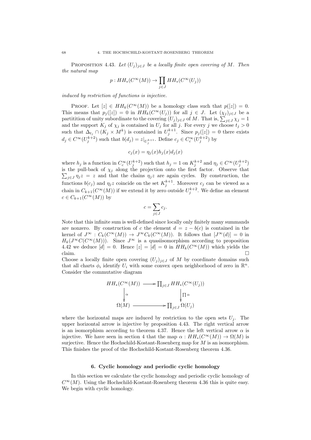PROPOSITION 4.43. Let  $(U_j)_{j\in J}$  be a locally finite open covering of M. Then the natural map

$$
p: HH_*(C^\infty(M)) \to \prod_{j \in J} HH_*(C^\infty(U_j))
$$

induced by restriction of functions is injective.

PROOF. Let  $[z] \in HH_k(C^{\infty}(M))$  be a homology class such that  $p([z]) = 0$ . This means that  $p_i([z]) = 0$  in  $HH_k(C^\infty(U_i))$  for all  $j \in J$ . Let  $(\chi_i)_{i \in J}$  be a partitition of unity subordinate to the covering  $(U_j)_{j\in J}$  of M. That is,  $\sum_{j\in J}\chi_j=1$ and the support  $K_j$  of  $\chi_j$  is contained in  $U_j$  for all j. For every j we choose  $t_j > 0$ such that  $\Delta_{t_j} \cap (K_j \times M^k)$  is contained in  $U_j^{k+1}$ . Since  $p_j([z]) = 0$  there exists  $d_j \in C^{\infty}(U_j^{k+2})$  such that  $b(d_j) = z|_{U_j^{k+1}}$ . Define  $c_j \in C_c^{\infty}(U_j^{k+2})$  by

$$
c_j(x) = \eta_j(x)h_j(x)d_j(x)
$$

where  $h_j$  is a function in  $C_c^{\infty}(U_j^{k+2})$  such that  $h_j = 1$  on  $K_j^{k+2}$  and  $\eta_j \in C^{\infty}(U_j^{k+2})$ is the pull-back of  $\chi_j$  along the projection onto the first factor. Observe that  $\sum_{j\in J}\eta_j z = z$  and that the chains  $\eta_j z$  are again cycles. By construction, the functions  $b(c_j)$  and  $\eta_j z$  coincide on the set  $K_j^{k+1}$ . Moreover  $c_j$  can be viewed as a chain in  $C_{k+1}(C^{\infty}(M))$  if we extend it by zero outside  $U_j^{k+2}$ . We define an element  $c \in C_{k+1}(C^{\infty}(M))$  by

$$
c = \sum_{j \in J} c_j.
$$

Note that this infinite sum is well-defined since locally only finitely many summands are nonzero. By construction of c the element  $d = z - b(c)$  is contained in the kernel of  $J^{\infty}$  :  $C_k(C^{\infty}(M)) \to J^{\infty}C_k(C^{\infty}(M))$ . It follows that  $[J^{\infty}(d)] = 0$  in  $H_k(J^{\infty}C(C^{\infty}(M)))$ . Since  $J^{\infty}$  is a quasiisomorphism according to proposition 4.42 we deduce  $[d] = 0$ . Hence  $[z] = [d] = 0$  in  $HH_k(C^{\infty}(M))$  which yields the claim.  $\Box$ 

Choose a locally finite open covering  $(U_j)_{j\in J}$  of M by coordinate domains such that all charts  $\phi_i$  identify  $U_i$  with some convex open neighborhood of zero in  $\mathbb{R}^n$ . Consider the commutative diagram

$$
HH_*(C^{\infty}(M)) \longrightarrow \prod_{j \in J} HH_*(C^{\infty}(U_j))
$$
  
\n
$$
\downarrow \alpha \qquad \qquad \downarrow \Pi \alpha
$$
  
\n
$$
\Omega(M) \longrightarrow \prod_{j \in J} \Omega(U_j)
$$

where the horizontal maps are induced by restriction to the open sets  $U_i$ . The upper horizontal arrow is injective by proposition 4.43. The right vertical arrow is an isomorphism according to theorem 4.37. Hence the left vertical arrow  $\alpha$  is injective. We have seen in section 4 that the map  $\alpha : HH_*(C^{\infty}(M)) \to \Omega(M)$  is surjective. Hence the Hochschild-Kostant-Rosenberg map for M is an isomorphism. This finishes the proof of the Hochschild-Kostant-Rosenberg theorem 4.36.

#### 6. Cyclic homology and periodic cyclic homology

In this section we calculate the cyclic homology and periodic cyclic homology of  $C^{\infty}(M)$ . Using the Hochschild-Kostant-Rosenberg theorem 4.36 this is quite easy. We begin with cyclic homology.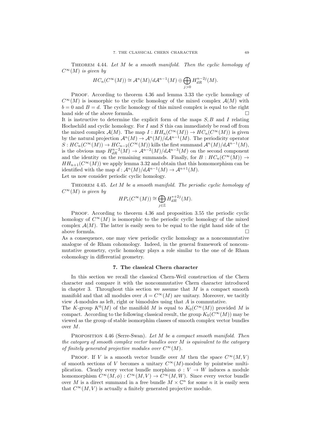THEOREM 4.44. Let M be a smooth manifold. Then the cyclic homology of  $C^{\infty}(M)$  is given by

$$
HC_n(C^{\infty}(M)) \cong \mathcal{A}^n(M)/d\mathcal{A}^{n-1}(M) \oplus \bigoplus_{j>0} H_{dR}^{n-2j}(M).
$$

PROOF. According to theorem 4.36 and lemma 3.33 the cyclic homology of  $C^{\infty}(M)$  is isomorphic to the cyclic homology of the mixed complex  $\mathcal{A}(M)$  with  $b = 0$  and  $B = d$ . The cyclic homology of this mixed complex is equal to the right hand side of the above formula.  $\hfill \square$ 

It is instructive to determine the explicit form of the maps  $S, B$  and  $I$  relating Hochschild and cyclic homology. For  $I$  and  $S$  this can immediately be read off from the mixed complex  $\mathcal{A}(M)$ . The map  $I: HH_n(C^{\infty}(M)) \to HC_n(C^{\infty}(M))$  is given by the natural projection  $\mathcal{A}^n(M) \to \mathcal{A}^n(M)/d\mathcal{A}^{n-1}(M)$ . The periodicity operator  $S: HC_n(C^{\infty}(M)) \to HC_{n-2}(C^{\infty}(M))$  kills the first summand  $\mathcal{A}^n(M)/d\mathcal{A}^{n-1}(M)$ , is the obvious map  $H_{dR}^{n-2}(M) \to \mathcal{A}^{n-2}(M)/d\mathcal{A}^{n-3}(M)$  on the second component and the identity on the remaining summands. Finally, for  $B : HC_n(C^{\infty}(M)) \rightarrow$  $HH_{n+1}(C^{\infty}(M))$  we apply lemma 3.32 and obtain that this homomorphism can be identified with the map  $d: \mathcal{A}^n(M)/d\mathcal{A}^{n-1}(M) \to \mathcal{A}^{n+1}(M)$ . Let us now consider periodic cyclic homology.

THEOREM 4.45. Let M be a smooth manifold. The periodic cyclic homology of  $C^{\infty}(M)$  is given by

$$
HP_*(C^\infty(M)) \cong \bigoplus_{j \in \mathbb{Z}} H^{*+2j}_{dR}(M).
$$

PROOF. According to theorem 4.36 and proposition 3.55 the periodic cyclic homology of  $C^{\infty}(M)$  is isomorphic to the periodic cyclic homology of the mixed complex  $\mathcal{A}(M)$ . The latter is easily seen to be equal to the right hand side of the above formula.  $\hfill \square$ 

As a consequence, one may view periodic cyclic homology as a noncommutative analogue of de Rham cohomology. Indeed, in the general framework of noncommutative geometry, cyclic homology plays a role similar to the one of de Rham cohomology in differential geometry.

# 7. The classical Chern character

In this section we recall the classical Chern-Weil construction of the Chern character and compare it with the noncommutative Chern character introduced in chapter 3. Throughout this section we assume that  $M$  is a compact smooth manifold and that all modules over  $A = C^{\infty}(M)$  are unitary. Moreover, we tacitly view A-modules as left, right or bimodules using that A is commutative.

The K-group  $K^0(M)$  of the manifold M is equal to  $K_0(C^{\infty}(M))$  provided M is compact. According to the following classical result, the group  $K_0(C^{\infty}(M))$  may be viewed as the group of stable isomorphim classes of smooth complex vector bundles over M.

PROPOSITION 4.46 (Serre-Swan). Let M be a compact smooth manifold. Then the category of smooth complex vector bundles over  $M$  is equivalent to the category of finitely generated projective modules over  $C^{\infty}(M)$ .

PROOF. If V is a smooth vector bundle over M then the space  $C^{\infty}(M, V)$ of smooth sections of V becomes a unitary  $C^{\infty}(M)$ -module by pointwise multiplication. Clearly every vector bundle morphism  $\phi: V \to W$  induces a module homomorphism  $C^{\infty}(M, \phi) : C^{\infty}(M, V) \to C^{\infty}(M, W)$ . Since every vector bundle over M is a direct summand in a free bundle  $M \times \mathbb{C}^n$  for some n it is easily seen that  $C^{\infty}(M, V)$  is actually a finitely generated projective module.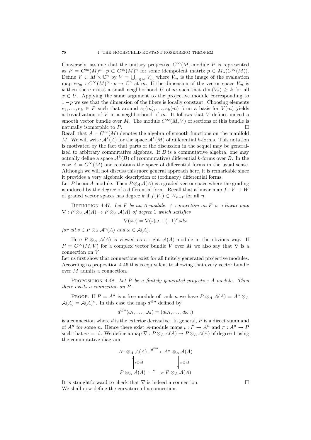Conversely, assume that the unitary projective  $C^{\infty}(M)$ -module P is represented as  $P = C^{\infty}(M)^n \cdot p \subset C^{\infty}(M)^n$  for some idempotent matrix  $p \in M_n(C^{\infty}(M))$ . Define  $V \subset M \times \mathbb{C}^n$  by  $V = \bigcup_{m \in M} V_m$  where  $V_m$  is the image of the evaluation map  $ev_m: C^{\infty}(M)^n \cdot p \to \mathbb{C}^n$  at m. If the dimension of the vector space  $V_m$  is k then there exists a small neighborhood U of m such that  $\dim(V_x) > k$  for all  $x \in U$ . Applying the same argument to the projective module corresponding to  $1-p$  we see that the dimension of the fibers is locally constant. Choosing elements  $e_1, \ldots, e_k \in P$  such that around  $e_1(m), \ldots, e_k(m)$  form a basis for  $V(m)$  yields a trivialization of  $V$  in a neighborhood of  $m$ . It follows that  $V$  defines indeed a smooth vector bundle over M. The module  $C^{\infty}(M, V)$  of sections of this bundle is naturally isomorphic to  $P$ .

Recall that  $A = C^{\infty}(M)$  denotes the algebra of smooth functions on the manifold M. We will write  $\mathcal{A}^k(A)$  for the space  $\mathcal{A}^k(M)$  of differential k-forms. This notation is motivated by the fact that parts of the discussion in the sequel may be generalized to arbitrary commutative algebras. If  $B$  is a commutative algebra, one may actually define a space  $\mathcal{A}^k(B)$  of (commutative) differential k-forms over B. In the case  $A = C^{\infty}(M)$  one reobtains the space of differential forms in the usual sense. Although we will not discuss this more general approach here, it is remarkable since it provides a very algebraic description of (ordinary) differential forms.

Let P be an A-module. Then  $P \otimes_A \mathcal{A}(A)$  is a graded vector space where the grading is induced by the degree of a differential form. Recall that a linear map  $f: V \to W$ of graded vector spaces has degree k if  $f(V_n) \subset W_{n+k}$  for all n.

DEFINITION 4.47. Let  $P$  be an A-module. A connection on  $P$  is a linear map  $\nabla: P \otimes_A \mathcal{A}(A) \to P \otimes_A \mathcal{A}(A)$  of degree 1 which satisfies

$$
\nabla(s\omega) = \nabla(s)\omega + (-1)^n s d\omega
$$

for all  $s \in P \otimes_A \mathcal{A}^n(A)$  and  $\omega \in \mathcal{A}(A)$ .

Here  $P \otimes_A \mathcal{A}(A)$  is viewed as a right  $\mathcal{A}(A)$ -module in the obvious way. If  $P = C^{\infty}(M, V)$  for a complex vector bundle V over M we also say that  $\nabla$  is a connection on V.

Let us first show that connections exist for all finitely generated projective modules. According to proposition 4.46 this is equivalent to showing that every vector bundle over M admits a connection.

PROPOSITION 4.48. Let  $P$  be a finitely generated projective A-module. Then there exists a connection on P.

PROOF. If  $P = A^n$  is a free module of rank n we have  $P \otimes_A \mathcal{A}(A) = A^n \otimes_A A(A)$  $\mathcal{A}(A) = \mathcal{A}(A)^n$ . In this case the map  $d^{\oplus n}$  defined by

$$
d^{\oplus n}(\omega_1,\ldots,\omega_n)=(d\omega_1,\ldots,d\omega_n)
$$

is a connection where  $d$  is the exterior derivative. In general,  $P$  is a direct summand of  $A^n$  for some n. Hence there exist A-module maps  $\iota : P \to A^n$  and  $\pi : A^n \to P$ such that  $\pi \iota = id$ . We define a map  $\nabla : P \otimes_A \mathcal{A}(A) \to P \otimes_A \mathcal{A}(A)$  of degree 1 using the commutative diagram

$$
A^n \otimes_A \mathcal{A}(A) \xrightarrow{d^{\oplus n}} A^n \otimes_A \mathcal{A}(A)
$$
  
\n
$$
\downarrow^{\otimes} \text{id}
$$
  
\n
$$
P \otimes_A \mathcal{A}(A) \xrightarrow{\nabla} P \otimes_A \mathcal{A}(A)
$$

It is straightforward to check that  $\nabla$  is indeed a connection. We shall now define the curvature of a connection.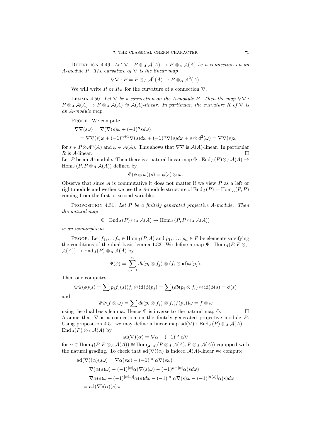DEFINITION 4.49. Let  $\nabla$  :  $P \otimes_A \mathcal{A}(A) \to P \otimes_A \mathcal{A}(A)$  be a connection on an A-module P. The curvature of  $\nabla$  is the linear map

$$
\nabla \nabla : P = P \otimes_A \mathcal{A}^0(A) \to P \otimes_A \mathcal{A}^2(A).
$$

We will write R or  $R_{\nabla}$  for the curvature of a connection  $\nabla$ .

LEMMA 4.50. Let  $\nabla$  be a connection on the A-module P. Then the map  $\nabla \nabla$ :  $P \otimes_A \mathcal{A}(A) \to P \otimes_A \mathcal{A}(A)$  is  $\mathcal{A}(A)$ -linear. In particular, the curvature R of  $\nabla$  is an A-module map.

PROOF. We compute

$$
\nabla \nabla(s\omega) = \nabla(\nabla(s)\omega + (-1)^n s d\omega)
$$
  
=  $\nabla \nabla(s)\omega + (-1)^{n+1} \nabla(s) d\omega + (-1)^n \nabla(s) d\omega + s \otimes d^2(\omega) = \nabla \nabla(s)\omega$ 

for  $s \in P \otimes \mathcal{A}^n(A)$  and  $\omega \in \mathcal{A}(A)$ . This shows that  $\nabla \nabla$  is  $\mathcal{A}(A)$ -linear. In particular R is A-linear.

Let P be an A-module. Then there is a natural linear map  $\Phi : \text{End}_A(P) \otimes_A \mathcal{A}(A) \rightarrow$  $Hom_A(P, P \otimes_A \mathcal{A}(A))$  defined by

$$
\Phi(\phi \otimes \omega)(s) = \phi(s) \otimes \omega.
$$

Observe that since  $A$  is commutative it does not matter if we view  $P$  as a left or right module and wether we use the A-module structure of  $\text{End}_A(P) = \text{Hom}_A(P, P)$ coming from the first or second variable.

PROPOSITION 4.51. Let  $P$  be a finitely generated projective A-module. Then the natural map

$$
\Phi: \mathrm{End}_A(P) \otimes_A \mathcal{A}(A) \to \mathrm{Hom}_A(P, P \otimes_A \mathcal{A}(A))
$$

is an isomorphism.

PROOF. Let  $f_1, \ldots, f_n \in \text{Hom}_A(P, A)$  and  $p_1, \ldots, p_n \in P$  be elements satsifying the conditions of the dual basis lemma 1.33. We define a map  $\Psi$  : Hom<sub>A</sub> $(P, P \otimes_A P)$  $\mathcal{A}(A)) \to \text{End}_A(P) \otimes_A \mathcal{A}(A)$  by

$$
\Psi(\phi) = \sum_{i,j=1}^n db(p_i \otimes f_j) \otimes (f_i \otimes id)\phi(p_j).
$$

Then one computes

$$
\Phi\Psi(\phi)(s) = \sum p_i f_j(s) (f_i \otimes id) \phi(p_j) = \sum (db(p_i \otimes f_i) \otimes id) \phi(s) = \phi(s)
$$

and

$$
\Psi\Phi(f\otimes\omega)=\sum db(p_i\otimes f_j)\otimes f_i(f(p_j))\omega=f\otimes\omega
$$

using the dual basis lemma. Hence  $\Psi$  is inverse to the natural map  $\Phi$ . Assume that  $\nabla$  is a connection on the finitely generated projective module P. Using proposition 4.51 we may define a linear map  $\text{ad}(\nabla)$ : End<sub>A</sub> $(P) \otimes_A \mathcal{A}(A) \rightarrow$  $\text{End}_A(P) \otimes_A \mathcal{A}(A)$  by

$$
ad(\nabla)(\alpha) = \nabla \alpha - (-1)^{|\alpha|} \alpha \nabla
$$

for  $\alpha \in \text{Hom}_A(P, P \otimes_A \mathcal{A}(A)) \cong \text{Hom}_{\mathcal{A}(A)}(P \otimes_A \mathcal{A}(A), P \otimes_A \mathcal{A}(A))$  equipped with the natural grading. To check that  $ad(\nabla)(\alpha)$  is indeed  $\mathcal{A}(A)$ -linear we compute

$$
ad(\nabla)(\alpha)(s\omega) = \nabla \alpha(s\omega) - (-1)^{|\alpha|} \alpha \nabla(s\omega)
$$
  
=  $\nabla(\alpha(s)\omega) - (-1)^{|\alpha|} \alpha (\nabla(s)\omega) - (-1)^{n+|\alpha|} \alpha(sd\omega)$   
=  $\nabla \alpha(s)\omega + (-1)^{|\alpha(s)|} \alpha(s)d\omega - (-1)^{|\alpha|} \alpha \nabla(s)\omega - (-1)^{|\alpha(s)|} \alpha(s)d\omega$   
=  $ad(\nabla)(\alpha)(s)\omega$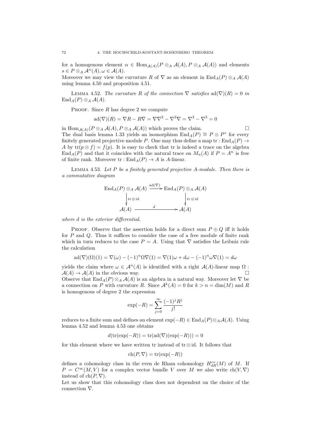for a homogenous element  $\alpha \in \text{Hom}_{\mathcal{A}(A)}(P \otimes_A \mathcal{A}(A), P \otimes_A \mathcal{A}(A))$  and elements  $s \in P \otimes_A \mathcal{A}^n(A), \omega \in \mathcal{A}(A).$ 

Moreover we may view the curvature R of  $\nabla$  as an element in  $\text{End}_A(P) \otimes_A \mathcal{A}(A)$ using lemma 4.50 and proposition 4.51.

LEMMA 4.52. The curvature R of the connection  $\nabla$  satisfies  $ad(\nabla)(R) = 0$  in  $\text{End}_A(P) \otimes_A \mathcal{A}(A)$ .

PROOF. Since  $R$  has degree 2 we compute

$$
ad(\nabla)(R) = \nabla R - R\nabla = \nabla\nabla^2 - \nabla^2\nabla = \nabla^3 - \nabla^3 = 0
$$

in  $\text{Hom}_{\mathcal{A}(A)}(P \otimes_A \mathcal{A}(A), P \otimes_A \mathcal{A}(A))$  which proves the claim. The dual basis lemma 1.33 yields an isomorphism  $\text{End}_A(P) \cong P \otimes P^*$  for every finitely generated projective module P. One may thus define a map tr :  $\text{End}_{A}(P) \rightarrow$ A by  $tr(p \otimes f) = f(p)$ . It is easy to check that tr is indeed a trace on the algebra  $\text{End}_{A}(P)$  and that it coincides with the natural trace on  $M_{n}(A)$  if  $P = A^{n}$  is free of finite rank. Moreover  $\text{tr} : \text{End}_A(P) \to A$  is A-linear.

LEMMA 4.53. Let  $P$  be a finitely generated projective  $A$ -module. Then there is a commutative diagram

$$
\operatorname{End}_A(P) \otimes_A \mathcal{A}(A) \xrightarrow{\operatorname{ad}(\nabla)} \operatorname{End}_A(P) \otimes_A \mathcal{A}(A)
$$
\n
$$
\downarrow \operatorname{tr} \otimes \operatorname{id} \qquad \qquad \downarrow \operatorname{tr} \otimes \operatorname{id}
$$
\n
$$
\mathcal{A}(A) \xrightarrow{d} \mathcal{A}(A)
$$

where d is the exterior differential.

PROOF. Observe that the assertion holds for a direct sum  $P \oplus Q$  iff it holds for P and Q. Thus it suffices to consider the case of a free module of finite rank which in turn reduces to the case  $P = A$ . Using that  $\nabla$  satisfies the Leibniz rule the calculation

$$
ad(\nabla)(\Omega)(1) = \nabla(\omega) - (-1)^n \Omega \nabla(1) = \nabla(1)\omega + d\omega - (-1)^n \omega \nabla(1) = d\omega
$$

yields the claim where  $\omega \in \mathcal{A}^n(A)$  is identified with a right  $\mathcal{A}(A)$ -linear map  $\Omega$ :  $A(A) \rightarrow A(A)$  in the obvious way.

Observe that  $\text{End}_A(P) \otimes_A \mathcal{A}(A)$  is an algebra in a natural way. Moreover let  $\nabla$  be a connection on P with curvature R. Since  $\mathcal{A}^k(A) = 0$  for  $k > n = \dim(M)$  and R is homogenous of degree 2 the expression

$$
\exp(-R) = \sum_{j=0}^{\infty} \frac{(-1)^j R^j}{j!}
$$

reduces to a finite sum and defines an element  $\exp(-R) \in \text{End}_{A}(P) \otimes_A \mathcal{A}(A)$ . Using lemma 4.52 and lemma 4.53 one obtains

$$
d(\text{tr}(\exp(-R)) = \text{tr}(\text{ad}(\nabla)(\exp(-R))) = 0
$$

for this element where we have written tr instead of tr⊗id. It follows that

$$
ch(P, \nabla) = tr(exp(-R))
$$

defines a cohomology class in the even de Rham cohomology  $H_{dR}^{ev}(M)$  of M. If  $P = C^{\infty}(M, V)$  for a complex vector bundle V over M we also write  $\text{ch}(V, \nabla)$ instead of  $ch(P, \nabla)$ .

Let us show that this cohomology class does not dependent on the choice of the connection ∇.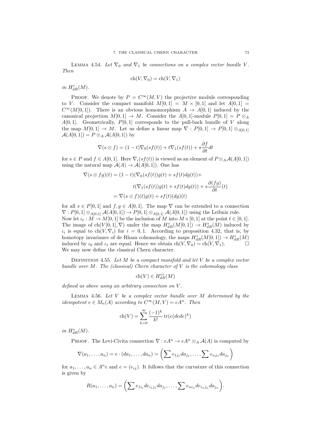LEMMA 4.54. Let  $\nabla_0$  and  $\nabla_1$  be connections on a complex vector bundle V. Then

$$
ch(V, \nabla_0) = ch(V, \nabla_1)
$$

in  $H^*_{dR}(M)$ .

PROOF. We denote by  $P = C^{\infty}(M, V)$  the projective module corresponding to V. Consider the compact manifold  $M[0,1] = M \times [0,1]$  and let  $A[0,1] =$  $C^{\infty}(M[0,1])$ . There is an obvious homomorphism  $A \to A[0,1]$  induced by the canonical projection  $M[0,1] \to M$ . Consider the  $A[0,1]$ -module  $P[0,1] = P \otimes_A$  $A[0,1]$ . Geometrically,  $P[0,1]$  corresponds to the pull-back bundle of V along the map  $M[0,1] \to M$ . Let us define a linear map  $\nabla : P[0,1] \to P[0,1] \otimes_{A[0,1]}$  $\mathcal{A}(A[0,1]) = P \otimes_A \mathcal{A}(A[0,1])$  by

$$
\nabla(s \otimes f) = (1-t)\nabla_0(s f(t)) + t\nabla_1(s f(t)) + s\frac{\partial f}{\partial t}dt
$$

for  $s \in P$  and  $f \in A[0,1]$ . Here  $\nabla_i(s f(t))$  is viewed as an element of  $P \otimes_A A(A[0,1])$ using the natural map  $A(A) \rightarrow A(A[0,1])$ . One has

$$
\nabla(s \otimes fg)(t) = (1-t)(\nabla_0(s f(t))g(t) + sf(t)dg(t)) +
$$

$$
t(\nabla_1(s f(t))g(t) + sf(t)dg(t)) + s\frac{\partial(fg)}{\partial t}(t)
$$

$$
= \nabla(s \otimes f)(t)g(t) + sf(t)(dg)(t)
$$

for all  $s \in P[0,1]$  and  $f, g \in A[0,1]$ . The map  $\nabla$  can be extended to a connection  $\nabla : P[0,1] \otimes_{A[0,1]} A(A[0,1]) \to P[0,1] \otimes_{A[0,1]} A(A[0,1])$  using the Leibniz rule.

Now let  $\iota_t : M \to M[0,1]$  be the inclusion of M into  $M \times [0,1]$  at the point  $t \in [0,1]$ . The image of  $ch(V[0,1], \nabla)$  under the map  $H^*_{dR}(M[0,1]) \to H^*_{dR}(M)$  induced by  $\iota_i$  is equal to ch(V,  $\nabla_i$ ) for  $i = 0, 1$ . According to proposition 4.32, that is, by homotopy invariance of de Rham cohomology, the maps  $H^*_{dR}(M[0,1]) \to H^*_{dR}(M)$ induced by  $\iota_0$  and  $\iota_1$  are equal. Hence we obtain  $\text{ch}(V, \nabla_0) = \text{ch}(V, \nabla_1)$ . We may now define the classical Chern character.

DEFINITION 4.55. Let  $M$  be a compact manifold and let  $V$  be a complex vector bundle over M. The (classical) Chern character of  $V$  is the cohomology class

$$
\text{ch}(V) \in H^{ev}_{dR}(M)
$$

defined as above using an arbitrary connection on V .

LEMMA 4.56. Let  $V$  be a complex vector bundle over  $M$  determined by the idempotent  $e \in M_n(A)$  according to  $C^{\infty}(M, V) = eA^n$ . Then

$$
ch(V) = \sum_{k=0}^{\infty} \frac{(-1)^k}{k!} tr(e(dede)^k)
$$

in  $H^*_{dR}(M)$ .

PROOF. The Levi-Civita connection  $\nabla : eA^n \to eA^n \otimes_A \mathcal{A}(A)$  is computed by

$$
\nabla(a_1,\ldots,a_n)=e\cdot(da_1,\ldots,da_n)=\left(\sum e_{1j_1}da_{j_1},\ldots,\sum e_{nj_n}da_{j_n}\right)
$$

for  $a_1, \ldots, a_n \in A^n e$  and  $e = (e_{ij})$ . It follows that the curvature of this connection is given by

$$
R(a_1,\ldots,a_n)=\bigg(\sum e_{1i_1}de_{i_1j_1}da_{j_1},\ldots,\sum e_{ni_n}de_{i_nj_n}da_{j_n}\bigg).
$$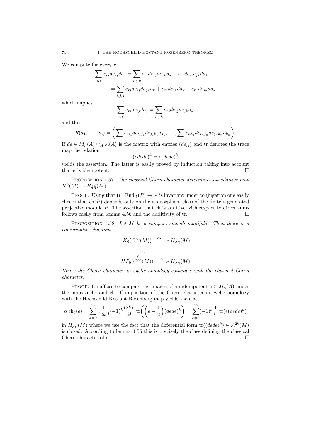We compute for every  $r$ 

$$
\sum_{i,j} e_{ri}de_{ij}da_j = \sum_{i,j,k} e_{ri}de_{ij}de_{jk}a_k + e_{ri}de_{ij}e_{jk}da_k
$$

$$
= \sum_{i,j,k} e_{ri}de_{ij}de_{jk}a_k + e_{ri}de_{ik}da_k - e_{rj}de_{jk}da_k
$$

which implies

$$
\sum_{i,j} e_{ri}de_{ij}da_j = \sum_{i,j,k} e_{ri}de_{ij}de_{jk}a_k
$$

and thus

$$
R(a_1, ..., a_n) = \left(\sum e_{1i_1}de_{i_1j_1}de_{j_1k_1}a_{k_1}, ..., \sum e_{ni_n}de_{i_nj_n}de_{j_nk_n}a_{k_n}\right).
$$

If  $de \in M_n(A) \otimes_A \mathcal{A}(A)$  is the matrix with entries  $(de_{ij})$  and tr denotes the trace map the relation

$$
(edede)^k = e(dede)^k
$$

yields the assertion. The latter is easily proved by induction taking into account that e is idempotent.  $\square$ 

PROPOSITION 4.57. The classical Chern character determines an additive map  $K^0(M) \to H^{ev}_{dR}(M).$ 

PROOF. Using that  $tr : End_A(P) \to A$  is invariant under conjugation one easily checks that  $ch(P)$  depends only on the isomorphism class of the finitely generated projective module P. The assertion that ch is additive with respect to direct sums follows easily from lemma 4.56 and the additivity of tr.  $\Box$ 

PROPOSITION 4.58. Let  $M$  be a compact smooth manifold. Then there is a commutative diagram

$$
K_0(C^{\infty}(M)) \xrightarrow{\text{ch}} H^*_{dR}(M)
$$
  
\n
$$
\downarrow \text{ch}_0 \qquad \qquad \parallel
$$
  
\n
$$
HP_0(C^{\infty}(M)) \xrightarrow{\alpha} H^*_{dR}(M)
$$

Hence the Chern character in cyclic homology coincides with the classical Chern character.

PROOF. It suffices to compare the images of an idempotent  $e \in M_n(A)$  under the maps  $\alpha$  ch<sub>0</sub> and ch. Composition of the Chern character in cyclic homology with the Hochschild-Kostant-Rosenberg map yields the class

$$
\alpha \operatorname{ch}_0(e) = \sum_{k=0}^\infty \frac{1}{(2k)!} (-1)^k \frac{(2k)!}{k!} \operatorname{tr}\left( \left( e - \frac{1}{2} \right) (ded e)^k \right) = \sum_{k=0}^\infty (-1)^k \frac{1}{k!} \operatorname{tr}(e (ded e)^k)
$$

in  $H^*_{dR}(M)$  where we use the fact that the differential form  $\text{tr}((dede)^k) \in \mathcal{A}^{2k}(M)$ is closed. According to lemma 4.56 this is precisely the class defining the classical Chern character of e.